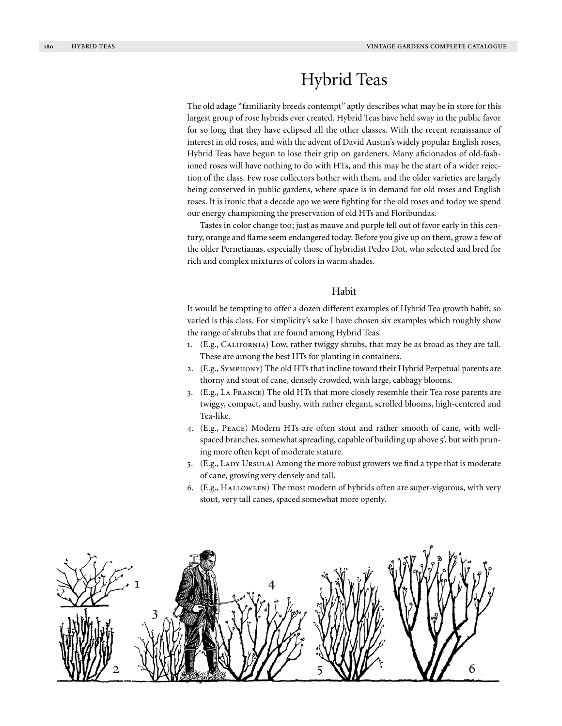# Hybrid Teas

The old adage "familiarity breeds contempt" aptly describes what may be in store for this largest group of rose hybrids ever created. Hybrid Teas have held sway in the public favor for so long that they have eclipsed all the other classes. With the recent renaissance of interest in old roses, and with the advent of David Austin's widely popular English roses, Hybrid Teas have begun to lose their grip on gardeners. Many aficionados of old-fashioned roses will have nothing to do with HTs, and this may be the start of a wider rejection of the class. Few rose collectors bother with them, and the older varieties are largely being conserved in public gardens, where space is in demand for old roses and English roses. It is ironic that a decade ago we were fighting for the old roses and today we spend our energy championing the preservation of old HTs and Floribundas.

Tastes in color change too; just as mauve and purple fell out of favor early in this century, orange and flame seem endangered today. Before you give up on them, grow a few of the older Pernetianas, especially those of hybridist Pedro Dot, who selected and bred for rich and complex mixtures of colors in warm shades.

## Habit

It would be tempting to offer a dozen different examples of Hybrid Tea growth habit, so varied is this class. For simplicity's sake I have chosen six examples which roughly show the range of shrubs that are found among Hybrid Teas.

- 1. (E.g., California) Low, rather twiggy shrubs, that may be as broad as they are tall. These are among the best HTs for planting in containers.
- 2. (E.g., Symphony) The old HTs that incline toward their Hybrid Perpetual parents are thorny and stout of cane, densely crowded, with large, cabbagy blooms.
- 3. (E.g., La France) The old HTs that more closely resemble their Tea rose parents are twiggy, compact, and bushy, with rather elegant, scrolled blooms, high-centered and Tea-like.
- 4. (E.g., Peace) Modern HTs are often stout and rather smooth of cane, with wellspaced branches, somewhat spreading, capable of building up above 5', but with pruning more often kept of moderate stature.
- 5. (E.g., LADY URSULA) Among the more robust growers we find a type that is moderate of cane, growing very densely and tall.
- 6. (E.g., Halloween) The most modern of hybrids often are super-vigorous, with very stout, very tall canes, spaced somewhat more openly.

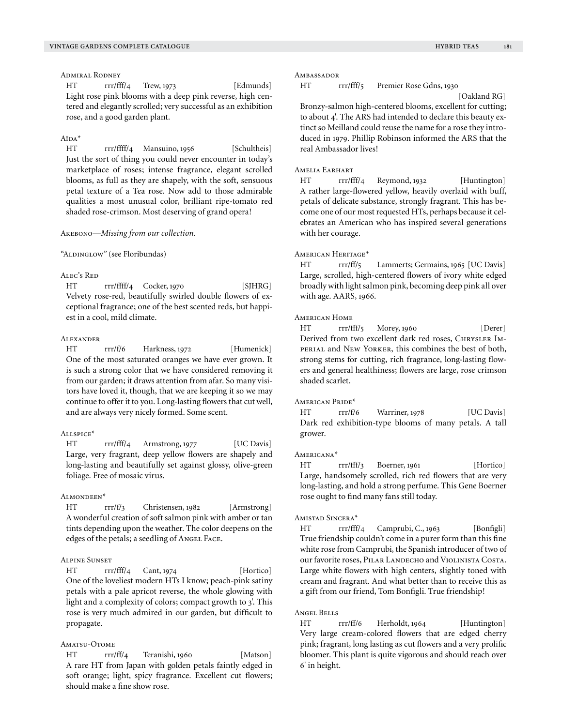## Admiral Rodney

HT rrr/fff/4 Trew, 1973 [Edmunds] Light rose pink blooms with a deep pink reverse, high centered and elegantly scrolled; very successful as an exhibition rose, and a good garden plant.

## $A^{\dagger}DA^*$

HT rrr/ffff/4 Mansuino, 1956 [Schultheis] Just the sort of thing you could never encounter in today's marketplace of roses; intense fragrance, elegant scrolled blooms, as full as they are shapely, with the soft, sensuous petal texture of a Tea rose. Now add to those admirable qualities a most unusual color, brilliant ripe-tomato red shaded rose-crimson. Most deserving of grand opera!

#### Akebono—*Missing from our collection.*

"ALDINGLOW" (see Floribundas)

#### Alec's Red

HT rrr/ffff/4 Cocker, 1970 [SJHRG] Velvety rose-red, beautifully swirled double flowers of exceptional fragrance; one of the best scented reds, but happiest in a cool, mild climate.

## Alexander

HT rrr/f/6 Harkness, 1972 [Humenick] One of the most saturated oranges we have ever grown. It is such a strong color that we have considered removing it from our garden; it draws attention from afar. So many visitors have loved it, though, that we are keeping it so we may continue to offer it to you. Long-lasting flowers that cut well, and are always very nicely formed. Some scent.

#### A<sub>LL</sub> spice<sup>\*</sup>

HT rrr/fff/4 Armstrong, 1977 [UC Davis] Large, very fragrant, deep yellow flowers are shapely and long-lasting and beautifully set against glossy, olive-green foliage. Free of mosaic virus.

#### Almondeen\*

HT rrr/f/3 Christensen, 1982 [Armstrong] A wonderful creation of soft salmon pink with amber or tan tints depending upon the weather. The color deepens on the edges of the petals; a seedling of Angel Face.

# Alpine Sunset

HT rrr/fff/4 Cant, 1974 [Hortico] One of the loveliest modern HTs I know; peach-pink satiny petals with a pale apricot reverse, the whole glowing with light and a complexity of colors; compact growth to 3'. This rose is very much admired in our garden, but difficult to propagate.

# AMATSU-OTOME

HT rrr/ff/4 Teranishi, 1960 [Matson] A rare HT from Japan with golden petals faintly edged in soft orange; light, spicy fragrance. Excellent cut flowers; should make a fine show rose.

#### Ambassador

HT rrr/fff/5 Premier Rose Gdns, 1930

[Oakland RG]

Bronzy-salmon high-centered blooms, excellent for cutting; to about 4'. The ARS had intended to declare this beauty extinct so Meilland could reuse the name for a rose they introduced in 1979. Phillip Robinson informed the ARS that the real Ambassador lives!

## AMELIA EARHART

HT rrr/fff/4 Reymond, 1932 [Huntington] A rather large-flowered yellow, heavily overlaid with buff, petals of delicate substance, strongly fragrant. This has become one of our most requested HTs, perhaps because it celebrates an American who has inspired several generations with her courage.

## AMERICAN HERITAGE\*

HT rrr/ff/5 Lammerts; Germains, 1965 [UC Davis] Large, scrolled, high-centered flowers of ivory white edged broadly with light salmon pink, becoming deep pink all over with age. AARS, 1966.

## American Home

HT rrr/fff/5 Morey, 1960 [Derer] Derived from two excellent dark red roses, CHRYSLER IMperial and New Yorker, this combines the best of both, strong stems for cutting, rich fragrance, long-lasting flowers and general healthiness; flowers are large, rose crimson shaded scarlet.

#### American Pride\*

HT rrr/f/6 Warriner, 1978 [UC Davis] Dark red exhibition-type blooms of many petals. A tall grower.

#### Americana\*

HT rrr/fff/3 Boerner, 1961 [Hortico] Large, handsomely scrolled, rich red flowers that are very long-lasting, and hold a strong perfume. This Gene Boerner rose ought to find many fans still today.

#### Amistad Sincera\*

HT rrr/fff/4 Camprubi, C., 1963 [Bonfigli] True friendship couldn't come in a purer form than this fine white rose from Camprubi, the Spanish introducer of two of our favorite roses, PILAR LANDECHO and VIOLINISTA COSTA. Large white flowers with high centers, slightly toned with cream and fragrant. And what better than to receive this as a gift from our friend, Tom Bonfigli. True friendship!

#### Angel Bells

HT rrr/ff/6 Herholdt, 1964 [Huntington] Very large cream-colored flowers that are edged cherry pink; fragrant, long lasting as cut flowers and a very prolific bloomer. This plant is quite vigorous and should reach over 6' in height.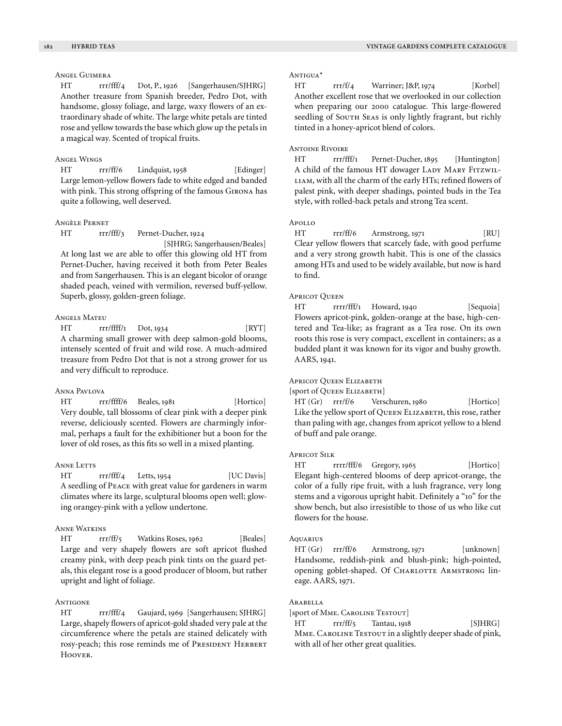# Angel Guimera

HT rrr/fff/4 Dot, P., 1926 [Sangerhausen/SJHRG] Another treasure from Spanish breeder, Pedro Dot, with handsome, glossy foliage, and large, waxy flowers of an extraordinary shade of white. The large white petals are tinted rose and yellow towards the base which glow up the petals in a magical way. Scented of tropical fruits.

#### Angel Wings

HT rrr/ff/6 Lindquist, 1958 [Edinger] Large lemon-yellow flowers fade to white edged and banded with pink. This strong offspring of the famous Girona has quite a following, well deserved.

## Angèle Pernet

HT rrr/fff/3 Pernet-Ducher, 1924

 [SJHRG; Sangerhausen/Beales] At long last we are able to offer this glowing old HT from Pernet-Ducher, having received it both from Peter Beales and from Sangerhausen. This is an elegant bicolor of orange shaded peach, veined with vermilion, reversed buff-yellow. Superb, glossy, golden-green foliage.

# Angels Mateu

HT rrr/ffff/1 Dot, 1934 [RYT] A charming small grower with deep salmon-gold blooms, intensely scented of fruit and wild rose. A much-admired treasure from Pedro Dot that is not a strong grower for us and very difficult to reproduce.

#### Anna Pavlova

HT rrr/ffff/6 Beales, 1981 [Hortico] Very double, tall blossoms of clear pink with a deeper pink reverse, deliciously scented. Flowers are charmingly informal, perhaps a fault for the exhibitioner but a boon for the lover of old roses, as this fits so well in a mixed planting.

#### Anne Letts

HT rrr/fff/4 Letts, 1954 [UC Davis] A seedling of Peace with great value for gardeners in warm climates where its large, sculptural blooms open well; glowing orangey-pink with a yellow undertone.

## Anne Watkins

HT rrr/ff/5 Watkins Roses, 1962 [Beales] Large and very shapely flowers are soft apricot flushed creamy pink, with deep peach pink tints on the guard petals, this elegant rose is a good producer of bloom, but rather upright and light of foliage.

#### **ANTIGONE**

HT rrr/fff/4 Gaujard, 1969 [Sangerhausen; SJHRG] Large, shapely flowers of apricot-gold shaded very pale at the circumference where the petals are stained delicately with rosy-peach; this rose reminds me of PRESIDENT HERBERT Hoover.

## Antigua\*

HT rrr/f/4 Warriner; J&P, 1974 [Korbel] Another excellent rose that we overlooked in our collection when preparing our 2000 catalogue. This large-flowered seedling of SOUTH SEAS is only lightly fragrant, but richly tinted in a honey-apricot blend of colors.

## Antoine Rivoire

HT rrr/fff/1 Pernet-Ducher, 1895 [Huntington] A child of the famous HT dowager LADY MARY FITZWIL-LIAM, with all the charm of the early HTs; refined flowers of palest pink, with deeper shadings, pointed buds in the Tea style, with rolled-back petals and strong Tea scent.

## Apollo

HT rrr/ff/6 Armstrong, 1971 [RU] Clear yellow flowers that scarcely fade, with good perfume and a very strong growth habit. This is one of the classics among HTs and used to be widely available, but now is hard to find.

## **Apricot Queen**

HT rrrr/fff/1 Howard, 1940 [Sequoia] Flowers apricot-pink, golden-orange at the base, high-centered and Tea-like; as fragrant as a Tea rose. On its own roots this rose is very compact, excellent in containers; as a budded plant it was known for its vigor and bushy growth. AARS, 1941.

#### Apricot Queen Elizabeth

[sport of Queen Elizabeth]

HT (Gr) rrr/f/6 Verschuren, 1980 [Hortico] Like the yellow sport of QUEEN ELIZABETH, this rose, rather than paling with age, changes from apricot yellow to a blend of buff and pale orange.

#### Apricot Silk

HT rrrr/fff/6 Gregory, 1965 [Hortico] Elegant high-centered blooms of deep apricot-orange, the color of a fully ripe fruit, with a lush fragrance, very long stems and a vigorous upright habit. Definitely a "10" for the show bench, but also irresistible to those of us who like cut flowers for the house.

#### **AQUARIUS**

 $HT (Gr) \rrr\rightarrow f\rightarrow f$  Armstrong, 1971 [unknown] Handsome, reddish-pink and blush-pink; high-pointed, opening goblet-shaped. Of CHARLOTTE ARMSTRONG lineage. AARS, 1971.

#### Arabella

[sport of Mme. Caroline Testout]

HT rrr/ff/5 Tantau, 1918 [SJHRG] MME. CAROLINE TESTOUT in a slightly deeper shade of pink, with all of her other great qualities.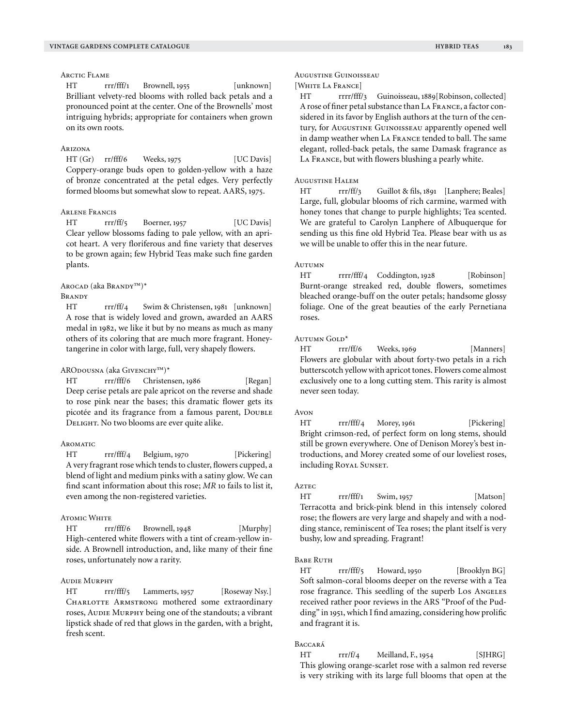## Arctic Flame

HT rrr/fff/1 Brownell, 1955 [unknown] Brilliant velvety-red blooms with rolled back petals and a pronounced point at the center. One of the Brownells' most intriguing hybrids; appropriate for containers when grown on its own roots.

## Arizona

HT (Gr) rr/fff/6 Weeks, 1975 [UC Davis] Coppery-orange buds open to golden-yellow with a haze of bronze concentrated at the petal edges. Very perfectly formed blooms but somewhat slow to repeat. AARS, 1975.

## Arlene Francis

HT rrr/ff/5 Boerner, 1957 [UC Davis] Clear yellow blossoms fading to pale yellow, with an apricot heart. A very floriferous and fine variety that deserves to be grown again; few Hybrid Teas make such fine garden plants.

## Arocad (aka Brandy™)\*

**BRANDY** 

HT rrr/ff/4 Swim & Christensen, 1981 [unknown] A rose that is widely loved and grown, awarded an AARS medal in 1982, we like it but by no means as much as many others of its coloring that are much more fragrant. Honeytangerine in color with large, full, very shapely flowers.

#### ARODOUSNA (aka GIVENCHY™)\*

HT rrr/fff/6 Christensen, 1986 [Regan] Deep cerise petals are pale apricot on the reverse and shade to rose pink near the bases; this dramatic flower gets its picotée and its fragrance from a famous parent, DoubLE DELIGHT. No two blooms are ever quite alike.

#### **AROMATIC**

HT rrr/fff/4 Belgium, 1970 [Pickering] A very fragrant rose which tends to cluster, flowers cupped, a blend of light and medium pinks with a satiny glow. We can find scant information about this rose; *MR* 10 fails to list it, even among the non-registered varieties.

## **ATOMIC WHITE**

HT rrr/fff/6 Brownell, 1948 [Murphy] High-centered white flowers with a tint of cream-yellow inside. A Brownell introduction, and, like many of their fine roses, unfortunately now a rarity.

#### Audie Murphy

HT rrr/fff/5 Lammerts, 1957 [Roseway Nsy.] CHARLOTTE ARMSTRONG mothered some extraordinary roses, Audie Murphy being one of the standouts; a vibrant lipstick shade of red that glows in the garden, with a bright, fresh scent.

#### Augustine Guinoisseau

# [White La France]

HT rrrr/fff/3 Guinoisseau, 1889[Robinson, collected] A rose of finer petal substance than La France, a factor considered in its favor by English authors at the turn of the century, for Augustine Guinoisseau apparently opened well in damp weather when La France tended to ball. The same elegant, rolled-back petals, the same Damask fragrance as La France, but with flowers blushing a pearly white.

#### Augustine Halem

HT rrr/ff/3 Guillot & fils, 1891 [Lanphere; Beales] Large, full, globular blooms of rich carmine, warmed with honey tones that change to purple highlights; Tea scented. We are grateful to Carolyn Lanphere of Albuquerque for sending us this fine old Hybrid Tea. Please bear with us as we will be unable to offer this in the near future.

## **AUTUMN**

HT rrrr/fff/4 Coddington, 1928 [Robinson] Burnt-orange streaked red, double flowers, sometimes bleached orange-buff on the outer petals; handsome glossy foliage. One of the great beauties of the early Pernetiana roses.

#### Autumn Gold\*

HT rrr/ff/6 Weeks, 1969 [Manners] Flowers are globular with about forty-two petals in a rich butterscotch yellow with apricot tones. Flowers come almost exclusively one to a long cutting stem. This rarity is almost never seen today.

#### Avon

HT rrr/fff/4 Morey, 1961 [Pickering] Bright crimson-red, of perfect form on long stems, should still be grown everywhere. One of Denison Morey's best introductions, and Morey created some of our loveliest roses, including ROYAL SUNSET.

## **Aztec**

HT rrr/fff/1 Swim, 1957 [Matson] Terracotta and brick-pink blend in this intensely colored rose; the flowers are very large and shapely and with a nodding stance, reminiscent of Tea roses; the plant itself is very bushy, low and spreading. Fragrant!

## **BABE RUTH**

HT rrr/fff/5 Howard, 1950 [Brooklyn BG] Soft salmon-coral blooms deeper on the reverse with a Tea rose fragrance. This seedling of the superb Los Angeles received rather poor reviews in the ARS "Proof of the Pudding" in 1951, which I find amazing, considering how prolific and fragrant it is.

## Baccará

HT rrr/f/4 Meilland, F., 1954 [SJHRG] This glowing orange-scarlet rose with a salmon red reverse is very striking with its large full blooms that open at the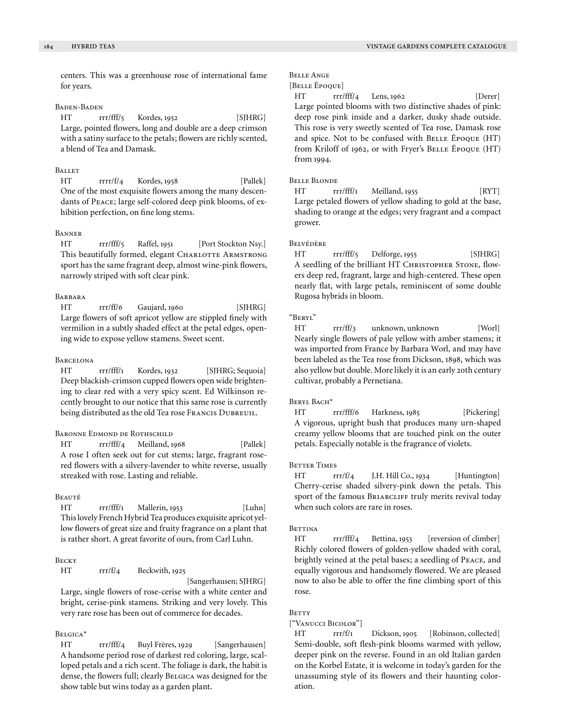centers. This was a greenhouse rose of international fame for years.

## Baden-Baden

HT rrr/fff/5 Kordes, 1952 [SJHRG] Large, pointed flowers, long and double are a deep crimson with a satiny surface to the petals; flowers are richly scented, a blend of Tea and Damask.

# **BALLET**

HT rrrr/f/4 Kordes, 1958 [Pallek] One of the most exquisite flowers among the many descendants of Peace; large self-colored deep pink blooms, of exhibition perfection, on fine long stems.

### **BANNER**

HT rrr/fff/5 Raffel, 1951 [Port Stockton Nsy.] This beautifully formed, elegant CHARLOTTE ARMSTRONG sport has the same fragrant deep, almost wine-pink flowers, narrowly striped with soft clear pink.

## **BARBARA**

HT rrr/ff/6 Gaujard, 1960 [SJHRG] Large flowers of soft apricot yellow are stippled finely with vermilion in a subtly shaded effect at the petal edges, opening wide to expose yellow stamens. Sweet scent.

## **BARCELONA**

HT rrr/fff/1 Kordes, 1932 [SJHRG; Sequoia] Deep blackish-crimson cupped flowers open wide brightening to clear red with a very spicy scent. Ed Wilkinson recently brought to our notice that this same rose is currently being distributed as the old Tea rose FRANCIS DUBREUIL.

## Baronne Edmond de Rothschild

HT rrr/fff/4 Meilland, 1968 [Pallek] A rose I often seek out for cut stems; large, fragrant rosered flowers with a silvery-lavender to white reverse, usually streaked with rose. Lasting and reliable.

# **BEAUTÉ**

HT rrr/fff/1 Mallerin, 1953 [Luhn] This lovely French Hybrid Tea produces exquisite apricot yellow flowers of great size and fruity fragrance on a plant that is rather short. A great favorite of ours, from Carl Luhn.

## **BECKY**

HT rrr/f/4 Beckwith, 1925

[Sangerhausen; SJHRG]

Large, single flowers of rose-cerise with a white center and bright, cerise-pink stamens. Striking and very lovely. This very rare rose has been out of commerce for decades.

## Belgica\*

HT rrr/fff/4 Buyl Frères, 1929 [Sangerhausen] A handsome period rose of darkest red coloring, large, scalloped petals and a rich scent. The foliage is dark, the habit is dense, the flowers full; clearly Belgica was designed for the show table but wins today as a garden plant.

# Belle Ange

```
[Belle Époque]
```
HT rrr/fff/4 Lens, 1962 [Derer] Large pointed blooms with two distinctive shades of pink: deep rose pink inside and a darker, dusky shade outside. This rose is very sweetly scented of Tea rose, Damask rose and spice. Not to be confused with BELLE ÉPOQUE (HT) from Kriloff of 1962, or with Fryer's BELLE ÉPOQUE (HT) from 1994.

## Belle Blonde

HT rrr/fff/1 Meilland, 1955 [RYT] Large petaled flowers of yellow shading to gold at the base, shading to orange at the edges; very fragrant and a compact grower.

## Belvédère

HT rrr/fff/5 Delforge, 1955 [SJHRG] A seedling of the brilliant HT CHRISTOPHER STONE, flowers deep red, fragrant, large and high-centered. These open nearly flat, with large petals, reminiscent of some double Rugosa hybrids in bloom.

## "Beryl"

HT rrr/ff/3 unknown, unknown [Worl] Nearly single flowers of pale yellow with amber stamens; it was imported from France by Barbara Worl, and may have been labeled as the Tea rose from Dickson, 1898, which was also yellow but double. More likely it is an early 20th century cultivar, probably a Pernetiana.

#### Beryl Bach\*

HT rrr/fff/6 Harkness, 1985 [Pickering] A vigorous, upright bush that produces many urn-shaped creamy yellow blooms that are touched pink on the outer petals. Especially notable is the fragrance of violets.

## **BETTER TIMES**

HT rrr/f/4 J.H. Hill Co., 1934 [Huntington] Cherry-cerise shaded silvery-pink down the petals. This sport of the famous BRIARCLIFF truly merits revival today when such colors are rare in roses.

#### **BETTINA**

HT rrr/fff/4 Bettina, 1953 [reversion of climber] Richly colored flowers of golden-yellow shaded with coral, brightly veined at the petal bases; a seedling of Peace, and equally vigorous and handsomely flowered. We are pleased now to also be able to offer the fine climbing sport of this rose.

## **BETTY**

#### ["Vanucci Bicolor"]

HT rrr/f/1 Dickson, 1905 [Robinson, collected] Semi-double, soft flesh-pink blooms warmed with yellow, deeper pink on the reverse. Found in an old Italian garden on the Korbel Estate, it is welcome in today's garden for the unassuming style of its flowers and their haunting coloration.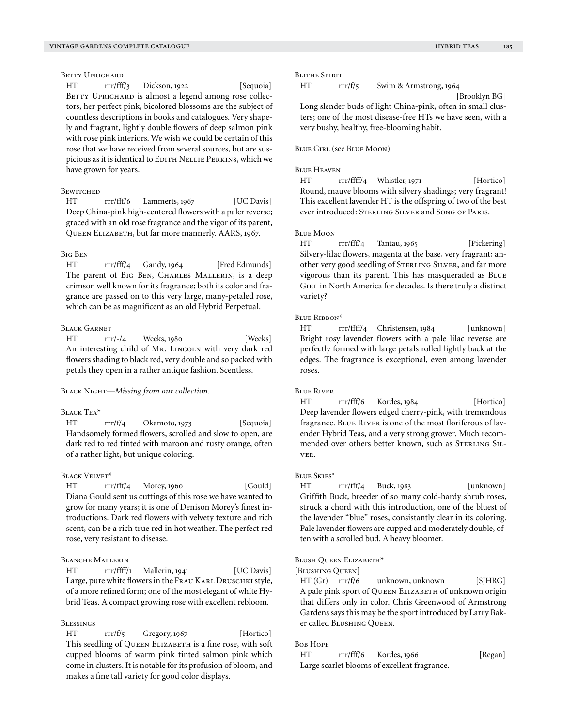## BETTY UPRICHARD

HT rrr/fff/3 Dickson, 1922 [Sequoia] BETTY UPRICHARD is almost a legend among rose collectors, her perfect pink, bicolored blossoms are the subject of countless descriptions in books and catalogues. Very shapely and fragrant, lightly double flowers of deep salmon pink with rose pink interiors. We wish we could be certain of this rose that we have received from several sources, but are suspicious as it is identical to EDITH NELLIE PERKINS, which we have grown for years.

#### **BEWITCHED**

HT rrr/fff/6 Lammerts, 1967 [UC Davis] Deep China-pink high-centered flowers with a paler reverse; graced with an old rose fragrance and the vigor of its parent, QUEEN ELIZABETH, but far more mannerly. AARS, 1967.

## Big Ben

HT rrr/fff/4 Gandy, 1964 [Fred Edmunds] The parent of BIG BEN, CHARLES MALLERIN, is a deep crimson well known for its fragrance; both its color and fragrance are passed on to this very large, many-petaled rose, which can be as magnificent as an old Hybrid Perpetual.

#### Black Garnet

HT rrr/-/4 Weeks, 1980 [Weeks] An interesting child of Mr. LINCOLN with very dark red flowers shading to black red, very double and so packed with petals they open in a rather antique fashion. Scentless.

Black Night—*Missing from our collection.*

## Black Tea\*

HT rrr/f/4 Okamoto, 1973 [Sequoia] Handsomely formed flowers, scrolled and slow to open, are dark red to red tinted with maroon and rusty orange, often of a rather light, but unique coloring.

## BLACK VELVET\*

HT rrr/fff/4 Morey, 1960 [Gould] Diana Gould sent us cuttings of this rose we have wanted to grow for many years; it is one of Denison Morey's finest introductions. Dark red flowers with velvety texture and rich scent, can be a rich true red in hot weather. The perfect red rose, very resistant to disease.

# Blanche Mallerin

HT rrr/ffff/1 Mallerin, 1941 [UC Davis] Large, pure white flowers in the FRAU KARL DRUSCHKI style, of a more refined form; one of the most elegant of white Hybrid Teas. A compact growing rose with excellent rebloom.

## Blessings

HT rrr/f/5 Gregory, 1967 [Hortico] This seedling of QUEEN ELIZABETH is a fine rose, with soft cupped blooms of warm pink tinted salmon pink which come in clusters. It is notable for its profusion of bloom, and makes a fine tall variety for good color displays.

#### Blithe Spirit

HT rrr/f/5 Swim & Armstrong, 1964

[Brooklyn BG]

Long slender buds of light China-pink, often in small clusters; one of the most disease-free HTs we have seen, with a very bushy, healthy, free-blooming habit.

#### Blue Girl (see Blue Moon)

#### Blue Heaven

HT rrr/ffff/4 Whistler, 1971 [Hortico] Round, mauve blooms with silvery shadings; very fragrant! This excellent lavender HT is the offspring of two of the best ever introduced: STERLING SILVER and SONG OF PARIS.

## Blue Moon

HT rrr/fff/4 Tantau, 1965 [Pickering] Silvery-lilac flowers, magenta at the base, very fragrant; another very good seedling of STERLING SILVER, and far more vigorous than its parent. This has masqueraded as Blue GIRL in North America for decades. Is there truly a distinct variety?

## Blue Ribbon\*

HT rrr/ffff/4 Christensen, 1984 [unknown] Bright rosy lavender flowers with a pale lilac reverse are perfectly formed with large petals rolled lightly back at the edges. The fragrance is exceptional, even among lavender roses.

#### **BLUE RIVER**

HT rrr/fff/6 Kordes, 1984 [Hortico] Deep lavender flowers edged cherry-pink, with tremendous fragrance. Blue River is one of the most floriferous of lavender Hybrid Teas, and a very strong grower. Much recommended over others better known, such as STERLING SILver.

#### Blue Skies\*

HT rrr/fff/4 Buck, 1983 [unknown] Griffith Buck, breeder of so many cold-hardy shrub roses, struck a chord with this introduction, one of the bluest of the lavender "blue" roses, consistantly clear in its coloring. Pale lavender flowers are cupped and moderately double, often with a scrolled bud. A heavy bloomer.

#### Blush Queen Elizabeth\*

[Blushing Queen]

HT (Gr) rrr/f/6 unknown, unknown [SJHRG] A pale pink sport of QUEEN ELIZABETH of unknown origin that differs only in color. Chris Greenwood of Armstrong Gardens says this may be the sport introduced by Larry Baker called Blushing Queen.

#### Bob Hope

HT rrr/fff/6 Kordes, 1966 [Regan] Large scarlet blooms of excellent fragrance.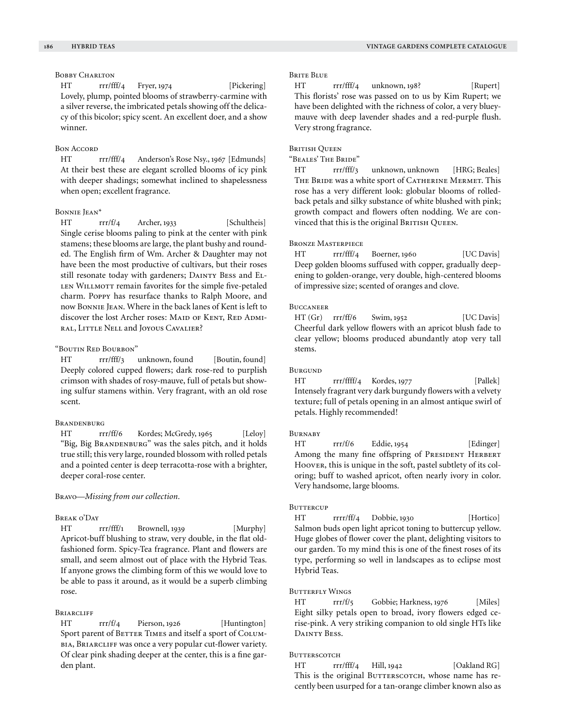# BOBBY CHARLTON

HT rrr/fff/4 Fryer, 1974 [Pickering] Lovely, plump, pointed blooms of strawberry-carmine with a silver reverse, the imbricated petals showing off the delicacy of this bicolor; spicy scent. An excellent doer, and a show winner.

## Bon Accord

HT rrr/fff/4 Anderson's Rose Nsy., 1967 [Edmunds] At their best these are elegant scrolled blooms of icy pink with deeper shadings; somewhat inclined to shapelessness when open; excellent fragrance.

#### Bonnie Jean\*

HT rrr/f/4 Archer, 1933 [Schultheis] Single cerise blooms paling to pink at the center with pink stamens; these blooms are large, the plant bushy and rounded. The English firm of Wm. Archer & Daughter may not have been the most productive of cultivars, but their roses still resonate today with gardeners; DAINTY BESS and EL-LEN WILLMOTT remain favorites for the simple five-petaled charm. Poppy has resurface thanks to Ralph Moore, and now Bonnie Jean. Where in the back lanes of Kent is left to discover the lost Archer roses: MAID OF KENT, RED ADMIral, Little Nell and Joyous Cavalier?

# "Boutin Red Bourbon"

HT rrr/fff/3 unknown, found [Boutin, found] Deeply colored cupped flowers; dark rose-red to purplish crimson with shades of rosy-mauve, full of petals but showing sulfur stamens within. Very fragrant, with an old rose scent.

## Brandenburg

HT rrr/ff/6 Kordes; McGredy, 1965 [Leloy] "Big, Big BRANDENBURG" was the sales pitch, and it holds true still; this very large, rounded blossom with rolled petals and a pointed center is deep terracotta-rose with a brighter, deeper coral-rose center.

Bravo—*Missing from our collection.*

#### Break o'Day

HT rrr/fff/1 Brownell, 1939 [Murphy] Apricot-buff blushing to straw, very double, in the flat oldfashioned form. Spicy-Tea fragrance. Plant and flowers are small, and seem almost out of place with the Hybrid Teas. If anyone grows the climbing form of this we would love to be able to pass it around, as it would be a superb climbing rose.

## **BRIARCLIFF**

HT rrr/f/4 Pierson, 1926 [Huntington] Sport parent of BETTER TIMES and itself a sport of COLUMbia, Briarcliff was once a very popular cut-flower variety. Of clear pink shading deeper at the center, this is a fine garden plant.

## Brite Blue

HT rrr/fff/4 unknown, 198? [Rupert] This florists' rose was passed on to us by Kim Rupert; we have been delighted with the richness of color, a very blueymauve with deep lavender shades and a red-purple flush. Very strong fragrance.

## **BRITISH OUEEN**

"Beales' The Bride"

HT rrr/fff/3 unknown, unknown [HRG; Beales] THE BRIDE was a white sport of CATHERINE MERMET. This rose has a very different look: globular blooms of rolledback petals and silky substance of white blushed with pink; growth compact and flowers often nodding. We are convinced that this is the original BRITISH QUEEN.

# Bronze Masterpiece

HT rrr/fff/4 Boerner, 1960 [UC Davis] Deep golden blooms suffused with copper, gradually deepening to golden-orange, very double, high-centered blooms of impressive size; scented of oranges and clove.

#### **BUCCANEER**

HT (Gr) rrr/ff/6 Swim, 1952 [UC Davis] Cheerful dark yellow flowers with an apricot blush fade to clear yellow; blooms produced abundantly atop very tall stems.

#### **BURGUND**

HT rrr/ffff/4 Kordes, 1977 [Pallek] Intensely fragrant very dark burgundy flowers with a velvety texture; full of petals opening in an almost antique swirl of petals. Highly recommended!

## **BURNABY**

HT rrr/f/6 Eddie, 1954 [Edinger] Among the many fine offspring of PRESIDENT HERBERT Hoover, this is unique in the soft, pastel subtlety of its coloring; buff to washed apricot, often nearly ivory in color. Very handsome, large blooms.

#### **BUTTERCUP**

HT rrr/ff/4 Dobbie, 1930 [Hortico] Salmon buds open light apricot toning to buttercup yellow. Huge globes of flower cover the plant, delighting visitors to our garden. To my mind this is one of the finest roses of its type, performing so well in landscapes as to eclipse most Hybrid Teas.

## BUTTERFLY WINGS

HT rrr/f/5 Gobbie; Harkness, 1976 [Miles] Eight silky petals open to broad, ivory flowers edged cerise-pink. A very striking companion to old single HTs like DAINTY BESS.

#### **BUTTERSCOTCH**

HT rrr/fff/4 Hill, 1942 [Oakland RG] This is the original BUTTERSCOTCH, whose name has recently been usurped for a tan-orange climber known also as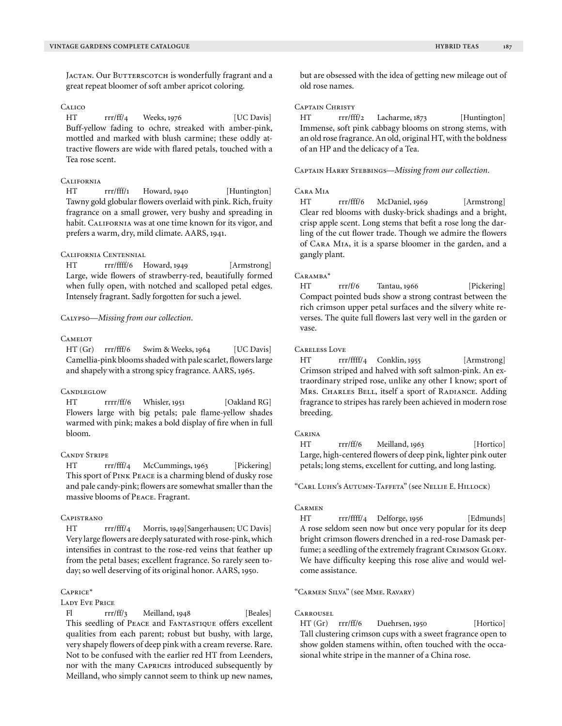JACTAN. Our BUTTERSCOTCH is wonderfully fragrant and a great repeat bloomer of soft amber apricot coloring.

# **CALICO**

HT rrr/ff/4 Weeks, 1976 [UC Davis] Buff-yellow fading to ochre, streaked with amber-pink, mottled and marked with blush carmine; these oddly attractive flowers are wide with flared petals, touched with a Tea rose scent.

## **CALIFORNIA**

HT rrr/fff/1 Howard, 1940 [Huntington] Tawny gold globular flowers overlaid with pink. Rich, fruity fragrance on a small grower, very bushy and spreading in habit. CALIFORNIA was at one time known for its vigor, and prefers a warm, dry, mild climate. AARS, 1941.

## California Centennial

HT rrr/ffff/6 Howard, 1949 [Armstrong] Large, wide flowers of strawberry-red, beautifully formed when fully open, with notched and scalloped petal edges. Intensely fragrant. Sadly forgotten for such a jewel.

Calypso—*Missing from our collection.*

# **CAMELOT**

HT (Gr) rrr/fff/6 Swim & Weeks, 1964 [UC Davis] Camellia-pink blooms shaded with pale scarlet, flowers large and shapely with a strong spicy fragrance. AARS, 1965.

## **CANDLEGLOW**

HT rrrr/ff/6 Whisler, 1951 [Oakland RG] Flowers large with big petals; pale flame-yellow shades warmed with pink; makes a bold display of fire when in full bloom.

## Candy Stripe

HT rrr/fff/4 McCummings, 1963 [Pickering] This sport of Pink Peace is a charming blend of dusky rose and pale candy-pink; flowers are somewhat smaller than the massive blooms of Peace. Fragrant.

## **CAPISTRANO**

HT rrr/fff/4 Morris, 1949[Sangerhausen; UC Davis] Very large flowers are deeply saturated with rose-pink, which intensifies in contrast to the rose-red veins that feather up from the petal bases; excellent fragrance. So rarely seen today; so well deserving of its original honor. AARS, 1950.

#### Caprice\*

#### Lady Eve Price

Fl rrr/ff/3 Meilland, 1948 [Beales] This seedling of Peace and Fantastique offers excellent qualities from each parent; robust but bushy, with large, very shapely flowers of deep pink with a cream reverse. Rare. Not to be confused with the earlier red HT from Leenders, nor with the many Caprices introduced subsequently by Meilland, who simply cannot seem to think up new names,

but are obsessed with the idea of getting new mileage out of old rose names.

# Captain Christy

HT rrr/fff/2 Lacharme, 1873 [Huntington] Immense, soft pink cabbagy blooms on strong stems, with an old rose fragrance. An old, original HT, with the boldness of an HP and the delicacy of a Tea.

Captain Harry Stebbings—*Missing from our collection.*

#### Cara Mia

HT rrr/fff/6 McDaniel, 1969 [Armstrong] Clear red blooms with dusky-brick shadings and a bright, crisp apple scent. Long stems that befit a rose long the darling of the cut flower trade. Though we admire the flowers of Cara Mia, it is a sparse bloomer in the garden, and a gangly plant.

#### Caramba\*

HT rrr/f/6 Tantau, 1966 [Pickering] Compact pointed buds show a strong contrast between the rich crimson upper petal surfaces and the silvery white reverses. The quite full flowers last very well in the garden or vase.

## Careless Love

HT rrr/ffff/4 Conklin, 1955 [Armstrong] Crimson striped and halved with soft salmon-pink. An extraordinary striped rose, unlike any other I know; sport of Mrs. CHARLES BELL, itself a sport of RADIANCE. Adding fragrance to stripes has rarely been achieved in modern rose breeding.

# **CARINA**

HT rrr/ff/6 Meilland, 1963 [Hortico] Large, high-centered flowers of deep pink, lighter pink outer petals; long stems, excellent for cutting, and long lasting.

"Carl Luhn's Autumn-Taffeta" (see Nellie E. Hillock)

## **CARMEN**

HT rrr/ffff/4 Delforge, 1956 [Edmunds] A rose seldom seen now but once very popular for its deep bright crimson flowers drenched in a red-rose Damask perfume; a seedling of the extremely fragrant CRIMSON GLORY. We have difficulty keeping this rose alive and would welcome assistance.

## "Carmen Silva" (see Mme. Ravary)

## Carrousel

HT (Gr) rrr/ff/6 Duehrsen, 1950 [Hortico] Tall clustering crimson cups with a sweet fragrance open to show golden stamens within, often touched with the occasional white stripe in the manner of a China rose.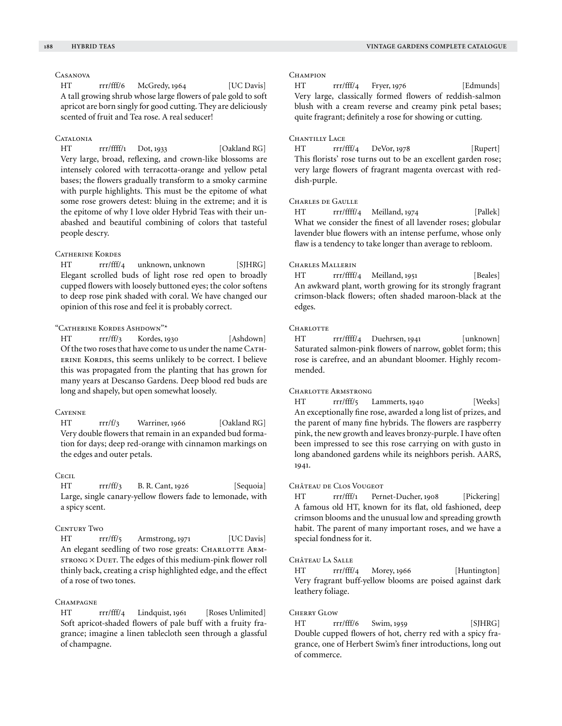## Casanova

HT rrr/fff/6 McGredy, 1964 [UC Davis] A tall growing shrub whose large flowers of pale gold to soft apricot are born singly for good cutting. They are deliciously scented of fruit and Tea rose. A real seducer!

#### CATALONIA

HT rrr/ffff/1 Dot, 1933 [Oakland RG] Very large, broad, reflexing, and crown-like blossoms are intensely colored with terracotta-orange and yellow petal bases; the flowers gradually transform to a smoky carmine with purple highlights. This must be the epitome of what some rose growers detest: bluing in the extreme; and it is the epitome of why I love older Hybrid Teas with their unabashed and beautiful combining of colors that tasteful people descry.

## Catherine Kordes

HT rrr/fff/4 unknown, unknown [SJHRG] Elegant scrolled buds of light rose red open to broadly cupped flowers with loosely buttoned eyes; the color softens to deep rose pink shaded with coral. We have changed our opinion of this rose and feel it is probably correct.

## "Catherine Kordes Ashdown"\*

HT rrr/ff/3 Kordes, 1930 [Ashdown] Of the two roses that have come to us under the name CATHerine Kordes, this seems unlikely to be correct. I believe this was propagated from the planting that has grown for many years at Descanso Gardens. Deep blood red buds are long and shapely, but open somewhat loosely.

## **CAYENNE**

HT rrr/f/3 Warriner, 1966 [Oakland RG] Very double flowers that remain in an expanded bud formation for days; deep red-orange with cinnamon markings on the edges and outer petals.

#### C<sub>ECIL</sub>

HT rrr/ff/3 B. R. Cant, 1926 [Sequoia] Large, single canary-yellow flowers fade to lemonade, with a spicy scent.

## CENTURY TWO

HT rrr/ff/5 Armstrong, 1971 [UC Davis] An elegant seedling of two rose greats: CHARLOTTE ARMstrong  $\times$  Duet. The edges of this medium-pink flower roll thinly back, creating a crisp highlighted edge, and the effect of a rose of two tones.

## CHAMPAGNE

HT rrr/fff/4 Lindquist, 1961 [Roses Unlimited] Soft apricot-shaded flowers of pale buff with a fruity fragrance; imagine a linen tablecloth seen through a glassful of champagne.

#### CHAMPION

HT rrr/fff/4 Fryer, 1976 [Edmunds] Very large, classically formed flowers of reddish-salmon blush with a cream reverse and creamy pink petal bases; quite fragrant; definitely a rose for showing or cutting.

## CHANTILLY LACE

HT rrr/fff/4 DeVor, 1978 [Rupert] This florists' rose turns out to be an excellent garden rose; very large flowers of fragrant magenta overcast with reddish-purple.

## Charles de Gaulle

HT rrr/ffff/4 Meilland, 1974 [Pallek] What we consider the finest of all lavender roses; globular lavender blue flowers with an intense perfume, whose only flaw is a tendency to take longer than average to rebloom.

## Charles Mallerin

HT rrr/ffff/4 Meilland, 1951 [Beales] An awkward plant, worth growing for its strongly fragrant crimson-black flowers; often shaded maroon-black at the edges.

## **CHARLOTTE**

HT rrr/ffff/4 Duehrsen, 1941 [unknown] Saturated salmon-pink flowers of narrow, goblet form; this rose is carefree, and an abundant bloomer. Highly recommended.

#### CHARLOTTE ARMSTRONG

HT rrr/fff/5 Lammerts, 1940 [Weeks] An exceptionally fine rose, awarded a long list of prizes, and the parent of many fine hybrids. The flowers are raspberry pink, the new growth and leaves bronzy-purple. I have often been impressed to see this rose carrying on with gusto in long abandoned gardens while its neighbors perish. AARS, 1941.

#### Château de Clos Vougeot

HT rrr/fff/1 Pernet-Ducher, 1908 [Pickering] A famous old HT, known for its flat, old fashioned, deep crimson blooms and the unusual low and spreading growth habit. The parent of many important roses, and we have a special fondness for it.

## Château La Salle

HT rrr/fff/4 Morey, 1966 [Huntington] Very fragrant buff-yellow blooms are poised against dark leathery foliage.

#### Cherry Glow

HT rrr/fff/6 Swim, 1959 [SJHRG] Double cupped flowers of hot, cherry red with a spicy fragrance, one of Herbert Swim's finer introductions, long out of commerce.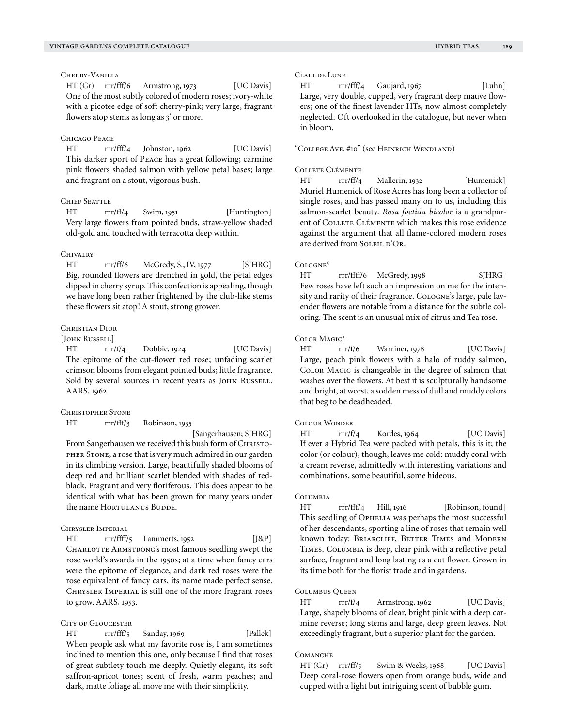HT (Gr) rrr/fff/6 Armstrong, 1973 [UC Davis] One of the most subtly colored of modern roses; ivory-white with a picotee edge of soft cherry-pink; very large, fragrant flowers atop stems as long as 3' or more.

#### Chicago Peace

HT rrr/fff/4 Johnston, 1962 [UC Davis] This darker sport of Peace has a great following; carmine pink flowers shaded salmon with yellow petal bases; large and fragrant on a stout, vigorous bush.

# CHIEF SEATTLE

HT rrr/ff/4 Swim, 1951 [Huntington] Very large flowers from pointed buds, straw-yellow shaded old-gold and touched with terracotta deep within.

#### **CHIVALRY**

HT rrr/ff/6 McGredy, S., IV, 1977 [SJHRG] Big, rounded flowers are drenched in gold, the petal edges dipped in cherry syrup. This confection is appealing, though we have long been rather frightened by the club-like stems these flowers sit atop! A stout, strong grower.

## Christian Dior

## [JOHN RUSSELL]

HT rrr/f/4 Dobbie, 1924 [UC Davis] The epitome of the cut-flower red rose; unfading scarlet crimson blooms from elegant pointed buds; little fragrance. Sold by several sources in recent years as JOHN RUSSELL. AARS, 1962.

#### Christopher Stone

HT rrr/fff/3 Robinson, 1935

[Sangerhausen; SJHRG]

From Sangerhausen we received this bush form of CHRISTOpher Stone, a rose that is very much admired in our garden in its climbing version. Large, beautifully shaded blooms of deep red and brilliant scarlet blended with shades of redblack. Fragrant and very floriferous. This does appear to be identical with what has been grown for many years under the name HORTULANUS BUDDE.

## Chrysler Imperial

HT rrr/ffff/5 Lammerts, 1952 [J&P] CHARLOTTE ARMSTRONG's most famous seedling swept the rose world's awards in the 1950s; at a time when fancy cars were the epitome of elegance, and dark red roses were the rose equivalent of fancy cars, its name made perfect sense. Chrysler Imperial is still one of the more fragrant roses to grow. AARS, 1953.

#### CITY OF GLOUCESTER

HT rrr/fff/5 Sanday, 1969 [Pallek] When people ask what my favorite rose is, I am sometimes inclined to mention this one, only because I find that roses of great subtlety touch me deeply. Quietly elegant, its soft saffron-apricot tones; scent of fresh, warm peaches; and dark, matte foliage all move me with their simplicity.

#### Clair de Lune

HT rrr/fff/4 Gaujard, 1967 [Luhn] Large, very double, cupped, very fragrant deep mauve flowers; one of the finest lavender HTs, now almost completely neglected. Oft overlooked in the catalogue, but never when in bloom.

"College Ave. #10" (see Heinrich Wendland)

#### Collete Clémente

HT rrr/ff/4 Mallerin, 1932 [Humenick] Muriel Humenick of Rose Acres has long been a collector of single roses, and has passed many on to us, including this salmon-scarlet beauty. *Rosa foetida bicolor* is a grandparent of Collete Clémente which makes this rose evidence against the argument that all flame-colored modern roses are derived from  $S$ OLEIL D'OR.

## Cologne\*

HT rrr/ffff/6 McGredy, 1998 [SJHRG] Few roses have left such an impression on me for the intensity and rarity of their fragrance. COLOGNE's large, pale lavender flowers are notable from a distance for the subtle coloring. The scent is an unusual mix of citrus and Tea rose.

#### Color Magic\*

HT rrr/f/6 Warriner, 1978 [UC Davis] Large, peach pink flowers with a halo of ruddy salmon, COLOR MAGIC is changeable in the degree of salmon that washes over the flowers. At best it is sculpturally handsome and bright, at worst, a sodden mess of dull and muddy colors that beg to be deadheaded.

#### Colour Wonder

HT rrr/f/4 Kordes, 1964 [UC Davis] If ever a Hybrid Tea were packed with petals, this is it; the color (or colour), though, leaves me cold: muddy coral with a cream reverse, admittedly with interesting variations and combinations, some beautiful, some hideous.

#### **COLUMBIA**

HT rrr/fff/4 Hill, 1916 [Robinson, found] This seedling of Ophelia was perhaps the most successful of her descendants, sporting a line of roses that remain well known today: BRIARCLIFF, BETTER TIMES and MODERN Times. Columbia is deep, clear pink with a reflective petal surface, fragrant and long lasting as a cut flower. Grown in its time both for the florist trade and in gardens.

#### Columbus Queen

HT rrr/f/4 Armstrong, 1962 [UC Davis] Large, shapely blooms of clear, bright pink with a deep carmine reverse; long stems and large, deep green leaves. Not exceedingly fragrant, but a superior plant for the garden.

#### COMANCHE

HT (Gr) rrr/ff/5 Swim & Weeks, 1968 [UC Davis] Deep coral-rose flowers open from orange buds, wide and cupped with a light but intriguing scent of bubble gum.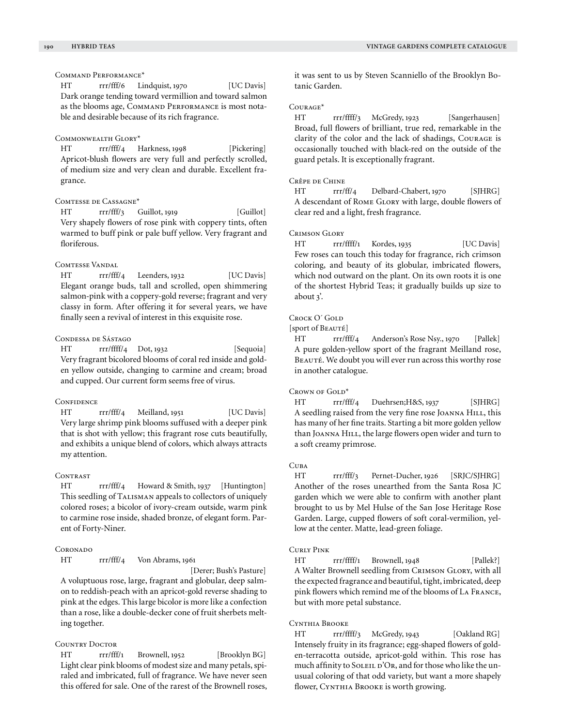## Command Performance\*

HT rrr/fff/6 Lindquist, 1970 [UC Davis] Dark orange tending toward vermillion and toward salmon as the blooms age, COMMAND PERFORMANCE is most notable and desirable because of its rich fragrance.

## Commonwealth Glory\*

HT rrr/fff/4 Harkness, 1998 [Pickering] Apricot-blush flowers are very full and perfectly scrolled, of medium size and very clean and durable. Excellent fragrance.

# Comtesse de Cassagne\*

HT rrr/fff/3 Guillot, 1919 [Guillot] Very shapely flowers of rose pink with coppery tints, often warmed to buff pink or pale buff yellow. Very fragrant and floriferous.

## COMTESSE VANDAL

HT rrr/fff/4 Leenders, 1932 [UC Davis] Elegant orange buds, tall and scrolled, open shimmering salmon-pink with a coppery-gold reverse; fragrant and very classy in form. After offering it for several years, we have finally seen a revival of interest in this exquisite rose.

#### Condessa de Sástago

HT rrr/ffff/4 Dot, 1932 [Sequoia] Very fragrant bicolored blooms of coral red inside and golden yellow outside, changing to carmine and cream; broad and cupped. Our current form seems free of virus.

#### **CONFIDENCE**

HT rrr/fff/4 Meilland, 1951 [UC Davis] Very large shrimp pink blooms suffused with a deeper pink that is shot with yellow; this fragrant rose cuts beautifully, and exhibits a unique blend of colors, which always attracts my attention.

#### CONTRAST

HT rrr/fff/4 Howard & Smith, 1937 [Huntington] This seedling of TALISMAN appeals to collectors of uniquely colored roses; a bicolor of ivory-cream outside, warm pink to carmine rose inside, shaded bronze, of elegant form. Parent of Forty-Niner.

#### **CORONADO**

HT rrr/fff/4 Von Abrams, 1961

 [Derer; Bush's Pasture] A voluptuous rose, large, fragrant and globular, deep salmon to reddish-peach with an apricot-gold reverse shading to pink at the edges. This large bicolor is more like a confection than a rose, like a double-decker cone of fruit sherbets melting together.

## COUNTRY DOCTOR

HT rrr/fff/1 Brownell, 1952 [Brooklyn BG] Light clear pink blooms of modest size and many petals, spiraled and imbricated, full of fragrance. We have never seen this offered for sale. One of the rarest of the Brownell roses, it was sent to us by Steven Scanniello of the Brooklyn Botanic Garden.

## Courage\*

HT rrr/ffff/3 McGredy, 1923 [Sangerhausen] Broad, full flowers of brilliant, true red, remarkable in the clarity of the color and the lack of shadings, Courage is occasionally touched with black-red on the outside of the guard petals. It is exceptionally fragrant.

## Crêpe de Chine

HT rrr/ff/4 Delbard-Chabert, 1970 [SJHRG] A descendant of ROME GLORY with large, double flowers of clear red and a light, fresh fragrance.

#### Crimson Glory

HT rrr/ffff/1 Kordes, 1935 [UC Davis] Few roses can touch this today for fragrance, rich crimson coloring, and beauty of its globular, imbricated flowers, which nod outward on the plant. On its own roots it is one of the shortest Hybrid Teas; it gradually builds up size to about 3'.

# CROCK O' GOLD

[sport of BEAUTÉ]

HT rrr/fff/4 Anderson's Rose Nsy., 1970 [Pallek] A pure golden-yellow sport of the fragrant Meilland rose, BEAUTÉ. We doubt you will ever run across this worthy rose in another catalogue.

## CROWN OF GOLD\*

HT rrr/fff/4 Duehrsen;H&S, 1937 [SJHRG] A seedling raised from the very fine rose JOANNA HILL, this has many of her fine traits. Starting a bit more golden yellow than JOANNA HILL, the large flowers open wider and turn to a soft creamy primrose.

## Cuba

HT rrr/fff/3 Pernet-Ducher, 1926 [SRJC/SJHRG] Another of the roses unearthed from the Santa Rosa JC garden which we were able to confirm with another plant brought to us by Mel Hulse of the San Jose Heritage Rose Garden. Large, cupped flowers of soft coral-vermilion, yellow at the center. Matte, lead-green foliage.

#### Curly Pink

HT rrr/ffff/1 Brownell, 1948 [Pallek?] A Walter Brownell seedling from CRIMSON GLORY, with all the expected fragrance and beautiful, tight, imbricated, deep pink flowers which remind me of the blooms of La France, but with more petal substance.

#### Cynthia Brooke

HT rrr/ffff/3 McGredy, 1943 [Oakland RG] Intensely fruity in its fragrance; egg-shaped flowers of golden-terracotta outside, apricot-gold within. This rose has much affinity to SOLEIL D'OR, and for those who like the unusual coloring of that odd variety, but want a more shapely flower, CYNTHIA BROOKE is worth growing.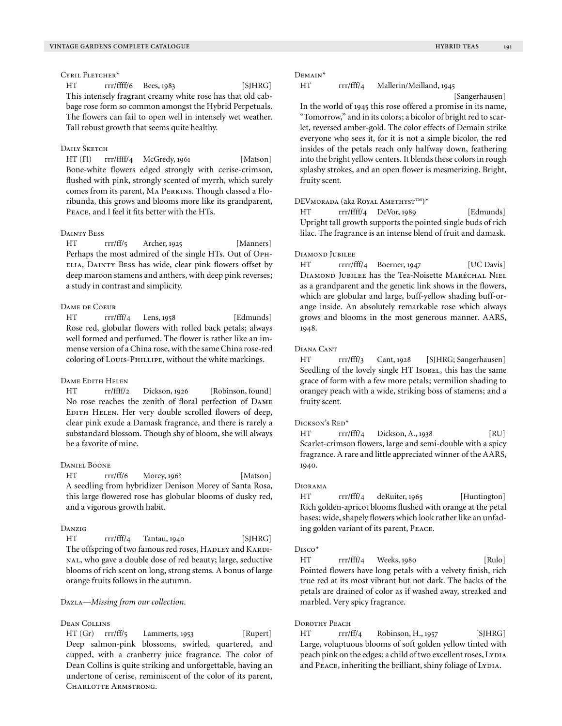## CYRIL FLETCHER<sup>\*</sup>

HT rrr/ffff/6 Bees, 1983 [SJHRG] This intensely fragrant creamy white rose has that old cabbage rose form so common amongst the Hybrid Perpetuals. The flowers can fail to open well in intensely wet weather. Tall robust growth that seems quite healthy.

## DAILY SKETCH

HT (Fl) rrr/ffff/4 McGredy, 1961 [Matson] Bone-white flowers edged strongly with cerise-crimson, flushed with pink, strongly scented of myrrh, which surely comes from its parent, Ma Perkins. Though classed a Floribunda, this grows and blooms more like its grandparent, Peace, and I feel it fits better with the HTs.

## Dainty Bess

HT rrr/ff/5 Archer, 1925 [Manners] Perhaps the most admired of the single HTs. Out of OPH-ELIA, DAINTY BESS has wide, clear pink flowers offset by deep maroon stamens and anthers, with deep pink reverses; a study in contrast and simplicity.

#### Dame de Coeur

HT rrr/fff/4 Lens, 1958 [Edmunds] Rose red, globular flowers with rolled back petals; always well formed and perfumed. The flower is rather like an immense version of a China rose, with the same China rose-red coloring of Louis-Phillipe, without the white markings.

## Dame Edith Helen

HT rr/ffff/2 Dickson, 1926 [Robinson, found] No rose reaches the zenith of floral perfection of Dame EDITH HELEN. Her very double scrolled flowers of deep, clear pink exude a Damask fragrance, and there is rarely a substandard blossom. Though shy of bloom, she will always be a favorite of mine.

## Daniel Boone

HT rrr/ff/6 Morey, 196? [Matson] A seedling from hybridizer Denison Morey of Santa Rosa, this large flowered rose has globular blooms of dusky red, and a vigorous growth habit.

## Danzig

HT rrr/fff/4 Tantau, 1940 [SJHRG] The offspring of two famous red roses, HADLEY and KARDInal, who gave a double dose of red beauty; large, seductive blooms of rich scent on long, strong stems. A bonus of large orange fruits follows in the autumn.

#### Dazla—*Missing from our collection.*

## Dean Collins

HT (Gr) rrr/ff/5 Lammerts, 1953 [Rupert] Deep salmon-pink blossoms, swirled, quartered, and cupped, with a cranberry juice fragrance. The color of Dean Collins is quite striking and unforgettable, having an undertone of cerise, reminiscent of the color of its parent, CHARLOTTE ARMSTRONG.

#### Demain\*

# HT rrr/fff/4 Mallerin/Meilland, 1945

[Sangerhausen]

In the world of 1945 this rose offered a promise in its name, "Tomorrow," and in its colors; a bicolor of bright red to scarlet, reversed amber-gold. The color effects of Demain strike everyone who sees it, for it is not a simple bicolor, the red insides of the petals reach only halfway down, feathering into the bright yellow centers. It blends these colors in rough splashy strokes, and an open flower is mesmerizing. Bright, fruity scent.

## DEVmorada (aka Royal Amethyst™)\*

HT rrr/ffff/4 DeVor, 1989 [Edmunds] Upright tall growth supports the pointed single buds of rich lilac. The fragrance is an intense blend of fruit and damask.

#### Diamond Jubilee

HT rrrr/fff/4 Boerner, 1947 [UC Davis] Diamond Jubilee has the Tea-Noisette Maréchal Niel as a grandparent and the genetic link shows in the flowers, which are globular and large, buff-yellow shading buff-orange inside. An absolutely remarkable rose which always grows and blooms in the most generous manner. AARS, 1948.

#### Diana Cant

HT rrr/fff/3 Cant, 1928 [SJHRG; Sangerhausen] Seedling of the lovely single HT Isobel, this has the same grace of form with a few more petals; vermilion shading to orangey peach with a wide, striking boss of stamens; and a fruity scent.

## Dickson's Red\*

HT rrr/fff/4 Dickson, A., 1938 [RU] Scarlet-crimson flowers, large and semi-double with a spicy fragrance. A rare and little appreciated winner of the AARS, 1940.

#### Diorama

HT rrr/fff/4 deRuiter, 1965 [Huntington] Rich golden-apricot blooms flushed with orange at the petal bases; wide, shapely flowers which look rather like an unfading golden variant of its parent, Peace.

#### Disco\*

HT rrr/fff/4 Weeks, 1980 [Rulo] Pointed flowers have long petals with a velvety finish, rich true red at its most vibrant but not dark. The backs of the petals are drained of color as if washed away, streaked and marbled. Very spicy fragrance.

## DOROTHY PEACH

HT rrr/ff/4 Robinson, H., 1957 [SJHRG] Large, voluptuous blooms of soft golden yellow tinted with peach pink on the edges; a child of two excellent roses, LYDIA and PEACE, inheriting the brilliant, shiny foliage of LYDIA.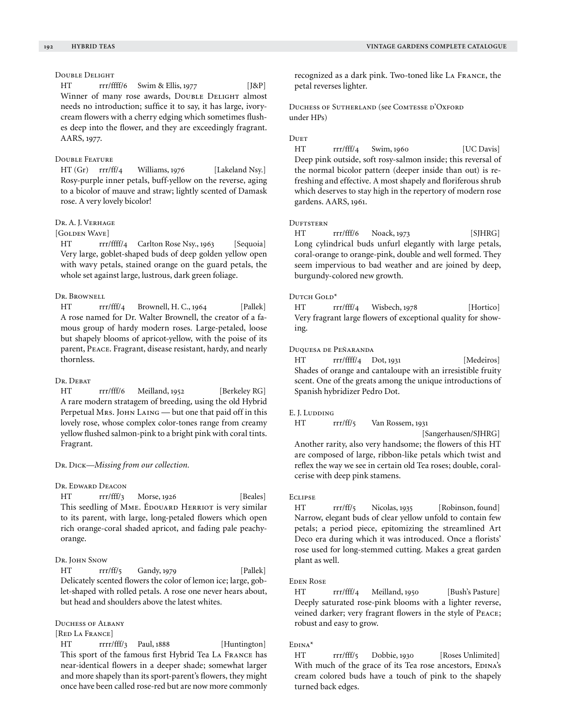# Double Delight

HT  $rr\}/\sqrt{ffff}/6$  Swim & Ellis, 1977 [J&P] Winner of many rose awards, DoubLE DELIGHT almost needs no introduction; suffice it to say, it has large, ivorycream flowers with a cherry edging which sometimes flushes deep into the flower, and they are exceedingly fragrant. AARS, 1977.

## Double Feature

HT (Gr) rrr/ff/4 Williams, 1976 [Lakeland Nsy.] Rosy-purple inner petals, buff-yellow on the reverse, aging to a bicolor of mauve and straw; lightly scented of Damask rose. A very lovely bicolor!

## Dr. A. J. Verhage

# [GOLDEN WAVE]

HT rrr/ffff/4 Carlton Rose Nsy., 1963 [Sequoia] Very large, goblet-shaped buds of deep golden yellow open with wavy petals, stained orange on the guard petals, the whole set against large, lustrous, dark green foliage.

## DR. BROWNELL

HT rrr/fff/4 Brownell, H. C., 1964 [Pallek] A rose named for Dr. Walter Brownell, the creator of a famous group of hardy modern roses. Large-petaled, loose but shapely blooms of apricot-yellow, with the poise of its parent, Peace. Fragrant, disease resistant, hardy, and nearly thornless.

## Dr. Debat

HT rrr/fff/6 Meilland, 1952 [Berkeley RG] A rare modern stratagem of breeding, using the old Hybrid Perpetual Mrs. JOHN LAING — but one that paid off in this lovely rose, whose complex color-tones range from creamy yellow flushed salmon-pink to a bright pink with coral tints. Fragrant.

## Dr. Dick—*Missing from our collection.*

#### Dr. Edward Deacon

HT rrr/fff/3 Morse, 1926 [Beales] This seedling of MME. ÉDOUARD HERRIOT is very similar to its parent, with large, long-petaled flowers which open rich orange-coral shaded apricot, and fading pale peachyorange.

# Dr. JOHN SNOW

HT rrr/ff/5 Gandy, 1979 [Pallek] Delicately scented flowers the color of lemon ice; large, goblet-shaped with rolled petals. A rose one never hears about, but head and shoulders above the latest whites.

## DUCHESS OF ALBANY

# [RED LA FRANCE]

HT rrrr/fff/3 Paul, 1888 [Huntington] This sport of the famous first Hybrid Tea La France has near-identical flowers in a deeper shade; somewhat larger and more shapely than its sport-parent's flowers, they might once have been called rose-red but are now more commonly recognized as a dark pink. Two-toned like La France, the petal reverses lighter.

Duchess of Sutherland (see Comtesse d'Oxford under HPs)

## **DUET**

HT rrr/fff/4 Swim, 1960 [UC Davis] Deep pink outside, soft rosy-salmon inside; this reversal of the normal bicolor pattern (deeper inside than out) is refreshing and effective. A most shapely and floriferous shrub which deserves to stay high in the repertory of modern rose gardens. AARS, 1961.

## **DUFTSTERN**

HT rrr/fff/6 Noack, 1973 [SJHRG] Long cylindrical buds unfurl elegantly with large petals, coral-orange to orange-pink, double and well formed. They seem impervious to bad weather and are joined by deep, burgundy-colored new growth.

## Dutch Gold\*

HT rrr/fff/4 Wisbech, 1978 [Hortico] Very fragrant large flowers of exceptional quality for showing.

# Duquesa de Peñaranda

HT rrr/ffff/4 Dot, 1931 [Medeiros] Shades of orange and cantaloupe with an irresistible fruity scent. One of the greats among the unique introductions of Spanish hybridizer Pedro Dot.

#### E. J. Ludding

HT rrr/ff/5 Van Rossem, 1931

[Sangerhausen/SJHRG]

Another rarity, also very handsome; the flowers of this HT are composed of large, ribbon-like petals which twist and reflex the way we see in certain old Tea roses; double, coralcerise with deep pink stamens.

#### **ECLIPSE**

HT rrr/ff/5 Nicolas, 1935 [Robinson, found] Narrow, elegant buds of clear yellow unfold to contain few petals; a period piece, epitomizing the streamlined Art Deco era during which it was introduced. Once a florists' rose used for long-stemmed cutting. Makes a great garden plant as well.

## Eden Rose

HT rrr/fff/4 Meilland, 1950 [Bush's Pasture] Deeply saturated rose-pink blooms with a lighter reverse, veined darker; very fragrant flowers in the style of Peace; robust and easy to grow.

## Edina\*

HT rrr/fff/5 Dobbie, 1930 [Roses Unlimited] With much of the grace of its Tea rose ancestors, EDINA's cream colored buds have a touch of pink to the shapely turned back edges.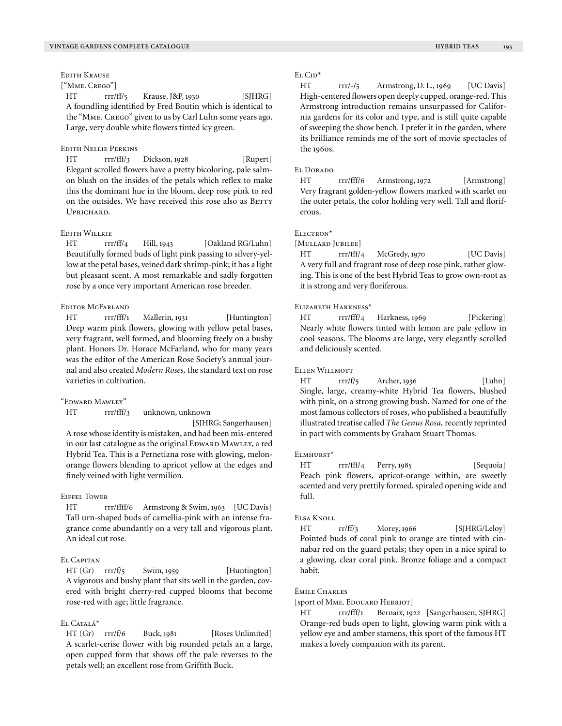Edith Krause

# ["Mme. Crego"]

HT rrr/ff/5 Krause, J&P, 1930 [SJHRG] A foundling identified by Fred Boutin which is identical to the "Mme. Crego" given to us by Carl Luhn some years ago. Large, very double white flowers tinted icy green.

# Edith Nellie Perkins

HT rrr/fff/3 Dickson, 1928 [Rupert] Elegant scrolled flowers have a pretty bicoloring, pale salmon blush on the insides of the petals which reflex to make this the dominant hue in the bloom, deep rose pink to red on the outsides. We have received this rose also as BETTY  $U_{\text{DDICHADD}}$ 

## Edith Willkie

HT rrr/ff/4 Hill, 1943 [Oakland RG/Luhn] Beautifully formed buds of light pink passing to silvery-yellow at the petal bases, veined dark shrimp-pink; it has a light but pleasant scent. A most remarkable and sadly forgotten rose by a once very important American rose breeder.

## Editor McFarland

HT rrr/fff/1 Mallerin, 1931 [Huntington] Deep warm pink flowers, glowing with yellow petal bases, very fragrant, well formed, and blooming freely on a bushy plant. Honors Dr. Horace McFarland, who for many years was the editor of the American Rose Society's annual journal and also created *Modern Roses,* the standard text on rose varieties in cultivation.

#### "Edward Mawley"

HT rrr/fff/3 unknown, unknown

[SJHRG; Sangerhausen]

A rose whose identity is mistaken, and had been mis-entered in our last catalogue as the original EDWARD MAWLEY, a red Hybrid Tea. This is a Pernetiana rose with glowing, melonorange flowers blending to apricot yellow at the edges and finely veined with light vermilion.

# Eiffel Tower

HT rrr/ffff/6 Armstrong & Swim, 1963 [UC Davis] Tall urn-shaped buds of camellia-pink with an intense fragrance come abundantly on a very tall and vigorous plant. An ideal cut rose.

# El Capitan

HT (Gr) rrr/f/5 Swim, 1959 [Huntington] A vigorous and bushy plant that sits well in the garden, covered with bright cherry-red cupped blooms that become rose-red with age; little fragrance.

# EL CATALÁ<sup>\*</sup>

HT (Gr) rrr/f/6 Buck, 1981 [Roses Unlimited] A scarlet-cerise flower with big rounded petals an a large, open cupped form that shows off the pale reverses to the petals well; an excellent rose from Griffith Buck.

#### EL CID<sup>\*</sup>

HT rrr/-/5 Armstrong, D. L., 1969 [UC Davis] High-centered flowers open deeply cupped, orange-red. This Armstrong introduction remains unsurpassed for California gardens for its color and type, and is still quite capable of sweeping the show bench. I prefer it in the garden, where its brilliance reminds me of the sort of movie spectacles of the 1960s.

#### EL DORADO

HT rrr/fff/6 Armstrong, 1972 [Armstrong] Very fragrant golden-yellow flowers marked with scarlet on the outer petals, the color holding very well. Tall and floriferous.

# Electron\*

[Mullard Jubilee]

HT rrr/fff/4 McGredy, 1970 [UC Davis] A very full and fragrant rose of deep rose pink, rather glowing. This is one of the best Hybrid Teas to grow own-root as it is strong and very floriferous.

## Elizabeth Harkness\*

HT rrr/fff/4 Harkness, 1969 [Pickering] Nearly white flowers tinted with lemon are pale yellow in cool seasons. The blooms are large, very elegantly scrolled and deliciously scented.

#### Ellen Willmott

HT rrr/f/5 Archer, 1936 [Luhn] Single, large, creamy-white Hybrid Tea flowers, blushed with pink, on a strong growing bush. Named for one of the most famous collectors of roses, who published a beautifully illustrated treatise called *The Genus Rosa,* recently reprinted in part with comments by Graham Stuart Thomas.

#### Elmhurst\*

HT rrr/fff/4 Perry, 1985 [Sequoia] Peach pink flowers, apricot-orange within, are sweetly scented and very prettily formed, spiraled opening wide and full.

#### Elsa Knoll

HT rr/ff/3 Morey, 1966 [SJHRG/Leloy] Pointed buds of coral pink to orange are tinted with cinnabar red on the guard petals; they open in a nice spiral to a glowing, clear coral pink. Bronze foliage and a compact habit.

## Émile Charles

[sport of Mme. Edouard Herriot]

HT rrr/fff/1 Bernaix, 1922 [Sangerhausen; SJHRG] Orange-red buds open to light, glowing warm pink with a yellow eye and amber stamens, this sport of the famous HT makes a lovely companion with its parent.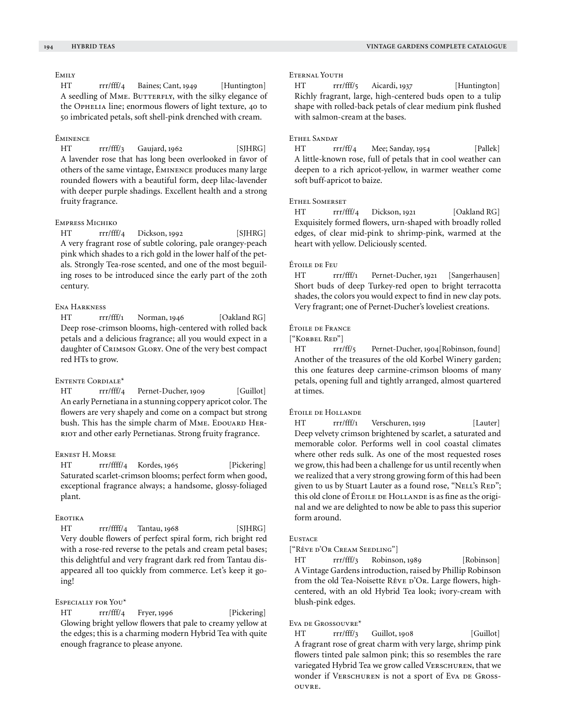# Emily

HT rrr/fff/4 Baines; Cant, 1949 [Huntington] A seedling of MME. BUTTERFLY, with the silky elegance of the Ophelia line; enormous flowers of light texture, 40 to 50 imbricated petals, soft shell-pink drenched with cream.

## Éminence

HT rrr/fff/3 Gaujard, 1962 [SJHRG] A lavender rose that has long been overlooked in favor of others of the same vintage, Éminence produces many large rounded flowers with a beautiful form, deep lilac-lavender with deeper purple shadings. Excellent health and a strong fruity fragrance.

## Empress Michiko

HT rrr/fff/4 Dickson, 1992 [SJHRG] A very fragrant rose of subtle coloring, pale orangey-peach pink which shades to a rich gold in the lower half of the petals. Strongly Tea-rose scented, and one of the most beguiling roses to be introduced since the early part of the 20th century.

#### Ena Harkness

HT rrr/fff/1 Norman, 1946 [Oakland RG] Deep rose-crimson blooms, high-centered with rolled back petals and a delicious fragrance; all you would expect in a daughter of CRIMSON GLORY. One of the very best compact red HTs to grow.

# Entente Cordiale\*

HT rrr/fff/4 Pernet-Ducher, 1909 [Guillot] An early Pernetiana in a stunning coppery apricot color. The flowers are very shapely and come on a compact but strong bush. This has the simple charm of MME. EDOUARD HER-RIOT and other early Pernetianas. Strong fruity fragrance.

#### Ernest H. Morse

HT rrr/ffff/4 Kordes, 1965 [Pickering] Saturated scarlet-crimson blooms; perfect form when good, exceptional fragrance always; a handsome, glossy-foliaged plant.

#### **EROTIKA**

HT rrr/ffff/4 Tantau, 1968 [SJHRG] Very double flowers of perfect spiral form, rich bright red with a rose-red reverse to the petals and cream petal bases; this delightful and very fragrant dark red from Tantau disappeared all too quickly from commerce. Let's keep it going!

#### Especially for You\*

HT rrr/fff/4 Fryer, 1996 [Pickering] Glowing bright yellow flowers that pale to creamy yellow at the edges; this is a charming modern Hybrid Tea with quite enough fragrance to please anyone.

## Eternal Youth

HT rrr/fff/5 Aicardi, 1937 [Huntington] Richly fragrant, large, high-centered buds open to a tulip shape with rolled-back petals of clear medium pink flushed with salmon-cream at the bases.

## Ethel Sanday

HT rrr/ff/4 Mee; Sanday, 1954 [Pallek] A little-known rose, full of petals that in cool weather can deepen to a rich apricot-yellow, in warmer weather come soft buff-apricot to baize.

## Ethel Somerset

HT rrr/fff/4 Dickson, 1921 [Oakland RG] Exquisitely formed flowers, urn-shaped with broadly rolled edges, of clear mid-pink to shrimp-pink, warmed at the heart with yellow. Deliciously scented.

#### Étoile de Feu

HT rrr/fff/1 Pernet-Ducher, 1921 [Sangerhausen] Short buds of deep Turkey-red open to bright terracotta shades, the colors you would expect to find in new clay pots. Very fragrant; one of Pernet-Ducher's loveliest creations.

## Étoile de France

["Korbel Red"]

HT rrr/ff/5 Pernet-Ducher, 1904[Robinson, found] Another of the treasures of the old Korbel Winery garden; this one features deep carmine-crimson blooms of many petals, opening full and tightly arranged, almost quartered at times.

#### Étoile de Hollande

HT rrr/fff/1 Verschuren, 1919 [Lauter] Deep velvety crimson brightened by scarlet, a saturated and memorable color. Performs well in cool coastal climates where other reds sulk. As one of the most requested roses we grow, this had been a challenge for us until recently when we realized that a very strong growing form of this had been given to us by Stuart Lauter as a found rose, "NELL's RED"; this old clone of ÉTOILE DE HOLLANDE is as fine as the original and we are delighted to now be able to pass this superior form around.

## **EUSTACE**

["Rêve d'Or Cream Seedling"]

HT rrr/fff/3 Robinson, 1989 [Robinson] A Vintage Gardens introduction, raised by Phillip Robinson from the old Tea-Noisette Rêve D'Or. Large flowers, highcentered, with an old Hybrid Tea look; ivory-cream with blush-pink edges.

## Eva de Grossouvre\*

HT rrr/fff/3 Guillot, 1908 [Guillot] A fragrant rose of great charm with very large, shrimp pink flowers tinted pale salmon pink; this so resembles the rare variegated Hybrid Tea we grow called VERSCHUREN, that we wonder if VERSCHUREN is not a sport of Eva DE GROSSouvre.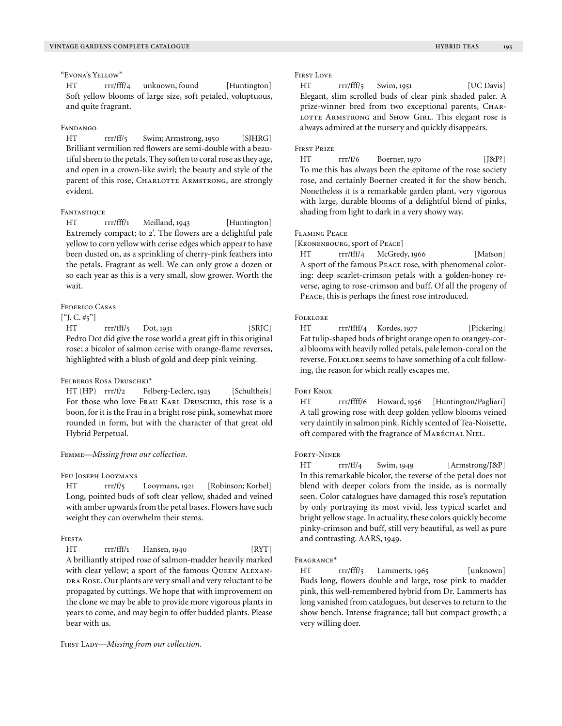## "Evona's Yellow"

HT rrr/fff/4 unknown, found [Huntington] Soft yellow blooms of large size, soft petaled, voluptuous, and quite fragrant.

## Fandango

HT rrr/ff/5 Swim; Armstrong, 1950 [SJHRG] Brilliant vermilion red flowers are semi-double with a beautiful sheen to the petals. They soften to coral rose as they age, and open in a crown-like swirl; the beauty and style of the parent of this rose, CHARLOTTE ARMSTRONG, are strongly evident.

## **FANTASTIQUE**

HT rrr/fff/1 Meilland, 1943 [Huntington] Extremely compact; to 2'. The flowers are a delightful pale yellow to corn yellow with cerise edges which appear to have been dusted on, as a sprinkling of cherry-pink feathers into the petals. Fragrant as well. We can only grow a dozen or so each year as this is a very small, slow grower. Worth the wait.

## Federico Casas

# $[$ "J. C. #5"]

HT rrr/fff/5 Dot, 1931 [SRJC] Pedro Dot did give the rose world a great gift in this original rose; a bicolor of salmon cerise with orange-flame reverses, highlighted with a blush of gold and deep pink veining.

#### FELBERGS ROSA DRUSCHKI\*

HT (HP) rrr/f/2 Felberg-Leclerc, 1925 [Schultheis] For those who love FRAU KARL DRUSCHKI, this rose is a boon, for it is the Frau in a bright rose pink, somewhat more rounded in form, but with the character of that great old Hybrid Perpetual.

#### Femme—*Missing from our collection.*

Feu Joseph Looymans

HT rrr/f/5 Looymans, 1921 [Robinson; Korbel] Long, pointed buds of soft clear yellow, shaded and veined with amber upwards from the petal bases. Flowers have such weight they can overwhelm their stems.

## Fiesta

HT rr/fff/1 Hansen, 1940 [RYT] A brilliantly striped rose of salmon-madder heavily marked with clear yellow; a sport of the famous QUEEN ALEXAN-DRA ROSE. Our plants are very small and very reluctant to be propagated by cuttings. We hope that with improvement on the clone we may be able to provide more vigorous plants in years to come, and may begin to offer budded plants. Please bear with us.

FIRST LADY-Missing from our collection.

## FIRST LOVE

HT rrr/fff/5 Swim, 1951 [UC Davis] Elegant, slim scrolled buds of clear pink shaded paler. A prize-winner bred from two exceptional parents, CHAR-LOTTE ARMSTRONG and SHOW GIRL. This elegant rose is always admired at the nursery and quickly disappears.

## First Prize

HT rrr/f/6 Boerner, 1970 [J&P?] To me this has always been the epitome of the rose society rose, and certainly Boerner created it for the show bench. Nonetheless it is a remarkable garden plant, very vigorous with large, durable blooms of a delightful blend of pinks, shading from light to dark in a very showy way.

## Flaming Peace

[KRONENBOURG, sport of PEACE]

HT rrr/fff/4 McGredy, 1966 [Matson] A sport of the famous Peace rose, with phenomenal coloring: deep scarlet-crimson petals with a golden-honey reverse, aging to rose-crimson and buff. Of all the progeny of Peace, this is perhaps the finest rose introduced.

## **FOLKLORE**

HT rrr/ffff/4 Kordes, 1977 [Pickering] Fat tulip-shaped buds of bright orange open to orangey-coral blooms with heavily rolled petals, pale lemon-coral on the reverse. FOLKLORE seems to have something of a cult following, the reason for which really escapes me.

#### **FORT KNOX**

HT rrr/ffff/6 Howard, 1956 [Huntington/Pagliari] A tall growing rose with deep golden yellow blooms veined very daintily in salmon pink. Richly scented of Tea-Noisette, oft compared with the fragrance of Maréchal Niel.

#### FORTY-NINER

HT rrr/ff/4 Swim, 1949 [Armstrong/J&P] In this remarkable bicolor, the reverse of the petal does not blend with deeper colors from the inside, as is normally seen. Color catalogues have damaged this rose's reputation by only portraying its most vivid, less typical scarlet and bright yellow stage. In actuality, these colors quickly become pinky-crimson and buff, still very beautiful, as well as pure and contrasting. AARS, 1949.

#### Fragrance\*

HT rrr/fff/5 Lammerts, 1965 [unknown] Buds long, flowers double and large, rose pink to madder pink, this well-remembered hybrid from Dr. Lammerts has long vanished from catalogues, but deserves to return to the show bench. Intense fragrance; tall but compact growth; a very willing doer.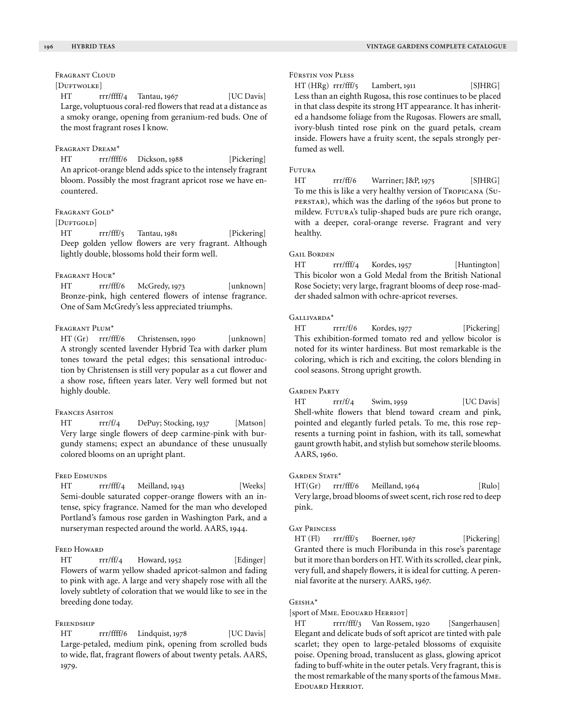# FRAGRANT CLOUD

# [DUFTWOLKE]

HT rrr/ffff/4 Tantau, 1967 [UC Davis] Large, voluptuous coral-red flowers that read at a distance as a smoky orange, opening from geranium-red buds. One of the most fragrant roses I know.

## Fragrant Dream\*

HT rrr/ffff/6 Dickson, 1988 [Pickering] An apricot-orange blend adds spice to the intensely fragrant bloom. Possibly the most fragrant apricot rose we have encountered.

## Fragrant Gold\*

# [DUFTGOLD]

HT rrr/fff/5 Tantau, 1981 [Pickering] Deep golden yellow flowers are very fragrant. Although lightly double, blossoms hold their form well.

## Fragrant Hour\*

HT rrr/fff/6 McGredy, 1973 [unknown] Bronze-pink, high centered flowers of intense fragrance. One of Sam McGredy's less appreciated triumphs.

## FRAGRANT PLUM<sup>\*</sup>

HT (Gr) rrr/fff/6 Christensen, 1990 [unknown] A strongly scented lavender Hybrid Tea with darker plum tones toward the petal edges; this sensational introduction by Christensen is still very popular as a cut flower and a show rose, fifteen years later. Very well formed but not highly double.

## FRANCES ASHTON

HT rrr/f/4 DePuy; Stocking, 1937 [Matson] Very large single flowers of deep carmine-pink with burgundy stamens; expect an abundance of these unusually colored blooms on an upright plant.

#### FRED EDMUNDS

HT rrr/fff/4 Meilland, 1943 [Weeks] Semi-double saturated copper-orange flowers with an intense, spicy fragrance. Named for the man who developed Portland's famous rose garden in Washington Park, and a nurseryman respected around the world. AARS, 1944.

## FRED HOWARD

HT rrr/ff/4 Howard, 1952 [Edinger] Flowers of warm yellow shaded apricot-salmon and fading to pink with age. A large and very shapely rose with all the lovely subtlety of coloration that we would like to see in the breeding done today.

## **FRIENDSHIP**

HT rrr/ffff/6 Lindquist, 1978 [UC Davis] Large-petaled, medium pink, opening from scrolled buds to wide, flat, fragrant flowers of about twenty petals. AARS, 1979.

# Fürstin von Pless

HT (HRg) rrr/fff/5 Lambert, 1911 [SJHRG] Less than an eighth Rugosa, this rose continues to be placed in that class despite its strong HT appearance. It has inherited a handsome foliage from the Rugosas. Flowers are small, ivory-blush tinted rose pink on the guard petals, cream inside. Flowers have a fruity scent, the sepals strongly perfumed as well.

## **FUTURA**

HT rrr/ff/6 Warriner; J&P, 1975 [SJHRG] To me this is like a very healthy version of Tropicana (Superstar), which was the darling of the 1960s but prone to mildew. Futura's tulip-shaped buds are pure rich orange, with a deeper, coral-orange reverse. Fragrant and very healthy.

#### **GAIL BORDEN**

HT rrr/fff/4 Kordes, 1957 [Huntington] This bicolor won a Gold Medal from the British National Rose Society; very large, fragrant blooms of deep rose-madder shaded salmon with ochre-apricot reverses.

## Gallivarda\*

HT rrrr/f/6 Kordes, 1977 [Pickering] This exhibition-formed tomato red and yellow bicolor is noted for its winter hardiness. But most remarkable is the coloring, which is rich and exciting, the colors blending in cool seasons. Strong upright growth.

#### GARDEN PARTY

 $HT$  rrr/f/4 Swim, 1959 [UC Davis] Shell-white flowers that blend toward cream and pink, pointed and elegantly furled petals. To me, this rose represents a turning point in fashion, with its tall, somewhat gaunt growth habit, and stylish but somehow sterile blooms. AARS, 1960.

#### GARDEN STATE<sup>\*</sup>

HT(Gr) rrr/fff/6 Meilland, 1964 [Rulo] Very large, broad blooms of sweet scent, rich rose red to deep pink.

#### Gay Princess

HT (Fl) rrr/fff/5 Boerner, 1967 [Pickering] Granted there is much Floribunda in this rose's parentage but it more than borders on HT. With its scrolled, clear pink, very full, and shapely flowers, it is ideal for cutting. A perennial favorite at the nursery. AARS, 1967.

#### Geisha\*

[sport of Mme. Edouard Herriot]

HT rrrr/fff/3 Van Rossem, 1920 [Sangerhausen] Elegant and delicate buds of soft apricot are tinted with pale scarlet; they open to large-petaled blossoms of exquisite poise. Opening broad, translucent as glass, glowing apricot fading to buff-white in the outer petals. Very fragrant, this is the most remarkable of the many sports of the famous Mme. Edouard Herriot.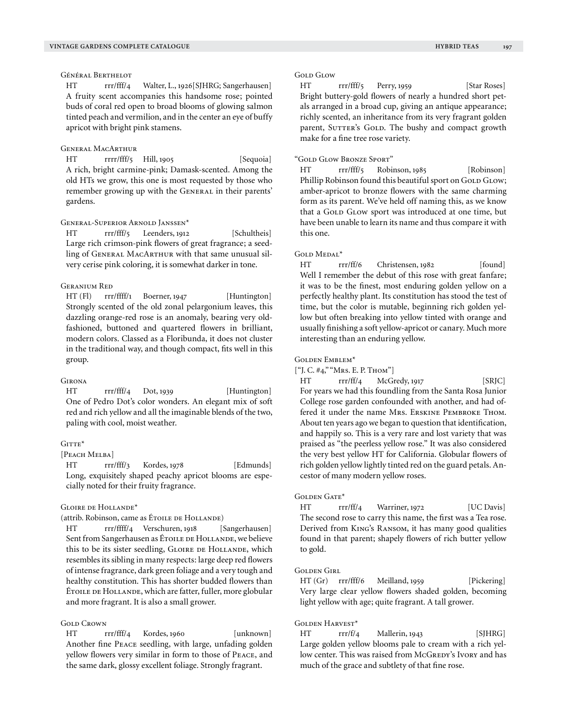## Général Berthelot

HT rrr/fff/4 Walter, L., 1926[SJHRG; Sangerhausen] A fruity scent accompanies this handsome rose; pointed buds of coral red open to broad blooms of glowing salmon tinted peach and vermilion, and in the center an eye of buffy apricot with bright pink stamens.

## General MacArthur

HT rrr/fff/5 Hill, 1905 [Sequoia] A rich, bright carmine-pink; Damask-scented. Among the old HTs we grow, this one is most requested by those who remember growing up with the GENERAL in their parents' gardens.

## General-Superior Arnold Janssen\*

HT rrr/fff/5 Leenders, 1912 [Schultheis] Large rich crimson-pink flowers of great fragrance; a seedling of General MacArthur with that same unusual silvery cerise pink coloring, it is somewhat darker in tone.

## Geranium Red

HT (Fl) rrr/ffff/1 Boerner, 1947 [Huntington] Strongly scented of the old zonal pelargonium leaves, this dazzling orange-red rose is an anomaly, bearing very oldfashioned, buttoned and quartered flowers in brilliant, modern colors. Classed as a Floribunda, it does not cluster in the traditional way, and though compact, fits well in this group.

#### **GIRONA**

HT rrr/fff/4 Dot, 1939 [Huntington] One of Pedro Dot's color wonders. An elegant mix of soft red and rich yellow and all the imaginable blends of the two, paling with cool, moist weather.

## $G$ itte $*$

#### [PEACH MELBA]

HT rrr/fff/3 Kordes, 1978 [Edmunds] Long, exquisitely shaped peachy apricot blooms are especially noted for their fruity fragrance.

#### Gloire de Hollande\*

(attrib. Robinson, came as Étoile de Hollande)

HT rrr/ffff/4 Verschuren, 1918 [Sangerhausen] Sent from Sangerhausen as Étoile de Hollande, we believe this to be its sister seedling, GLOIRE DE HOLLANDE, which resembles its sibling in many respects: large deep red flowers of intense fragrance, dark green foliage and a very tough and healthy constitution. This has shorter budded flowers than ÉTOILE DE HOLLANDE, which are fatter, fuller, more globular and more fragrant. It is also a small grower.

## **GOLD** CROWN

HT rrr/fff/4 Kordes, 1960 [unknown] Another fine Peace seedling, with large, unfading golden yellow flowers very similar in form to those of Peace, and the same dark, glossy excellent foliage. Strongly fragrant.

## **GOLD GLOW**

HT rrr/fff/5 Perry, 1959 [Star Roses] Bright buttery-gold flowers of nearly a hundred short petals arranged in a broad cup, giving an antique appearance; richly scented, an inheritance from its very fragrant golden parent, SUTTER's GOLD. The bushy and compact growth make for a fine tree rose variety.

#### "Gold Glow Bronze Sport"

HT rrr/fff/5 Robinson, 1985 [Robinson] Phillip Robinson found this beautiful sport on GOLD GLOW; amber-apricot to bronze flowers with the same charming form as its parent. We've held off naming this, as we know that a GOLD GLOW sport was introduced at one time, but have been unable to learn its name and thus compare it with this one.

#### GOLD MEDAL<sup>\*</sup>

HT rrr/ff/6 Christensen, 1982 [found] Well I remember the debut of this rose with great fanfare; it was to be the finest, most enduring golden yellow on a perfectly healthy plant. Its constitution has stood the test of time, but the color is mutable, beginning rich golden yellow but often breaking into yellow tinted with orange and usually finishing a soft yellow-apricot or canary. Much more interesting than an enduring yellow.

#### Golden Emblem\*

 $[$ "J. C.  $\#$ 4," "Mrs. E. P. Thom"]

HT rrr/ff/4 McGredy, 1917 [SRJC] For years we had this foundling from the Santa Rosa Junior College rose garden confounded with another, and had offered it under the name Mrs. Erskine Pembroke Thom. About ten years ago we began to question that identification, and happily so. This is a very rare and lost variety that was praised as "the peerless yellow rose." It was also considered the very best yellow HT for California. Globular flowers of rich golden yellow lightly tinted red on the guard petals. Ancestor of many modern yellow roses.

## GOLDEN GATE<sup>\*</sup>

HT rrr/ff/4 Warriner, 1972 [UC Davis] The second rose to carry this name, the first was a Tea rose. Derived from King's Ransom, it has many good qualities found in that parent; shapely flowers of rich butter yellow to gold.

#### Golden Girl

HT (Gr) rrr/fff/6 Meilland, 1959 [Pickering] Very large clear yellow flowers shaded golden, becoming light yellow with age; quite fragrant. A tall grower.

#### $G$ olden Harvest<sup>\*</sup>

HT rrr/f/4 Mallerin, 1943 [SJHRG] Large golden yellow blooms pale to cream with a rich yellow center. This was raised from McGREDY's Ivory and has much of the grace and subtlety of that fine rose.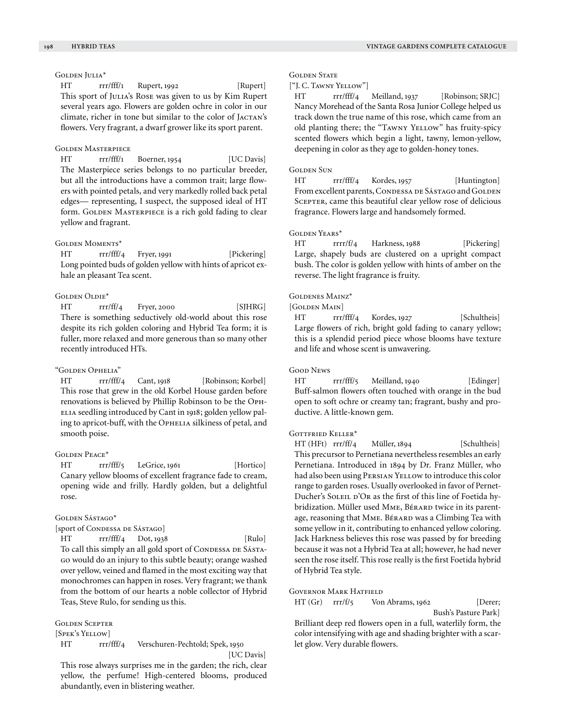Golden Julia\*

HT rrr/fff/1 Rupert, 1992 [Rupert] This sport of JULIA's Rose was given to us by Kim Rupert several years ago. Flowers are golden ochre in color in our climate, richer in tone but similar to the color of JACTAN's flowers. Very fragrant, a dwarf grower like its sport parent.

#### Golden Masterpiece

HT rrr/fff/1 Boerner, 1954 [UC Davis] The Masterpiece series belongs to no particular breeder, but all the introductions have a common trait; large flowers with pointed petals, and very markedly rolled back petal edges— representing, I suspect, the supposed ideal of HT form. GOLDEN MASTERPIECE is a rich gold fading to clear yellow and fragrant.

## Golden Moments\*

HT rrr/fff/4 Fryer, 1991 [Pickering] Long pointed buds of golden yellow with hints of apricot exhale an pleasant Tea scent.

## GOLDEN OLDIE<sup>\*</sup>

HT rrr/ff/4 Fryer, 2000 [SJHRG] There is something seductively old-world about this rose despite its rich golden coloring and Hybrid Tea form; it is fuller, more relaxed and more generous than so many other recently introduced HTs.

#### "Golden Ophelia"

HT rrr/fff/4 Cant, 1918 [Robinson; Korbel] This rose that grew in the old Korbel House garden before renovations is believed by Phillip Robinson to be the Oph-ELIA seedling introduced by Cant in 1918; golden yellow paling to apricot-buff, with the OPHELIA silkiness of petal, and smooth poise.

#### Golden Peace\*

HT rrr/fff/5 LeGrice, 1961 [Hortico] Canary yellow blooms of excellent fragrance fade to cream, opening wide and frilly. Hardly golden, but a delightful rose.

#### Golden Sástago\*

# [sport of Condessa de Sástago]

HT rrr/fff/4 Dot, 1938 [Rulo] To call this simply an all gold sport of Condessa DE SÁSTAgo would do an injury to this subtle beauty; orange washed over yellow, veined and flamed in the most exciting way that monochromes can happen in roses. Very fragrant; we thank from the bottom of our hearts a noble collector of Hybrid Teas, Steve Rulo, for sending us this.

#### Golden Scepter

[Spek's Yellow]

HT rrr/fff/4 Verschuren-Pechtold; Spek, 1950 [UC Davis]

This rose always surprises me in the garden; the rich, clear yellow, the perfume! High-centered blooms, produced abundantly, even in blistering weather.

#### **GOLDEN STATE**

#### ["J. C. Tawny Yellow"]

HT rrr/fff/4 Meilland, 1937 [Robinson; SRJC] Nancy Morehead of the Santa Rosa Junior College helped us track down the true name of this rose, which came from an old planting there; the "Tawny Yellow" has fruity-spicy scented flowers which begin a light, tawny, lemon-yellow, deepening in color as they age to golden-honey tones.

#### **GOLDEN SUN**

HT rrr/fff/4 Kordes, 1957 [Huntington] From excellent parents, CONDESSA DE SÁSTAGO and GOLDEN SCEPTER, came this beautiful clear yellow rose of delicious fragrance. Flowers large and handsomely formed.

## Golden Years\*

HT rrrr/f/4 Harkness, 1988 [Pickering] Large, shapely buds are clustered on a upright compact bush. The color is golden yellow with hints of amber on the reverse. The light fragrance is fruity.

## Goldenes Mainz\*

[GOLDEN MAIN]

HT rrr/fff/4 Kordes, 1927 [Schultheis] Large flowers of rich, bright gold fading to canary yellow; this is a splendid period piece whose blooms have texture and life and whose scent is unwavering.

#### GOOD NEWS

HT rrr/fff/5 Meilland, 1940 [Edinger] Buff-salmon flowers often touched with orange in the bud open to soft ochre or creamy tan; fragrant, bushy and productive. A little-known gem.

## Gottfried Keller\*

HT (HFt) rrr/ff/4 Müller, 1894 [Schultheis] This precursor to Pernetiana nevertheless resembles an early Pernetiana. Introduced in 1894 by Dr. Franz Müller, who had also been using PERSIAN YELLOW to introduce this color range to garden roses. Usually overlooked in favor of Pernet-Ducher's SOLEIL D'OR as the first of this line of Foetida hybridization. Müller used MME, BérARD twice in its parentage, reasoning that MME. BÉRARD was a Climbing Tea with some yellow in it, contributing to enhanced yellow coloring. Jack Harkness believes this rose was passed by for breeding because it was not a Hybrid Tea at all; however, he had never seen the rose itself. This rose really is the first Foetida hybrid of Hybrid Tea style.

## GOVERNOR MARK HATFIELD

HT (Gr) rrr/f/5 Von Abrams, 1962 [Derer; Bush's Pasture Park] Brilliant deep red flowers open in a full, waterlily form, the

color intensifying with age and shading brighter with a scarlet glow. Very durable flowers.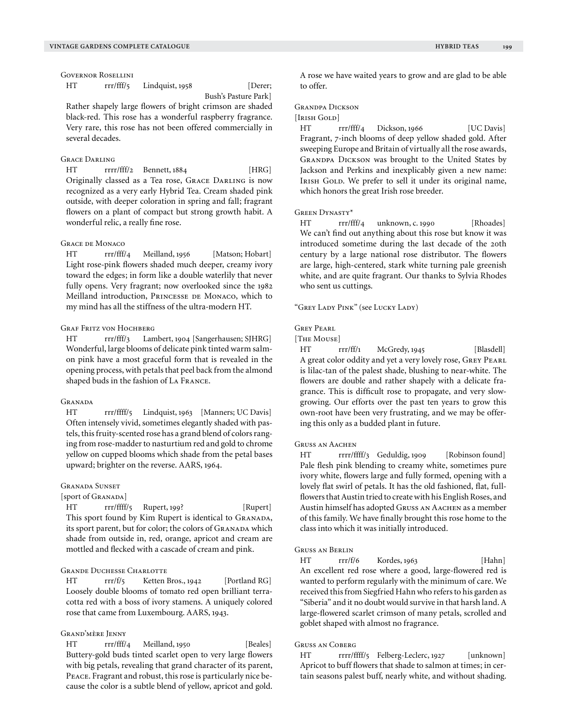HT rrr/fff/5 Lindquist, 1958 [Derer;

Bush's Pasture Park]

Rather shapely large flowers of bright crimson are shaded black-red. This rose has a wonderful raspberry fragrance. Very rare, this rose has not been offered commercially in several decades.

## Grace Darling

HT rrrr/fff/2 Bennett, 1884 [HRG] Originally classed as a Tea rose, Grace Darling is now recognized as a very early Hybrid Tea. Cream shaded pink outside, with deeper coloration in spring and fall; fragrant flowers on a plant of compact but strong growth habit. A wonderful relic, a really fine rose.

## Grace de Monaco

HT rrr/fff/4 Meilland, 1956 [Matson; Hobart] Light rose-pink flowers shaded much deeper, creamy ivory toward the edges; in form like a double waterlily that never fully opens. Very fragrant; now overlooked since the 1982 Meilland introduction, Princesse de Monaco, which to my mind has all the stiffness of the ultra-modern HT.

## Graf Fritz von Hochberg

HT rrr/fff/3 Lambert, 1904 [Sangerhausen; SJHRG] Wonderful, large blooms of delicate pink tinted warm salmon pink have a most graceful form that is revealed in the opening process, with petals that peel back from the almond shaped buds in the fashion of La France.

## **GRANADA**

HT rrr/ffff/5 Lindquist, 1963 [Manners; UC Davis] Often intensely vivid, sometimes elegantly shaded with pastels, this fruity-scented rose has a grand blend of colors ranging from rose-madder to nasturtium red and gold to chrome yellow on cupped blooms which shade from the petal bases upward; brighter on the reverse. AARS, 1964.

## Granada Sunset

[sport of Granada]

HT rrr/ffff/5 Rupert, 199? [Rupert] This sport found by Kim Rupert is identical to GRANADA, its sport parent, but for color; the colors of GRANADA which shade from outside in, red, orange, apricot and cream are mottled and flecked with a cascade of cream and pink.

## Grande Duchesse Charlotte

HT rrr/f/5 Ketten Bros., 1942 [Portland RG] Loosely double blooms of tomato red open brilliant terracotta red with a boss of ivory stamens. A uniquely colored rose that came from Luxembourg. AARS, 1943.

# Grand'mère Jenny

HT rrr/fff/4 Meilland, 1950 [Beales] Buttery-gold buds tinted scarlet open to very large flowers with big petals, revealing that grand character of its parent, Peace. Fragrant and robust, this rose is particularly nice because the color is a subtle blend of yellow, apricot and gold. A rose we have waited years to grow and are glad to be able to offer.

# Grandpa Dickson

## [Irish Gold]

HT rrr/fff/4 Dickson, 1966 [UC Davis] Fragrant, 7-inch blooms of deep yellow shaded gold. After sweeping Europe and Britain of virtually all the rose awards, Grandpa Dickson was brought to the United States by Jackson and Perkins and inexplicably given a new name: IRISH GOLD. We prefer to sell it under its original name, which honors the great Irish rose breeder.

## Green Dynasty\*

HT rrr/fff/4 unknown, c. 1990 [Rhoades] We can't find out anything about this rose but know it was introduced sometime during the last decade of the 20th century by a large national rose distributor. The flowers are large, high-centered, stark white turning pale greenish white, and are quite fragrant. Our thanks to Sylvia Rhodes who sent us cuttings.

"GREY LADY PINK" (see LUCKY LADY)

## Grey Pearl

[The Mouse]

HT rrr/ff/1 McGredy, 1945 [Blasdell] A great color oddity and yet a very lovely rose, GREY PEARL is lilac-tan of the palest shade, blushing to near-white. The flowers are double and rather shapely with a delicate fragrance. This is difficult rose to propagate, and very slowgrowing. Our efforts over the past ten years to grow this own-root have been very frustrating, and we may be offering this only as a budded plant in future.

## Gruss an Aachen

HT rrrr/ffff/3 Geduldig, 1909 [Robinson found] Pale flesh pink blending to creamy white, sometimes pure ivory white, flowers large and fully formed, opening with a lovely flat swirl of petals. It has the old fashioned, flat, fullflowers that Austin tried to create with his English Roses, and Austin himself has adopted Gruss an Aachen as a member of this family. We have finally brought this rose home to the class into which it was initially introduced.

## Gruss an Berlin

HT rrr/f/6 Kordes, 1963 [Hahn] An excellent red rose where a good, large-flowered red is wanted to perform regularly with the minimum of care. We received this from Siegfried Hahn who refers to his garden as "Siberia" and it no doubt would survive in that harsh land. A large-flowered scarlet crimson of many petals, scrolled and goblet shaped with almost no fragrance.

## Gruss an Coberg

HT rrrr/ffff/5 Felberg-Leclerc, 1927 [unknown] Apricot to buff flowers that shade to salmon at times; in certain seasons palest buff, nearly white, and without shading.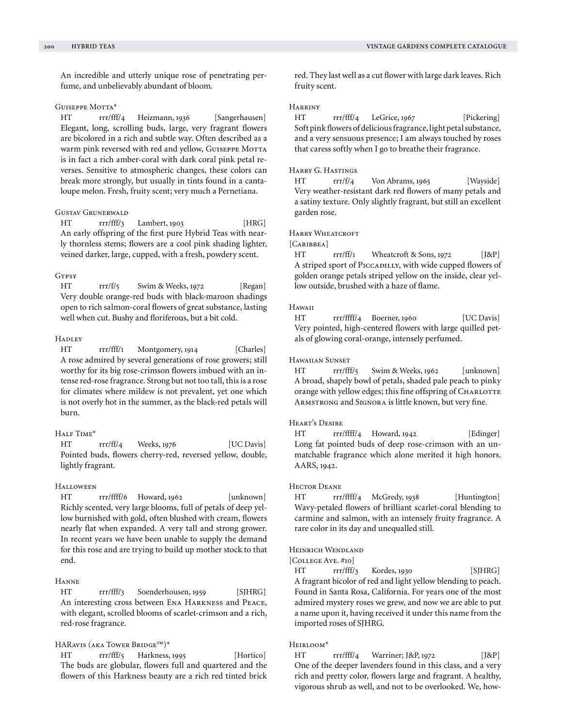An incredible and utterly unique rose of penetrating perfume, and unbelievably abundant of bloom.

## GUISEPPE MOTTA\*

HT rrr/fff/4 Heizmann, 1936 [Sangerhausen] Elegant, long, scrolling buds, large, very fragrant flowers are bicolored in a rich and subtle way. Often described as a warm pink reversed with red and yellow, GUISEPPE MOTTA is in fact a rich amber-coral with dark coral pink petal reverses. Sensitive to atmospheric changes, these colors can break more strongly, but usually in tints found in a cantaloupe melon. Fresh, fruity scent; very much a Pernetiana.

#### Gustav Grunerwald

HT rrr/fff/3 Lambert, 1903 [HRG] An early offspring of the first pure Hybrid Teas with nearly thornless stems; flowers are a cool pink shading lighter, veined darker, large, cupped, with a fresh, powdery scent.

## Gypsy

HT rrr/f/5 Swim & Weeks, 1972 [Regan] Very double orange-red buds with black-maroon shadings open to rich salmon-coral flowers of great substance, lasting well when cut. Bushy and floriferous, but a bit cold.

## **HADLEY**

HT rrr/fff/1 Montgomery, 1914 [Charles] A rose admired by several generations of rose growers; still worthy for its big rose-crimson flowers imbued with an intense red-rose fragrance. Strong but not too tall, this is a rose for climates where mildew is not prevalent, yet one which is not overly hot in the summer, as the black-red petals will burn.

# Half Time\*

HT rrr/ff/4 Weeks, 1976 [UC Davis] Pointed buds, flowers cherry-red, reversed yellow, double, lightly fragrant.

#### **HALLOWEEN**

HT rrr/ffff/6 Howard, 1962 [unknown] Richly scented, very large blooms, full of petals of deep yellow burnished with gold, often blushed with cream, flowers nearly flat when expanded. A very tall and strong grower. In recent years we have been unable to supply the demand for this rose and are trying to build up mother stock to that end.

# Hanne

HT rrr/fff/3 Soenderhousen, 1959 [SJHRG] An interesting cross between Ena Harkness and Peace, with elegant, scrolled blooms of scarlet-crimson and a rich, red-rose fragrance.

# HARavis (aka Tower Bridge™)\*

HT rrr/fff/5 Harkness, 1995 [Hortico] The buds are globular, flowers full and quartered and the flowers of this Harkness beauty are a rich red tinted brick red. They last well as a cut flower with large dark leaves. Rich fruity scent.

## Harriny

HT rrr/fff/4 LeGrice, 1967 [Pickering] Soft pink flowers of delicious fragrance, light petal substance, and a very sensuous presence; I am always touched by roses that caress softly when I go to breathe their fragrance.

## Harry G. Hastings

HT rrr/f/4 Von Abrams, 1965 [Wayside] Very weather-resistant dark red flowers of many petals and a satiny texture. Only slightly fragrant, but still an excellent garden rose.

## HARRY WHEATCROFT

[CARIBBEA]

 $HT \quad \text{rrr/ff/1} \quad \text{Wheatcroft} \& Sons, 1972 \quad [J\&P]$ A striped sport of PICCADILLY, with wide cupped flowers of golden orange petals striped yellow on the inside, clear yellow outside, brushed with a haze of flame.

#### Hawaii

HT rrr/ffff/4 Boerner, 1960 [UC Davis] Very pointed, high-centered flowers with large quilled petals of glowing coral-orange, intensely perfumed.

#### Hawaiian Sunset

HT rrr/fff/5 Swim & Weeks, 1962 [unknown] A broad, shapely bowl of petals, shaded pale peach to pinky orange with yellow edges; this fine offspring of CHARLOTTE Armstrong and Signora is little known, but very fine.

## Heart's Desire

HT rrr/ffff/4 Howard, 1942 [Edinger] Long fat pointed buds of deep rose-crimson with an unmatchable fragrance which alone merited it high honors. AARS, 1942.

## Hector Deane

HT rrr/ffff/4 McGredy, 1938 [Huntington] Wavy-petaled flowers of brilliant scarlet-coral blending to carmine and salmon, with an intensely fruity fragrance. A rare color in its day and unequalled still.

## Heinrich Wendland

[COLLEGE AVE. #10]

HT rrr/fff/3 Kordes, 1930 [SJHRG] A fragrant bicolor of red and light yellow blending to peach. Found in Santa Rosa, California. For years one of the most admired mystery roses we grew, and now we are able to put a name upon it, having received it under this name from the imported roses of SJHRG.

## Heirloom\*

HT rrr/fff/4 Warriner; J&P, 1972 [J&P] One of the deeper lavenders found in this class, and a very rich and pretty color, flowers large and fragrant. A healthy, vigorous shrub as well, and not to be overlooked. We, how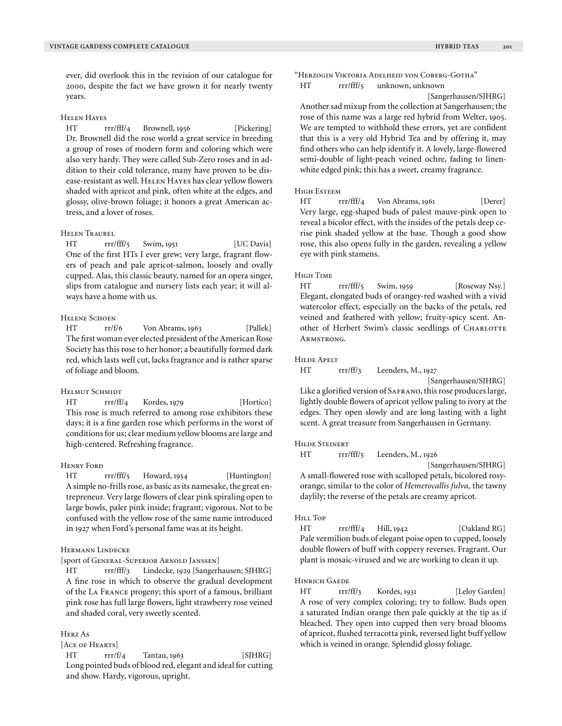ever, did overlook this in the revision of our catalogue for 2000, despite the fact we have grown it for nearly twenty years.

#### Helen Hayes

HT rrr/fff/4 Brownell, 1956 [Pickering] Dr. Brownell did the rose world a great service in breeding a group of roses of modern form and coloring which were also very hardy. They were called Sub-Zero roses and in addition to their cold tolerance, many have proven to be disease-resistant as well. HELEN HAYES has clear yellow flowers shaded with apricot and pink, often white at the edges, and glossy, olive-brown foliage; it honors a great American actress, and a lover of roses.

#### Helen Traubel

HT rrr/fff/5 Swim, 1951 [UC Davis] One of the first HTs I ever grew; very large, fragrant flowers of peach and pale apricot-salmon, loosely and ovally cupped. Alas, this classic beauty, named for an opera singer, slips from catalogue and nursery lists each year; it will always have a home with us.

## HELENE SCHOEN

HT rr/f/6 Von Abrams, 1963 [Pallek] The first woman ever elected president of the American Rose Society has this rose to her honor; a beautifully formed dark red, which lasts well cut, lacks fragrance and is rather sparse of foliage and bloom.

## HELMUT SCHMIDT

HT rrr/ff/4 Kordes, 1979 [Hortico] This rose is much referred to among rose exhibitors these days; it is a fine garden rose which performs in the worst of conditions for us; clear medium yellow blooms are large and high-centered. Refreshing fragrance.

## Henry Ford

HT rrr/fff/5 Howard, 1954 [Huntington] A simple no-frills rose, as basic as its namesake, the great entrepreneur. Very large flowers of clear pink spiraling open to large bowls, paler pink inside; fragrant; vigorous. Not to be confused with the yellow rose of the same name introduced in 1927 when Ford's personal fame was at its height.

# Hermann Lindecke

[sport of General-Superior Arnold Janssen]

HT rrr/fff/3 Lindecke, 1929 [Sangerhausen; SJHRG] A fine rose in which to observe the gradual development of the La France progeny; this sport of a famous, brilliant pink rose has full large flowers, light strawberry rose veined and shaded coral, very sweetly scented.

## Herz As

## [Ace of Hearts]

HT rrr/f/4 Tantau, 1963 [SJHRG] Long pointed buds of blood red, elegant and ideal for cutting and show. Hardy, vigorous, upright.

"Herzogin Viktoria Adelheid von Coberg-Gotha" HT rrr/fff/5 unknown, unknown

[Sangerhausen/SJHRG]

Another sad mixup from the collection at Sangerhausen; the rose of this name was a large red hybrid from Welter, 1905. We are tempted to withhold these errors, yet are confident that this is a very old Hybrid Tea and by offering it, may find others who can help identify it. A lovely, large-flowered semi-double of light-peach veined ochre, fading to linenwhite edged pink; this has a sweet, creamy fragrance.

#### High Esteem

HT rrr/fff/4 Von Abrams, 1961 [Derer] Very large, egg-shaped buds of palest mauve-pink open to reveal a bicolor effect, with the insides of the petals deep cerise pink shaded yellow at the base. Though a good show rose, this also opens fully in the garden, revealing a yellow eye with pink stamens.

#### High Time

HT rrr/fff/5 Swim, 1959 [Roseway Nsy.] Elegant, elongated buds of orangey-red washed with a vivid watercolor effect, especially on the backs of the petals, red veined and feathered with yellow; fruity-spicy scent. Another of Herbert Swim's classic seedlings of CHARLOTTE ARMSTRONG.

#### HILDE APELT

HT rrr/ff/3 Leenders, M., 1927

[Sangerhausen/SJHRG]

Like a glorified version of SAFRANO, this rose produces large, lightly double flowers of apricot yellow paling to ivory at the edges. They open slowly and are long lasting with a light scent. A great treasure from Sangerhausen in Germany.

#### Hilde Steinert

HT rrr/fff/5 Leenders, M., 1926

[Sangerhausen/SJHRG]

A small-flowered rose with scalloped petals, bicolored rosyorange, similar to the color of *Hemerocallis fulva,* the tawny daylily; the reverse of the petals are creamy apricot.

#### Hill Top

HT rrr/fff/4 Hill, 1942 [Oakland RG] Pale vermilion buds of elegant poise open to cupped, loosely double flowers of buff with coppery reverses. Fragrant. Our plant is mosaic-virused and we are working to clean it up.

#### Hinrich Gaede

HT rrr/ff/3 Kordes, 1931 [Leloy Garden] A rose of very complex coloring; try to follow. Buds open a saturated Indian orange then pale quickly at the tip as if bleached. They open into cupped then very broad blooms of apricot, flushed terracotta pink, reversed light buff yellow which is veined in orange. Splendid glossy foliage.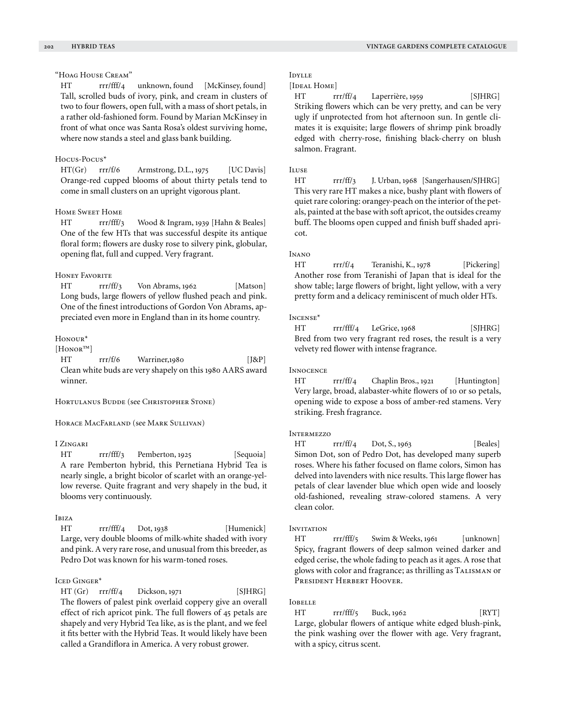## "Hoag House Cream"

HT rrr/fff/4 unknown, found [McKinsey, found] Tall, scrolled buds of ivory, pink, and cream in clusters of two to four flowers, open full, with a mass of short petals, in a rather old-fashioned form. Found by Marian McKinsey in front of what once was Santa Rosa's oldest surviving home, where now stands a steel and glass bank building.

## Hocus-Pocus\*

HT(Gr) rrr/f/6 Armstrong, D.L., 1975 [UC Davis] Orange-red cupped blooms of about thirty petals tend to come in small clusters on an upright vigorous plant.

## Home Sweet Home

HT rrr/fff/3 Wood & Ingram, 1939 [Hahn & Beales] One of the few HTs that was successful despite its antique floral form; flowers are dusky rose to silvery pink, globular, opening flat, full and cupped. Very fragrant.

## **HONEY FAVORITE**

HT rrr/ff/3 Von Abrams, 1962 [Matson] Long buds, large flowers of yellow flushed peach and pink. One of the finest introductions of Gordon Von Abrams, appreciated even more in England than in its home country.

#### Honour\*

[Honor™]

HT rrr/f/6 Warriner,1980 [J&P] Clean white buds are very shapely on this 1980 AARS award winner.

#### HORTULANUS BUDDE (see CHRISTOPHER STONE)

#### Horace MacFarland (see Mark Sullivan)

## I Zingari

HT rrr/fff/3 Pemberton, 1925 [Sequoia] A rare Pemberton hybrid, this Pernetiana Hybrid Tea is nearly single, a bright bicolor of scarlet with an orange-yellow reverse. Quite fragrant and very shapely in the bud, it blooms very continuously.

# Ibiza

HT rrr/fff/4 Dot, 1938 [Humenick] Large, very double blooms of milk-white shaded with ivory and pink. A very rare rose, and unusual from this breeder, as Pedro Dot was known for his warm-toned roses.

## Iced Ginger\*

 $HT (Gr) \rrr\rrr\rfloor$  Dickson, 1971 [SJHRG] The flowers of palest pink overlaid coppery give an overall effect of rich apricot pink. The full flowers of 45 petals are shapely and very Hybrid Tea like, as is the plant, and we feel it fits better with the Hybrid Teas. It would likely have been called a Grandiflora in America. A very robust grower.

# Idylle

## [IDEAL HOME]

HT rrr/ff/4 Laperrière, 1959 [SJHRG] Striking flowers which can be very pretty, and can be very ugly if unprotected from hot afternoon sun. In gentle climates it is exquisite; large flowers of shrimp pink broadly edged with cherry-rose, finishing black-cherry on blush salmon. Fragrant.

# Iluse

HT rrr/ff/3 J. Urban, 1968 [Sangerhausen/SJHRG] This very rare HT makes a nice, bushy plant with flowers of quiet rare coloring: orangey-peach on the interior of the petals, painted at the base with soft apricot, the outsides creamy buff. The blooms open cupped and finish buff shaded apricot.

## Inano

HT rrr/f/4 Teranishi, K., 1978 [Pickering] Another rose from Teranishi of Japan that is ideal for the show table; large flowers of bright, light yellow, with a very pretty form and a delicacy reminiscent of much older HTs.

## INCENSE<sup>\*</sup>

HT rrr/fff/4 LeGrice, 1968 [SJHRG] Bred from two very fragrant red roses, the result is a very velvety red flower with intense fragrance.

#### **INNOCENCE**

HT rrr/ff/4 Chaplin Bros., 1921 [Huntington] Very large, broad, alabaster-white flowers of 10 or so petals, opening wide to expose a boss of amber-red stamens. Very striking. Fresh fragrance.

## **INTERMEZZO**

HT rrr/ff/4 Dot, S., 1963 [Beales] Simon Dot, son of Pedro Dot, has developed many superb roses. Where his father focused on flame colors, Simon has delved into lavenders with nice results. This large flower has petals of clear lavender blue which open wide and loosely old-fashioned, revealing straw-colored stamens. A very clean color.

## **INVITATION**

HT rrr/fff/5 Swim & Weeks, 1961 [unknown] Spicy, fragrant flowers of deep salmon veined darker and edged cerise, the whole fading to peach as it ages. A rose that glows with color and fragrance; as thrilling as TALISMAN or President Herbert Hoover.

#### Iobelle

HT rrr/fff/5 Buck, 1962 [RYT] Large, globular flowers of antique white edged blush-pink, the pink washing over the flower with age. Very fragrant, with a spicy, citrus scent.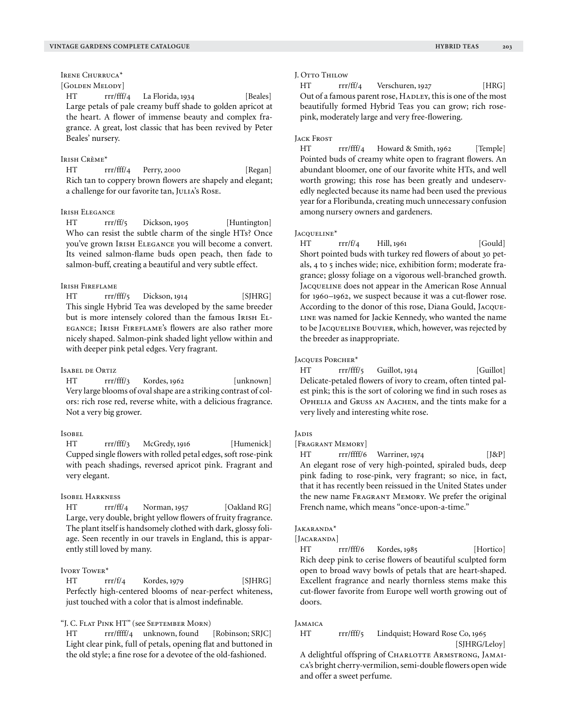# Irene Churruca\*

# [GOLDEN MELODY]

HT rrr/fff/4 La Florida, 1934 [Beales] Large petals of pale creamy buff shade to golden apricot at the heart. A flower of immense beauty and complex fragrance. A great, lost classic that has been revived by Peter Beales' nursery.

#### Irish Crème\*

HT rrr/fff/4 Perry, 2000 [Regan] Rich tan to coppery brown flowers are shapely and elegant; a challenge for our favorite tan, JULIA's ROSE.

#### Irish Elegance

HT rrr/ff/5 Dickson, 1905 [Huntington] Who can resist the subtle charm of the single HTs? Once you've grown Irish Elegance you will become a convert. Its veined salmon-flame buds open peach, then fade to salmon-buff, creating a beautiful and very subtle effect.

## Irish Fireflame

HT rrr/fff/5 Dickson, 1914 [SJHRG] This single Hybrid Tea was developed by the same breeder but is more intensely colored than the famous IRISH ELegance; Irish Fireflame's flowers are also rather more nicely shaped. Salmon-pink shaded light yellow within and with deeper pink petal edges. Very fragrant.

#### Isabel de Ortiz

HT rrr/fff/3 Kordes, 1962 [unknown] Very large blooms of oval shape are a striking contrast of colors: rich rose red, reverse white, with a delicious fragrance. Not a very big grower.

## Isobel

HT rrr/fff/3 McGredy, 1916 [Humenick] Cupped single flowers with rolled petal edges, soft rose-pink with peach shadings, reversed apricot pink. Fragrant and very elegant.

#### Isobel Harkness

HT rrr/ff/4 Norman, 1957 [Oakland RG] Large, very double, bright yellow flowers of fruity fragrance. The plant itself is handsomely clothed with dark, glossy foliage. Seen recently in our travels in England, this is apparently still loved by many.

#### Ivory Tower\*

HT rrr/f/4 Kordes, 1979 [SJHRG] Perfectly high-centered blooms of near-perfect whiteness, just touched with a color that is almost indefinable.

"J. C. Flat Pink HT" (see September Morn)

HT rrr/ffff/4 unknown, found [Robinson; SRJC] Light clear pink, full of petals, opening flat and buttoned in the old style; a fine rose for a devotee of the old-fashioned.

#### J. Otto Thilow

HT rrr/ff/4 Verschuren, 1927 [HRG] Out of a famous parent rose, HADLEY, this is one of the most beautifully formed Hybrid Teas you can grow; rich rosepink, moderately large and very free-flowering.

## Jack Frost

HT rrr/fff/4 Howard & Smith, 1962 [Temple] Pointed buds of creamy white open to fragrant flowers. An abundant bloomer, one of our favorite white HTs, and well worth growing; this rose has been greatly and undeservedly neglected because its name had been used the previous year for a Floribunda, creating much unnecessary confusion among nursery owners and gardeners.

#### Jacqueline\*

 $HT$   $rrr/f/4$   $Hill$ , 1961 [Gould] Short pointed buds with turkey red flowers of about 30 petals, 4 to 5 inches wide; nice, exhibition form; moderate fragrance; glossy foliage on a vigorous well-branched growth. JACQUELINE does not appear in the American Rose Annual for 1960–1962, we suspect because it was a cut-flower rose. According to the donor of this rose, Diana Gould, Jacque-LINE was named for Jackie Kennedy, who wanted the name to be JACQUELINE BOUVIER, which, however, was rejected by the breeder as inappropriate.

JACQUES PORCHER\*

HT rrr/fff/5 Guillot, 1914 [Guillot] Delicate-petaled flowers of ivory to cream, often tinted palest pink; this is the sort of coloring we find in such roses as Ophelia and Gruss an Aachen, and the tints make for a very lively and interesting white rose.

## Jadis

[FRAGRANT MEMORY]

HT rrr/ffff/6 Warriner, 1974 [J&P] An elegant rose of very high-pointed, spiraled buds, deep pink fading to rose-pink, very fragrant; so nice, in fact, that it has recently been reissued in the United States under the new name FRAGRANT MEMORY. We prefer the original French name, which means "once-upon-a-time."

## Jakaranda\*

[JACARANDA]

HT rrr/fff/6 Kordes, 1985 [Hortico] Rich deep pink to cerise flowers of beautiful sculpted form open to broad wavy bowls of petals that are heart-shaped. Excellent fragrance and nearly thornless stems make this cut-flower favorite from Europe well worth growing out of doors.

#### Jamaica

HT rrr/fff/5 Lindquist; Howard Rose Co, 1965

[SJHRG/Leloy]

A delightful offspring of CHARLOTTE ARMSTRONG, JAMAIca's bright cherry-vermilion, semi-double flowers open wide and offer a sweet perfume.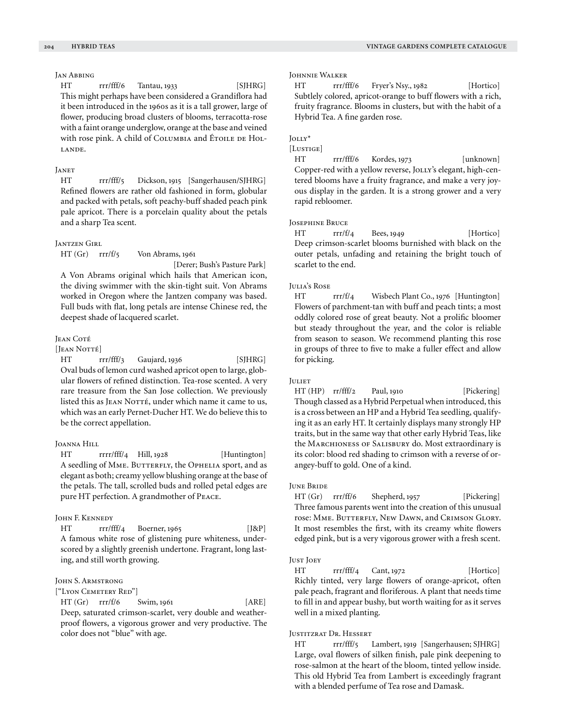# Jan Abbing

HT rrr/fff/6 Tantau, 1933 [SJHRG] This might perhaps have been considered a Grandiflora had it been introduced in the 1960s as it is a tall grower, large of flower, producing broad clusters of blooms, terracotta-rose with a faint orange underglow, orange at the base and veined with rose pink. A child of COLUMBIA and ÉTOILE DE HOLlande.

## **JANET**

HT rrr/fff/5 Dickson, 1915 [Sangerhausen/SJHRG] Refined flowers are rather old fashioned in form, globular and packed with petals, soft peachy-buff shaded peach pink pale apricot. There is a porcelain quality about the petals and a sharp Tea scent.

#### Jantzen Girl

HT (Gr) rrr/f/5 Von Abrams, 1961

[Derer; Bush's Pasture Park]

A Von Abrams original which hails that American icon, the diving swimmer with the skin-tight suit. Von Abrams worked in Oregon where the Jantzen company was based. Full buds with flat, long petals are intense Chinese red, the deepest shade of lacquered scarlet.

#### Jean Coté

## [JEAN NOTTÉ]

HT rrr/fff/3 Gaujard, 1936 [SJHRG] Oval buds of lemon curd washed apricot open to large, globular flowers of refined distinction. Tea-rose scented. A very rare treasure from the San Jose collection. We previously listed this as JEAN NOTTÉ, under which name it came to us, which was an early Pernet-Ducher HT. We do believe this to be the correct appellation.

#### Joanna Hill

HT rrrr/fff/4 Hill, 1928 [Huntington] A seedling of MME. BUTTERFLY, the OPHELIA sport, and as elegant as both; creamy yellow blushing orange at the base of the petals. The tall, scrolled buds and rolled petal edges are pure HT perfection. A grandmother of Peace.

#### John F. Kennedy

HT rrr/fff/4 Boerner, 1965 [J&P] A famous white rose of glistening pure whiteness, underscored by a slightly greenish undertone. Fragrant, long lasting, and still worth growing.

## JOHN S. ARMSTRONG

# ["LYON CEMETERY RED"]

HT (Gr) rrr/f/6 Swim, 1961 [ARE] Deep, saturated crimson-scarlet, very double and weatherproof flowers, a vigorous grower and very productive. The color does not "blue" with age.

#### Johnnie Walker

HT rrr/fff/6 Fryer's Nsy., 1982 [Hortico] Subtlely colored, apricot-orange to buff flowers with a rich, fruity fragrance. Blooms in clusters, but with the habit of a Hybrid Tea. A fine garden rose.

## Jolly\*

# [Lustige]

HT rrr/fff/6 Kordes, 1973 [unknown] Copper-red with a yellow reverse, JOLLY's elegant, high-centered blooms have a fruity fragrance, and make a very joyous display in the garden. It is a strong grower and a very rapid rebloomer.

#### Josephine Bruce

HT rrr/f/4 Bees, 1949 [Hortico] Deep crimson-scarlet blooms burnished with black on the outer petals, unfading and retaining the bright touch of scarlet to the end.

## Julia's Rose

HT rrr/f/4 Wisbech Plant Co., 1976 [Huntington] Flowers of parchment-tan with buff and peach tints; a most oddly colored rose of great beauty. Not a prolific bloomer but steady throughout the year, and the color is reliable from season to season. We recommend planting this rose in groups of three to five to make a fuller effect and allow for picking.

#### **JULIET**

HT (HP) rr/fff/2 Paul, 1910 [Pickering] Though classed as a Hybrid Perpetual when introduced, this is a cross between an HP and a Hybrid Tea seedling, qualifying it as an early HT. It certainly displays many strongly HP traits, but in the same way that other early Hybrid Teas, like the Marchioness of Salisbury do. Most extraordinary is its color: blood red shading to crimson with a reverse of orangey-buff to gold. One of a kind.

#### June Bride

HT (Gr) rrr/ff/6 Shepherd, 1957 [Pickering] Three famous parents went into the creation of this unusual rose: MME. BUTTERFLY, NEW DAWN, and CRIMSON GLORY. It most resembles the first, with its creamy white flowers edged pink, but is a very vigorous grower with a fresh scent.

#### Just Joey

HT rrr/fff/4 Cant, 1972 [Hortico] Richly tinted, very large flowers of orange-apricot, often pale peach, fragrant and floriferous. A plant that needs time to fill in and appear bushy, but worth waiting for as it serves well in a mixed planting.

#### Justitzrat Dr. Hessert

HT rrr/fff/5 Lambert, 1919 [Sangerhausen; SJHRG] Large, oval flowers of silken finish, pale pink deepening to rose-salmon at the heart of the bloom, tinted yellow inside. This old Hybrid Tea from Lambert is exceedingly fragrant with a blended perfume of Tea rose and Damask.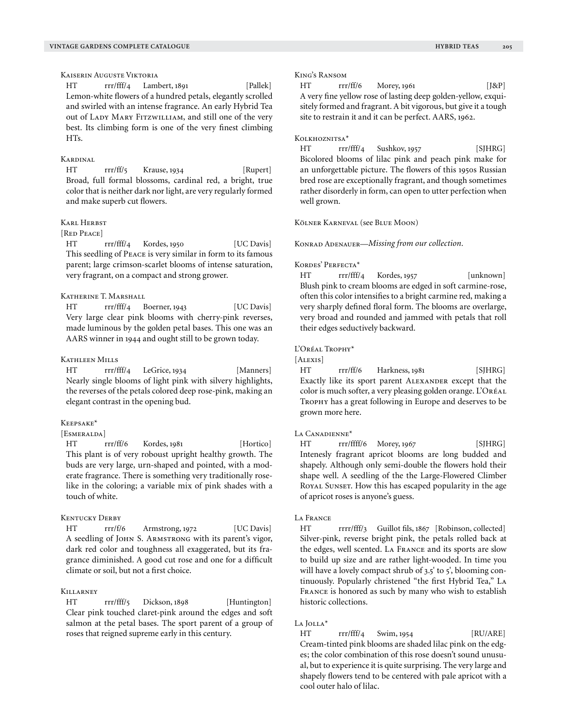Kaiserin Auguste Viktoria

HT rrr/fff/4 Lambert, 1891 [Pallek] Lemon-white flowers of a hundred petals, elegantly scrolled and swirled with an intense fragrance. An early Hybrid Tea out of LADY MARY FITZWILLIAM, and still one of the very best. Its climbing form is one of the very finest climbing HTs.

## Kardinal

HT rrr/ff/5 Krause, 1934 [Rupert] Broad, full formal blossoms, cardinal red, a bright, true color that is neither dark nor light, are very regularly formed and make superb cut flowers.

## Karl Herbst

## [RED PEACE]

HT rrr/fff/4 Kordes, 1950 [UC Davis] This seedling of Peace is very similar in form to its famous parent; large crimson-scarlet blooms of intense saturation, very fragrant, on a compact and strong grower.

# Katherine T. Marshall

HT rrr/fff/4 Boerner, 1943 [UC Davis] Very large clear pink blooms with cherry-pink reverses, made luminous by the golden petal bases. This one was an AARS winner in 1944 and ought still to be grown today.

#### Kathleen Mills

HT rrr/fff/4 LeGrice, 1934 [Manners] Nearly single blooms of light pink with silvery highlights, the reverses of the petals colored deep rose-pink, making an elegant contrast in the opening bud.

#### Keepsake\*

## [ESMERALDA]

HT rrr/ff/6 Kordes, 1981 [Hortico] This plant is of very roboust upright healthy growth. The buds are very large, urn-shaped and pointed, with a moderate fragrance. There is something very traditionally roselike in the coloring; a variable mix of pink shades with a touch of white.

## Kentucky Derby

HT rrr/f/6 Armstrong, 1972 [UC Davis] A seedling of John S. Armstrong with its parent's vigor, dark red color and toughness all exaggerated, but its fragrance diminished. A good cut rose and one for a difficult climate or soil, but not a first choice.

# **KILLARNEY**

HT rrr/fff/5 Dickson, 1898 [Huntington] Clear pink touched claret-pink around the edges and soft salmon at the petal bases. The sport parent of a group of roses that reigned supreme early in this century.

#### King's Ransom

HT rrr/ff/6 Morey, 1961 [J&P] A very fine yellow rose of lasting deep golden-yellow, exquisitely formed and fragrant. A bit vigorous, but give it a tough site to restrain it and it can be perfect. AARS, 1962.

#### Kolkhoznitsa\*

HT rrr/fff/4 Sushkov, 1957 [SJHRG] Bicolored blooms of lilac pink and peach pink make for an unforgettable picture. The flowers of this 1950s Russian bred rose are exceptionally fragrant, and though sometimes rather disorderly in form, can open to utter perfection when well grown.

Kölner Karneval (see Blue Moon)

Konrad Adenauer—*Missing from our collection.*

## Kordes' Perfecta\*

HT rrr/fff/4 Kordes, 1957 [unknown] Blush pink to cream blooms are edged in soft carmine-rose, often this color intensifies to a bright carmine red, making a very sharply defined floral form. The blooms are overlarge, very broad and rounded and jammed with petals that roll their edges seductively backward.

L'Oréal Trophy\*

[ALEXIS]

HT rrr/ff/6 Harkness, 1981 [SJHRG] Exactly like its sport parent Alexander except that the color is much softer, a very pleasing golden orange. L'Oréal Trophy has a great following in Europe and deserves to be grown more here.

## LA CANADIENNE<sup>\*</sup>

HT rrr/ffff/6 Morey, 1967 [SJHRG] Intenesly fragrant apricot blooms are long budded and shapely. Although only semi-double the flowers hold their shape well. A seedling of the the Large-Flowered Climber ROYAL SUNSET. How this has escaped popularity in the age of apricot roses is anyone's guess.

## La France

HT rrrr/fff/3 Guillot fils, 1867 [Robinson, collected] Silver-pink, reverse bright pink, the petals rolled back at the edges, well scented. La France and its sports are slow to build up size and are rather light-wooded. In time you will have a lovely compact shrub of 3.5' to 5', blooming continuously. Popularly christened "the first Hybrid Tea," La France is honored as such by many who wish to establish historic collections.

#### La Iolla<sup>\*</sup>

HT rrr/fff/4 Swim, 1954 [RU/ARE] Cream-tinted pink blooms are shaded lilac pink on the edges; the color combination of this rose doesn't sound unusual, but to experience it is quite surprising. The very large and shapely flowers tend to be centered with pale apricot with a cool outer halo of lilac.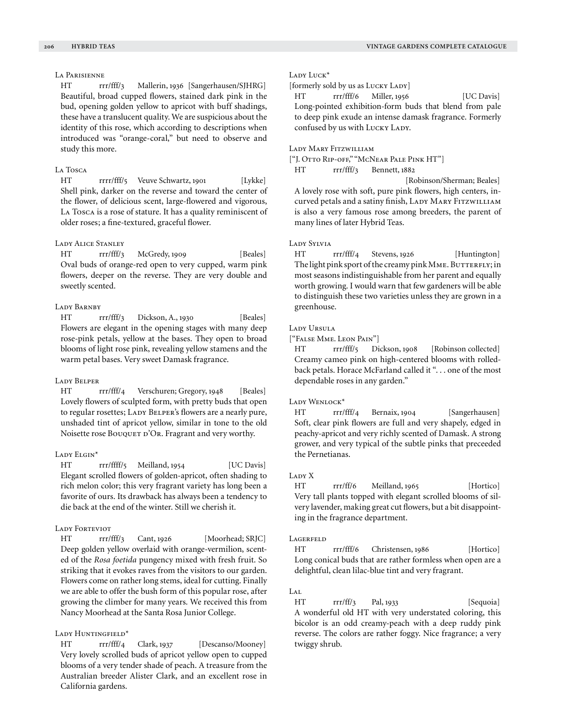# La Parisienne

HT rrr/fff/3 Mallerin, 1936 [Sangerhausen/SJHRG] Beautiful, broad cupped flowers, stained dark pink in the bud, opening golden yellow to apricot with buff shadings, these have a translucent quality. We are suspicious about the identity of this rose, which according to descriptions when introduced was "orange-coral," but need to observe and study this more.

#### La Tosca

HT rrrr/fff/5 Veuve Schwartz, 1901 [Lykke] Shell pink, darker on the reverse and toward the center of the flower, of delicious scent, large-flowered and vigorous, La Tosca is a rose of stature. It has a quality reminiscent of older roses; a fine-textured, graceful flower.

# Lady Alice Stanley

HT rrr/fff/3 McGredy, 1909 [Beales] Oval buds of orange-red open to very cupped, warm pink flowers, deeper on the reverse. They are very double and sweetly scented.

#### Lady Barnby

HT rrr/fff/3 Dickson, A., 1930 [Beales] Flowers are elegant in the opening stages with many deep rose-pink petals, yellow at the bases. They open to broad blooms of light rose pink, revealing yellow stamens and the warm petal bases. Very sweet Damask fragrance.

#### Lady Belper

HT rrr/fff/4 Verschuren; Gregory, 1948 [Beales] Lovely flowers of sculpted form, with pretty buds that open to regular rosettes; LADY BELPER's flowers are a nearly pure, unshaded tint of apricot yellow, similar in tone to the old Noisette rose Bouquer D'Or. Fragrant and very worthy.

#### LADY ELGIN<sup>\*</sup>

HT rrr/ffff/5 Meilland, 1954 [UC Davis] Elegant scrolled flowers of golden-apricot, often shading to rich melon color; this very fragrant variety has long been a favorite of ours. Its drawback has always been a tendency to die back at the end of the winter. Still we cherish it.

## LADY FORTEVIOT

HT rrr/fff/3 Cant, 1926 [Moorhead; SRJC] Deep golden yellow overlaid with orange-vermilion, scented of the *Rosa foetida* pungency mixed with fresh fruit. So striking that it evokes raves from the visitors to our garden. Flowers come on rather long stems, ideal for cutting. Finally we are able to offer the bush form of this popular rose, after growing the climber for many years. We received this from Nancy Moorhead at the Santa Rosa Junior College.

## LADY HUNTINGFIELD\*

HT rrr/fff/4 Clark, 1937 [Descanso/Mooney] Very lovely scrolled buds of apricot yellow open to cupped blooms of a very tender shade of peach. A treasure from the Australian breeder Alister Clark, and an excellent rose in California gardens.

#### Lady Luck\*

[formerly sold by us as LUCKY LADY]

HT rrr/fff/6 Miller, 1956 [UC Davis] Long-pointed exhibition-form buds that blend from pale to deep pink exude an intense damask fragrance. Formerly confused by us with LUCKY LADY.

## Lady Mary Fitzwilliam

["J. Otto Rip-off," "McNear Pale Pink HT"]

HT rrr/fff/3 Bennett, 1882

 [Robinson/Sherman; Beales] A lovely rose with soft, pure pink flowers, high centers, incurved petals and a satiny finish, LADY MARY FITZWILLIAM is also a very famous rose among breeders, the parent of many lines of later Hybrid Teas.

# Lady Sylvia

HT rrr/fff/4 Stevens, 1926 [Huntington] The light pink sport of the creamy pink MME. BUTTERFLY; in most seasons indistinguishable from her parent and equally worth growing. I would warn that few gardeners will be able to distinguish these two varieties unless they are grown in a greenhouse.

#### Lady Ursula

["False Mme. Leon Pain"]

HT rrr/fff/5 Dickson, 1908 [Robinson collected] Creamy cameo pink on high-centered blooms with rolledback petals. Horace McFarland called it "... one of the most dependable roses in any garden."

#### LADY WENLOCK\*

HT rrr/fff/4 Bernaix, 1904 [Sangerhausen] Soft, clear pink flowers are full and very shapely, edged in peachy-apricot and very richly scented of Damask. A strong grower, and very typical of the subtle pinks that preceeded the Pernetianas.

#### LADY X

HT rrr/ff/6 Meilland, 1965 [Hortico] Very tall plants topped with elegant scrolled blooms of silvery lavender, making great cut flowers, but a bit disappointing in the fragrance department.

#### **LAGERFELD**

HT rrr/fff/6 Christensen, 1986 [Hortico] Long conical buds that are rather formless when open are a delightful, clean lilac-blue tint and very fragrant.

# $LAT$

HT rrr/ff/3 Pal, 1933 [Sequoia] A wonderful old HT with very understated coloring, this bicolor is an odd creamy-peach with a deep ruddy pink reverse. The colors are rather foggy. Nice fragrance; a very twiggy shrub.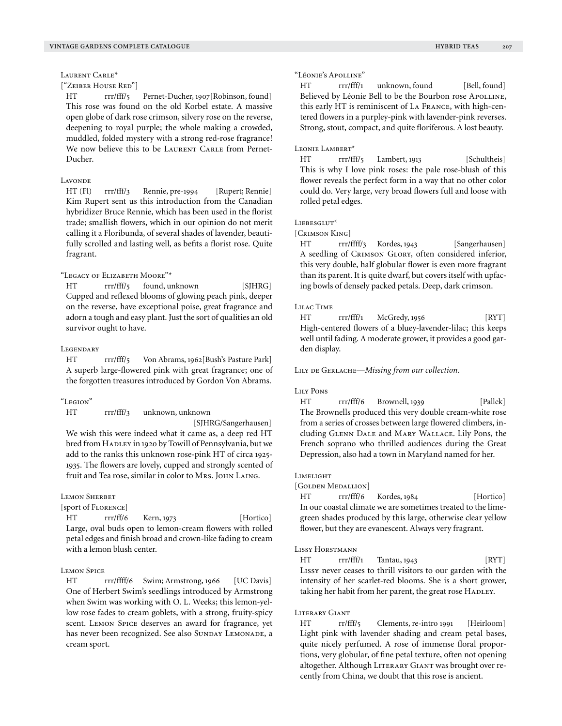Laurent Carle\*

["Zeiber House Red"]

HT rrr/fff/5 Pernet-Ducher, 1907[Robinson, found] This rose was found on the old Korbel estate. A massive open globe of dark rose crimson, silvery rose on the reverse, deepening to royal purple; the whole making a crowded, muddled, folded mystery with a strong red-rose fragrance! We now believe this to be LAURENT CARLE from Pernet-Ducher.

# Lavonde

HT (Fl) rrr/fff/3 Rennie, pre-1994 [Rupert; Rennie] Kim Rupert sent us this introduction from the Canadian hybridizer Bruce Rennie, which has been used in the florist trade; smallish flowers, which in our opinion do not merit calling it a Floribunda, of several shades of lavender, beautifully scrolled and lasting well, as befits a florist rose. Quite fragrant.

# "Legacy of Elizabeth Moore"\*

HT rrr/fff/5 found, unknown [SJHRG] Cupped and reflexed blooms of glowing peach pink, deeper on the reverse, have exceptional poise, great fragrance and adorn a tough and easy plant. Just the sort of qualities an old survivor ought to have.

## **LEGENDARY**

HT rrr/fff/5 Von Abrams, 1962[Bush's Pasture Park] A superb large-flowered pink with great fragrance; one of the forgotten treasures introduced by Gordon Von Abrams.

#### "Legion"

HT rrr/fff/3 unknown, unknown

[SJHRG/Sangerhausen]

We wish this were indeed what it came as, a deep red HT bred from HADLEY in 1920 by Towill of Pennsylvania, but we add to the ranks this unknown rose-pink HT of circa 1925- 1935. The flowers are lovely, cupped and strongly scented of fruit and Tea rose, similar in color to Mrs. JOHN LAING.

#### Lemon Sherbet

[sport of Florence]

HT rrr/ff/6 Kern, 1973 [Hortico] Large, oval buds open to lemon-cream flowers with rolled petal edges and finish broad and crown-like fading to cream with a lemon blush center.

## Lemon Spice

HT rrr/ffff/6 Swim; Armstrong, 1966 [UC Davis] One of Herbert Swim's seedlings introduced by Armstrong when Swim was working with O. L. Weeks; this lemon-yellow rose fades to cream goblets, with a strong, fruity-spicy scent. Lemon Spice deserves an award for fragrance, yet has never been recognized. See also SUNDAY LEMONADE, a cream sport.

#### "Léonie's Apolline"

HT rrr/fff/1 unknown, found [Bell, found] Believed by Léonie Bell to be the Bourbon rose APOLLINE, this early HT is reminiscent of La France, with high-centered flowers in a purpley-pink with lavender-pink reverses. Strong, stout, compact, and quite floriferous. A lost beauty.

## LEONIE LAMBERT<sup>\*</sup>

HT rrr/fff/5 Lambert, 1913 [Schultheis] This is why I love pink roses: the pale rose-blush of this flower reveals the perfect form in a way that no other color could do. Very large, very broad flowers full and loose with rolled petal edges.

## LIEBESGLUT\*

[Crimson King]

HT rrr/ffff/3 Kordes, 1943 [Sangerhausen] A seedling of CRIMSON GLORY, often considered inferior, this very double, half globular flower is even more fragrant than its parent. It is quite dwarf, but covers itself with upfacing bowls of densely packed petals. Deep, dark crimson.

#### Lilac Time

HT rrr/fff/1 McGredy, 1956 [RYT] High-centered flowers of a bluey-lavender-lilac; this keeps well until fading. A moderate grower, it provides a good garden display.

LILY DE GERLACHE—*Missing from our collection*.

## Lily Pons

HT rrr/fff/6 Brownell, 1939 [Pallek] The Brownells produced this very double cream-white rose from a series of crosses between large flowered climbers, including Glenn Dale and Mary Wallace. Lily Pons, the French soprano who thrilled audiences during the Great Depression, also had a town in Maryland named for her.

#### Limelight

#### [GOLDEN MEDALLION]

HT rrr/fff/6 Kordes, 1984 [Hortico] In our coastal climate we are sometimes treated to the limegreen shades produced by this large, otherwise clear yellow flower, but they are evanescent. Always very fragrant.

#### Lissy Horstmann

HT rrr/fff/1 Tantau, 1943 [RYT] Lissy never ceases to thrill visitors to our garden with the intensity of her scarlet-red blooms. She is a short grower, taking her habit from her parent, the great rose HADLEY.

#### Literary Giant

HT rr/fff/5 Clements, re-intro 1991 [Heirloom] Light pink with lavender shading and cream petal bases, quite nicely perfumed. A rose of immense floral proportions, very globular, of fine petal texture, often not opening altogether. Although LITERARY GIANT was brought over recently from China, we doubt that this rose is ancient.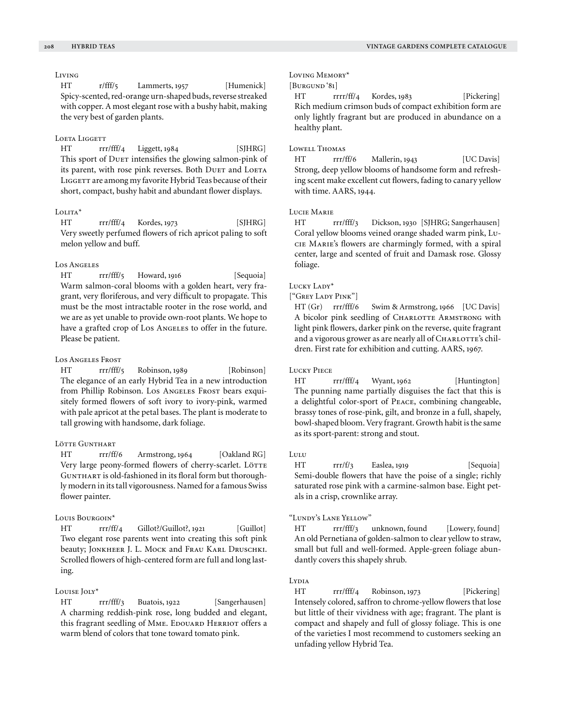# Living

HT r/fff/5 Lammerts, 1957 [Humenick] Spicy-scented, red-orange urn-shaped buds, reverse streaked with copper. A most elegant rose with a bushy habit, making the very best of garden plants.

#### LOETA LIGGETT

HT rrr/fff/4 Liggett, 1984 [SJHRG] This sport of Duer intensifies the glowing salmon-pink of its parent, with rose pink reverses. Both DUET and LOETA LIGGETT are among my favorite Hybrid Teas because of their short, compact, bushy habit and abundant flower displays.

# Lolita\*

HT rrr/fff/4 Kordes, 1973 [SJHRG] Very sweetly perfumed flowers of rich apricot paling to soft melon yellow and buff.

#### Los Angeles

HT rrr/fff/5 Howard, 1916 [Sequoia] Warm salmon-coral blooms with a golden heart, very fragrant, very floriferous, and very difficult to propagate. This must be the most intractable rooter in the rose world, and we are as yet unable to provide own-root plants. We hope to have a grafted crop of Los Angeles to offer in the future. Please be patient.

## Los Angeles Frost

HT rrr/fff/5 Robinson, 1989 [Robinson] The elegance of an early Hybrid Tea in a new introduction from Phillip Robinson. Los Angeles Frost bears exquisitely formed flowers of soft ivory to ivory-pink, warmed with pale apricot at the petal bases. The plant is moderate to tall growing with handsome, dark foliage.

## Lötte Gunthart

HT rrr/ff/6 Armstrong, 1964 [Oakland RG] Very large peony-formed flowers of cherry-scarlet. LÖTTE GUNTHART is old-fashioned in its floral form but thoroughly modern in its tall vigorousness. Named for a famous Swiss flower painter.

## Louis Bourgoin\*

HT rrr/ff/4 Gillot?/Guillot?, 1921 [Guillot] Two elegant rose parents went into creating this soft pink beauty; JONKHEER J. L. MOCK and FRAU KARL DRUSCHKI. Scrolled flowers of high-centered form are full and long lasting.

# Louise Joly\*

HT rrr/fff/3 Buatois, 1922 [Sangerhausen] A charming reddish-pink rose, long budded and elegant, this fragrant seedling of MME. EDOUARD HERRIOT offers a warm blend of colors that tone toward tomato pink.

## Loving Memory\*

[BURGUND '81]

HT rrrr/ff/4 Kordes, 1983 [Pickering] Rich medium crimson buds of compact exhibition form are only lightly fragrant but are produced in abundance on a healthy plant.

## Lowell Thomas

HT rrr/ff/6 Mallerin, 1943 [UC Davis] Strong, deep yellow blooms of handsome form and refreshing scent make excellent cut flowers, fading to canary yellow with time. AARS, 1944.

## Lucie Marie

HT rrr/fff/3 Dickson, 1930 [SJHRG; Sangerhausen] Coral yellow blooms veined orange shaded warm pink, Lucie Marie's flowers are charmingly formed, with a spiral center, large and scented of fruit and Damask rose. Glossy foliage.

## Lucky Lady\*

["Grey Lady Pink"]

HT (Gr) rrr/fff/6 Swim & Armstrong, 1966 [UC Davis] A bicolor pink seedling of CHARLOTTE ARMSTRONG with light pink flowers, darker pink on the reverse, quite fragrant and a vigorous grower as are nearly all of CHARLOTTE's children. First rate for exhibition and cutting. AARS, 1967.

#### Lucky Piece

HT rrr/fff/4 Wyant, 1962 [Huntington] The punning name partially disguises the fact that this is a delightful color-sport of Peace, combining changeable, brassy tones of rose-pink, gilt, and bronze in a full, shapely, bowl-shaped bloom. Very fragrant. Growth habit is the same as its sport-parent: strong and stout.

# Lulu

HT rrr/f/3 Easlea, 1919 [Sequoia] Semi-double flowers that have the poise of a single; richly saturated rose pink with a carmine-salmon base. Eight petals in a crisp, crownlike array.

#### "Lundy's Lane Yellow"

HT rrr/fff/3 unknown, found [Lowery, found] An old Pernetiana of golden-salmon to clear yellow to straw, small but full and well-formed. Apple-green foliage abundantly covers this shapely shrub.

# Lydia

HT rrr/fff/4 Robinson, 1973 [Pickering] Intensely colored, saffron to chrome-yellow flowers that lose but little of their vividness with age; fragrant. The plant is compact and shapely and full of glossy foliage. This is one of the varieties I most recommend to customers seeking an unfading yellow Hybrid Tea.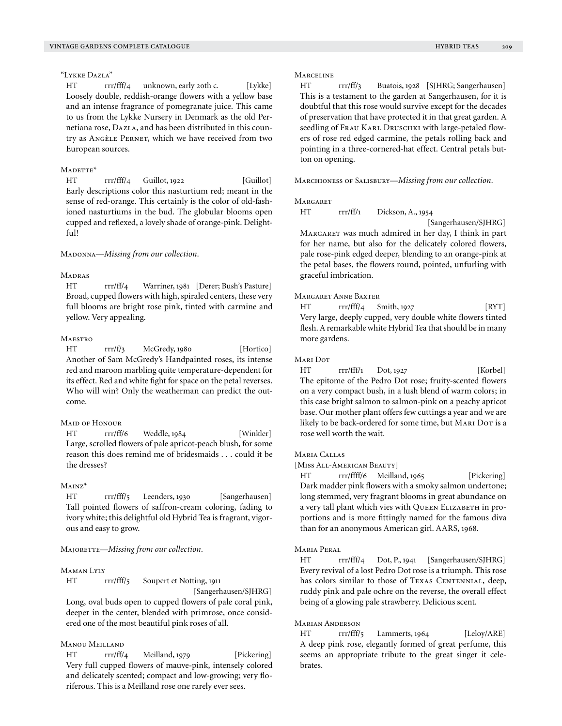## "Lykke Dazla"

HT rrr/fff/4 unknown, early 20th c. [Lykke] Loosely double, reddish-orange flowers with a yellow base and an intense fragrance of pomegranate juice. This came to us from the Lykke Nursery in Denmark as the old Pernetiana rose, DAZLA, and has been distributed in this country as Angèle Pernet, which we have received from two European sources.

## $M$ ADETTE\*

HT rrr/fff/4 Guillot, 1922 [Guillot] Early descriptions color this nasturtium red; meant in the sense of red-orange. This certainly is the color of old-fashioned nasturtiums in the bud. The globular blooms open cupped and reflexed, a lovely shade of orange-pink. Delightful!

MADONNA—*Missing from our collection*.

#### **MADRAS**

HT rrr/ff/4 Warriner, 1981 [Derer; Bush's Pasture] Broad, cupped flowers with high, spiraled centers, these very full blooms are bright rose pink, tinted with carmine and yellow. Very appealing.

## **MAESTRO**

HT rrr/f/3 McGredy, 1980 [Hortico] Another of Sam McGredy's Handpainted roses, its intense red and maroon marbling quite temperature-dependent for its effect. Red and white fight for space on the petal reverses. Who will win? Only the weatherman can predict the outcome.

## Maid of Honour

HT rrr/ff/6 Weddle, 1984 [Winkler] Large, scrolled flowers of pale apricot-peach blush, for some reason this does remind me of bridesmaids . . . could it be the dresses?

#### Mainz\*

HT rrr/fff/5 Leenders, 1930 [Sangerhausen] Tall pointed flowers of saffron-cream coloring, fading to ivory white; this delightful old Hybrid Tea is fragrant, vigorous and easy to grow.

MAJORETTE-Missing from our collection.

#### Maman Lyly

HT rrr/fff/5 Soupert et Notting, 1911

 [Sangerhausen/SJHRG] Long, oval buds open to cupped flowers of pale coral pink, deeper in the center, blended with primrose, once considered one of the most beautiful pink roses of all.

# Manou Meilland

HT rrr/ff/4 Meilland, 1979 [Pickering] Very full cupped flowers of mauve-pink, intensely colored and delicately scented; compact and low-growing; very floriferous. This is a Meilland rose one rarely ever sees.

#### **MARCELINE**

HT rrr/ff/3 Buatois, 1928 [SJHRG; Sangerhausen] This is a testament to the garden at Sangerhausen, for it is doubtful that this rose would survive except for the decades of preservation that have protected it in that great garden. A seedling of FRAU KARL DRUSCHKI with large-petaled flowers of rose red edged carmine, the petals rolling back and pointing in a three-cornered-hat effect. Central petals button on opening.

Marchioness of Salisbury—*Missing from our collection.*

#### **MARGARET**

HT rrr/ff/1 Dickson, A., 1954

[Sangerhausen/SJHRG]

Margaret was much admired in her day, I think in part for her name, but also for the delicately colored flowers, pale rose-pink edged deeper, blending to an orange-pink at the petal bases, the flowers round, pointed, unfurling with graceful imbrication.

## Margaret Anne Baxter

 $HT$  rrr/fff/4 Smith, 1927 [RYT] Very large, deeply cupped, very double white flowers tinted flesh. A remarkable white Hybrid Tea that should be in many more gardens.

#### Mari Dot

HT rrr/fff/1 Dot, 1927 [Korbel] The epitome of the Pedro Dot rose; fruity-scented flowers on a very compact bush, in a lush blend of warm colors; in this case bright salmon to salmon-pink on a peachy apricot base. Our mother plant offers few cuttings a year and we are likely to be back-ordered for some time, but MARI DOT is a rose well worth the wait.

## Maria Callas

[Miss All-American Beauty]

HT rrr/ffff/6 Meilland, 1965 [Pickering] Dark madder pink flowers with a smoky salmon undertone; long stemmed, very fragrant blooms in great abundance on a very tall plant which vies with QUEEN ELIZABETH in proportions and is more fittingly named for the famous diva than for an anonymous American girl. AARS, 1968.

#### Maria Peral

HT rrr/fff/4 Dot, P., 1941 [Sangerhausen/SJHRG] Every revival of a lost Pedro Dot rose is a triumph. This rose has colors similar to those of TEXAS CENTENNIAL, deep, ruddy pink and pale ochre on the reverse, the overall effect being of a glowing pale strawberry. Delicious scent.

#### Marian Anderson

HT rrr/fff/5 Lammerts, 1964 [Leloy/ARE] A deep pink rose, elegantly formed of great perfume, this seems an appropriate tribute to the great singer it celebrates.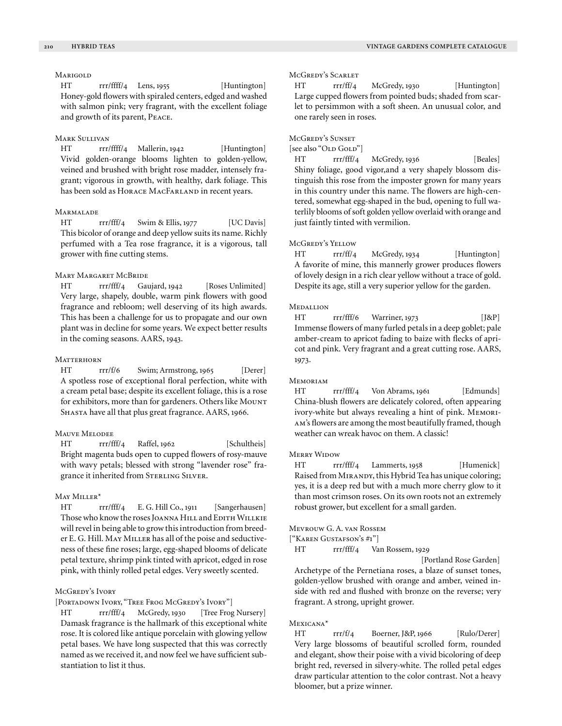# **MARIGOLD**

HT rrr/ffff/4 Lens, 1955 [Huntington] Honey-gold flowers with spiraled centers, edged and washed with salmon pink; very fragrant, with the excellent foliage and growth of its parent, Peace.

## Mark Sullivan

HT rrr/ffff/4 Mallerin, 1942 [Huntington] Vivid golden-orange blooms lighten to golden-yellow, veined and brushed with bright rose madder, intensely fragrant; vigorous in growth, with healthy, dark foliage. This has been sold as HORACE MACFARLAND in recent years.

## **MARMALADE**

HT rrr/fff/4 Swim & Ellis, 1977 [UC Davis] This bicolor of orange and deep yellow suits its name. Richly perfumed with a Tea rose fragrance, it is a vigorous, tall grower with fine cutting stems.

## Mary Margaret McBride

HT rrr/fff/4 Gaujard, 1942 [Roses Unlimited] Very large, shapely, double, warm pink flowers with good fragrance and rebloom; well deserving of its high awards. This has been a challenge for us to propagate and our own plant was in decline for some years. We expect better results in the coming seasons. AARS, 1943.

#### **MATTERHORN**

HT rrr/f/6 Swim; Armstrong, 1965 [Derer] A spotless rose of exceptional floral perfection, white with a cream petal base; despite its excellent foliage, this is a rose for exhibitors, more than for gardeners. Others like MOUNT SHASTA have all that plus great fragrance. AARS, 1966.

## Mauve Melodee

HT rrr/fff/4 Raffel, 1962 [Schultheis] Bright magenta buds open to cupped flowers of rosy-mauve with wavy petals; blessed with strong "lavender rose" fragrance it inherited from STERLING SILVER.

## May Miller\*

HT rrr/fff/4 E. G. Hill Co., 1911 [Sangerhausen] Those who know the roses JOANNA HILL and EDITH WILLKIE will revel in being able to grow this introduction from breeder E. G. Hill. MAY MILLER has all of the poise and seductiveness of these fine roses; large, egg-shaped blooms of delicate petal texture, shrimp pink tinted with apricot, edged in rose pink, with thinly rolled petal edges. Very sweetly scented.

# McGredy's Ivory

[PORTADOWN IVORY, "TREE FROG MCGREDY'S IVORY"]

HT rrr/fff/4 McGredy, 1930 [Tree Frog Nursery] Damask fragrance is the hallmark of this exceptional white rose. It is colored like antique porcelain with glowing yellow petal bases. We have long suspected that this was correctly named as we received it, and now feel we have sufficient substantiation to list it thus.

## McGredy's Scarlet

HT rrr/ff/4 McGredy, 1930 [Huntington] Large cupped flowers from pointed buds; shaded from scarlet to persimmon with a soft sheen. An unusual color, and one rarely seen in roses.

## McGredy's Sunset

[see also "OLD GOLD"]

HT rrr/fff/4 McGredy, 1936 [Beales] Shiny foliage, good vigor,and a very shapely blossom distinguish this rose from the imposter grown for many years in this country under this name. The flowers are high-centered, somewhat egg-shaped in the bud, opening to full waterlily blooms of soft golden yellow overlaid with orange and just faintly tinted with vermilion.

## McGredy's Yellow

HT rrr/ff/4 McGredy, 1934 [Huntington] A favorite of mine, this mannerly grower produces flowers of lovely design in a rich clear yellow without a trace of gold. Despite its age, still a very superior yellow for the garden.

#### **MEDALLION**

HT rrr/fff/6 Warriner, 1973 [J&P] Immense flowers of many furled petals in a deep goblet; pale amber-cream to apricot fading to baize with flecks of apricot and pink. Very fragrant and a great cutting rose. AARS, 1973.

#### **MEMORIAM**

HT rrr/fff/4 Von Abrams, 1961 [Edmunds] China-blush flowers are delicately colored, often appearing ivory-white but always revealing a hint of pink. Memoriam's flowers are among the most beautifully framed, though weather can wreak havoc on them. A classic!

#### **MERRY WIDOW**

HT rrr/fff/4 Lammerts, 1958 [Humenick] Raised from Mirandy, this Hybrid Tea has unique coloring; yes, it is a deep red but with a much more cherry glow to it than most crimson roses. On its own roots not an extremely robust grower, but excellent for a small garden.

Mevrouw G. A. van Rossem

["Karen Gustafson's #1"]

HT rrr/fff/4 Van Rossem, 1929

[Portland Rose Garden]

Archetype of the Pernetiana roses, a blaze of sunset tones, golden-yellow brushed with orange and amber, veined inside with red and flushed with bronze on the reverse; very fragrant. A strong, upright grower.

## Mexicana\*

HT rrr/f/4 Boerner, J&P, 1966 [Rulo/Derer] Very large blossoms of beautiful scrolled form, rounded and elegant, show their poise with a vivid bicoloring of deep bright red, reversed in silvery-white. The rolled petal edges draw particular attention to the color contrast. Not a heavy bloomer, but a prize winner.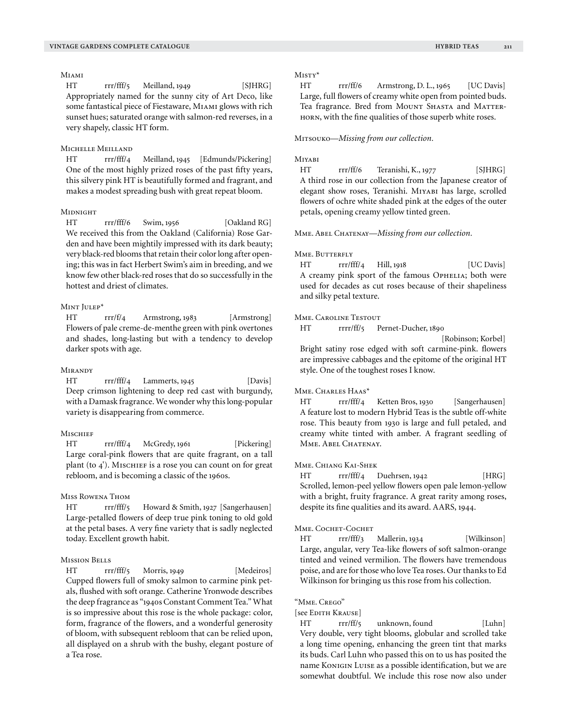Miami

HT rrr/fff/5 Meilland, 1949 [SJHRG] Appropriately named for the sunny city of Art Deco, like some fantastical piece of Fiestaware, Miami glows with rich sunset hues; saturated orange with salmon-red reverses, in a very shapely, classic HT form.

# Michelle Meilland

HT rrr/fff/4 Meilland, 1945 [Edmunds/Pickering] One of the most highly prized roses of the past fifty years, this silvery pink HT is beautifully formed and fragrant, and makes a modest spreading bush with great repeat bloom.

## **MIDNIGHT**

HT rrr/fff/6 Swim, 1956 [Oakland RG] We received this from the Oakland (California) Rose Garden and have been mightily impressed with its dark beauty; very black-red blooms that retain their color long after opening; this was in fact Herbert Swim's aim in breeding, and we know few other black-red roses that do so successfully in the hottest and driest of climates.

## Mint Julep\*

HT rrr/f/4 Armstrong, 1983 [Armstrong] Flowers of pale creme-de-menthe green with pink overtones and shades, long-lasting but with a tendency to develop darker spots with age.

#### **MIRANDY**

HT rrr/fff/4 Lammerts, 1945 [Davis] Deep crimson lightening to deep red cast with burgundy, with a Damask fragrance. We wonder why this long-popular variety is disappearing from commerce.

## **MISCHIEF**

HT rrr/fff/4 McGredy, 1961 [Pickering] Large coral-pink flowers that are quite fragrant, on a tall plant (to  $4'$ ). MISCHIEF is a rose you can count on for great rebloom, and is becoming a classic of the 1960s.

## Miss Rowena Thom

HT rrr/fff/5 Howard & Smith, 1927 [Sangerhausen] Large-petalled flowers of deep true pink toning to old gold at the petal bases. A very fine variety that is sadly neglected today. Excellent growth habit.

## Mission Bells

HT rrr/fff/5 Morris, 1949 [Medeiros] Cupped flowers full of smoky salmon to carmine pink petals, flushed with soft orange. Catherine Yronwode describes the deep fragrance as "1940s Constant Comment Tea." What is so impressive about this rose is the whole package: color, form, fragrance of the flowers, and a wonderful generosity of bloom, with subsequent rebloom that can be relied upon, all displayed on a shrub with the bushy, elegant posture of a Tea rose.

#### $Misry*$

HT rrr/ff/6 Armstrong, D. L., 1965 [UC Davis] Large, full flowers of creamy white open from pointed buds. Tea fragrance. Bred from MOUNT SHASTA and MATTERhorn, with the fine qualities of those superb white roses.

Mitsouko—*Missing from our collection.*

## Miyabi

HT rrr/ff/6 Teranishi, K., 1977 [SIHRG] A third rose in our collection from the Japanese creator of elegant show roses, Teranishi. Miyabi has large, scrolled flowers of ochre white shaded pink at the edges of the outer petals, opening creamy yellow tinted green.

Mme. Abel Chatenay—*Missing from our collection.*

#### MME. BUTTERFLY

HT rrr/fff/4 Hill, 1918 [UC Davis] A creamy pink sport of the famous OPHELIA; both were used for decades as cut roses because of their shapeliness and silky petal texture.

# Mme. Caroline Testout

HT rrrr/ff/5 Pernet-Ducher, 1890

 [Robinson; Korbel] Bright satiny rose edged with soft carmine-pink. flowers are impressive cabbages and the epitome of the original HT style. One of the toughest roses I know.

## MME. CHARLES HAAS\*

HT rrr/fff/4 Ketten Bros, 1930 [Sangerhausen] A feature lost to modern Hybrid Teas is the subtle off-white rose. This beauty from 1930 is large and full petaled, and creamy white tinted with amber. A fragrant seedling of MME. ABEL CHATENAY.

## Mme. Chiang Kai-Shek

HT rrr/fff/4 Duehrsen, 1942 [HRG] Scrolled, lemon-peel yellow flowers open pale lemon-yellow with a bright, fruity fragrance. A great rarity among roses, despite its fine qualities and its award. AARS, 1944.

## Mme. Cochet-Cochet

HT rrr/fff/3 Mallerin, 1934 [Wilkinson] Large, angular, very Tea-like flowers of soft salmon-orange tinted and veined vermilion. The flowers have tremendous poise, and are for those who love Tea roses. Our thanks to Ed Wilkinson for bringing us this rose from his collection.

#### "Mme. Crego"

#### [see Edith Krause]

HT rrr/ff/5 unknown, found [Luhn] Very double, very tight blooms, globular and scrolled take a long time opening, enhancing the green tint that marks its buds. Carl Luhn who passed this on to us has posited the name Konigin Luise as a possible identification, but we are somewhat doubtful. We include this rose now also under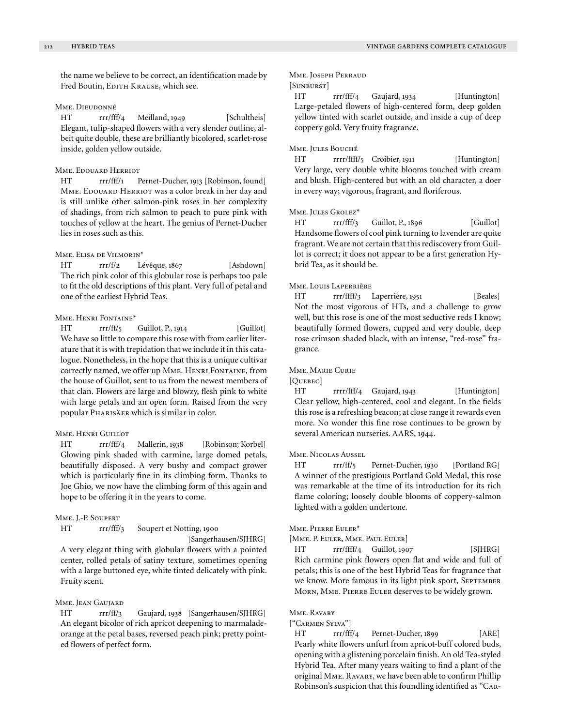the name we believe to be correct, an identification made by Fred Boutin, EDITH KRAUSE, which see.

## Mme. Dieudonné

HT rrr/fff/4 Meilland, 1949 [Schultheis] Elegant, tulip-shaped flowers with a very slender outline, albeit quite double, these are brilliantly bicolored, scarlet-rose inside, golden yellow outside.

## Mme. Edouard Herriot

HT rrr/fff/1 Pernet-Ducher, 1913 [Robinson, found] MME. EDOUARD HERRIOT was a color break in her day and is still unlike other salmon-pink roses in her complexity of shadings, from rich salmon to peach to pure pink with touches of yellow at the heart. The genius of Pernet-Ducher lies in roses such as this.

#### Mme. Elisa de Vilmorin\*

HT rrr/f/2 Lévêque, 1867 [Ashdown] The rich pink color of this globular rose is perhaps too pale to fit the old descriptions of this plant. Very full of petal and one of the earliest Hybrid Teas.

## Mme. Henri Fontaine\*

HT rrr/ff/5 Guillot, P., 1914 [Guillot] We have so little to compare this rose with from earlier literature that it is with trepidation that we include it in this catalogue. Nonetheless, in the hope that this is a unique cultivar correctly named, we offer up MME. HENRI FONTAINE, from the house of Guillot, sent to us from the newest members of that clan. Flowers are large and blowzy, flesh pink to white with large petals and an open form. Raised from the very popular Pharisäer which is similar in color.

# Mme. Henri Guillot

HT rrr/fff/4 Mallerin, 1938 [Robinson; Korbel] Glowing pink shaded with carmine, large domed petals, beautifully disposed. A very bushy and compact grower which is particularly fine in its climbing form. Thanks to Joe Ghio, we now have the climbing form of this again and hope to be offering it in the years to come.

## Mme. J.-P. Soupert

HT rrr/fff/3 Soupert et Notting, 1900

# [Sangerhausen/SJHRG]

A very elegant thing with globular flowers with a pointed center, rolled petals of satiny texture, sometimes opening with a large buttoned eye, white tinted delicately with pink. Fruity scent.

#### Mme. **JEAN GAUJARD**

HT rrr/ff/3 Gaujard, 1938 [Sangerhausen/SJHRG] An elegant bicolor of rich apricot deepening to marmaladeorange at the petal bases, reversed peach pink; pretty pointed flowers of perfect form.

## Mme. Joseph Perraud

## [Sunburst]

HT rrr/fff/4 Gaujard, 1934 [Huntington] Large-petaled flowers of high-centered form, deep golden yellow tinted with scarlet outside, and inside a cup of deep coppery gold. Very fruity fragrance.

#### Mme. Jules Bouché

HT rrrr/ffff/5 Croibier, 1911 [Huntington] Very large, very double white blooms touched with cream and blush. High-centered but with an old character, a doer in every way; vigorous, fragrant, and floriferous.

#### Mme. Jules Grolez\*

HT rrr/fff/3 Guillot, P., 1896 [Guillot] Handsome flowers of cool pink turning to lavender are quite fragrant. We are not certain that this rediscovery from Guillot is correct; it does not appear to be a first generation Hybrid Tea, as it should be.

## Mme. Louis Laperrière

HT rrr/ffff/3 Laperrière, 1951 [Beales] Not the most vigorous of HTs, and a challenge to grow well, but this rose is one of the most seductive reds I know; beautifully formed flowers, cupped and very double, deep rose crimson shaded black, with an intense, "red-rose" fragrance.

#### Mme. Marie Curie

[OUEBEC]

HT rrrr/fff/4 Gaujard, 1943 [Huntington] Clear yellow, high-centered, cool and elegant. In the fields this rose is a refreshing beacon; at close range it rewards even more. No wonder this fine rose continues to be grown by several American nurseries. AARS, 1944.

#### Mme. Nicolas Aussel

HT rrr/ff/5 Pernet-Ducher, 1930 [Portland RG] A winner of the prestigious Portland Gold Medal, this rose was remarkable at the time of its introduction for its rich flame coloring; loosely double blooms of coppery-salmon lighted with a golden undertone.

## Mme. Pierre Euler\*

[Mme. P. Euler, Mme. Paul Euler]

HT rrr/ffff/4 Guillot, 1907 [SJHRG] Rich carmine pink flowers open flat and wide and full of petals; this is one of the best Hybrid Teas for fragrance that we know. More famous in its light pink sport, SEPTEMBER Morn, Mme. Pierre Euler deserves to be widely grown.

## Mme. Ravary

#### ["Carmen Sylva"]

HT rrr/fff/4 Pernet-Ducher, 1899 [ARE] Pearly white flowers unfurl from apricot-buff colored buds, opening with a glistening porcelain finish. An old Tea-styled Hybrid Tea. After many years waiting to find a plant of the original Mme. Ravary, we have been able to confirm Phillip Robinson's suspicion that this foundling identified as "Car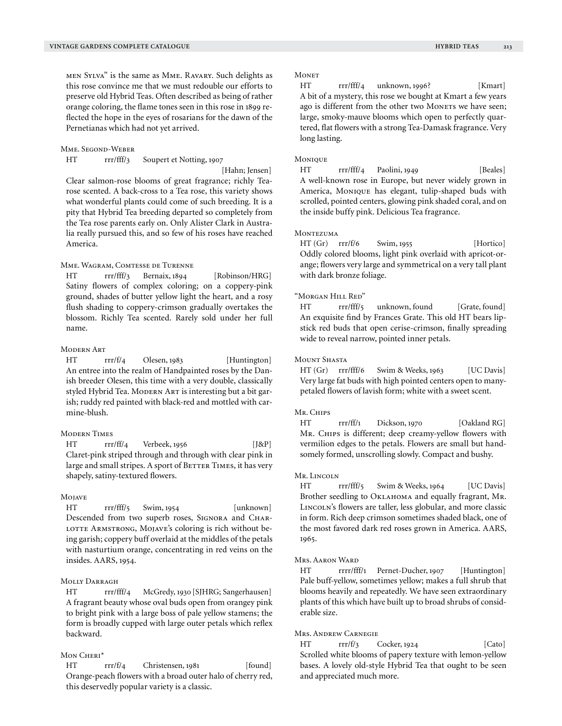men Sylva" is the same as Mme. Ravary. Such delights as this rose convince me that we must redouble our efforts to preserve old Hybrid Teas. Often described as being of rather orange coloring, the flame tones seen in this rose in 1899 reflected the hope in the eyes of rosarians for the dawn of the Pernetianas which had not yet arrived.

#### Mme. Segond-Weber

HT rrr/fff/3 Soupert et Notting, 1907

[Hahn; Jensen]

Clear salmon-rose blooms of great fragrance; richly Tearose scented. A back-cross to a Tea rose, this variety shows what wonderful plants could come of such breeding. It is a pity that Hybrid Tea breeding departed so completely from the Tea rose parents early on. Only Alister Clark in Australia really pursued this, and so few of his roses have reached America.

## Mme. Wagram, Comtesse de Turenne

HT rrr/fff/3 Bernaix, 1894 [Robinson/HRG] Satiny flowers of complex coloring; on a coppery-pink ground, shades of butter yellow light the heart, and a rosy flush shading to coppery-crimson gradually overtakes the blossom. Richly Tea scented. Rarely sold under her full name.

## Modern Art

HT rrr/f/4 Olesen, 1983 [Huntington] An entree into the realm of Handpainted roses by the Danish breeder Olesen, this time with a very double, classically styled Hybrid Tea. MODERN ART is interesting but a bit garish; ruddy red painted with black-red and mottled with carmine-blush.

## Modern Times

HT rrr/ff/4 Verbeek, 1956 [J&P] Claret-pink striped through and through with clear pink in large and small stripes. A sport of BETTER TIMES, it has very shapely, satiny-textured flowers.

## **MOJAVE**

HT rrr/fff/5 Swim, 1954 [unknown] Descended from two superb roses, SIGNORA and CHAR-LOTTE ARMSTRONG, MOJAVE's coloring is rich without being garish; coppery buff overlaid at the middles of the petals with nasturtium orange, concentrating in red veins on the insides. AARS, 1954.

# Molly Darragh

HT rrr/fff/4 McGredy, 1930 [SJHRG; Sangerhausen] A fragrant beauty whose oval buds open from orangey pink to bright pink with a large boss of pale yellow stamens; the form is broadly cupped with large outer petals which reflex backward.

## MON CHERI\*

HT rrr/f/4 Christensen, 1981 [found] Orange-peach flowers with a broad outer halo of cherry red, this deservedly popular variety is a classic.

HT rrr/fff/4 unknown, 1996? [Kmart] A bit of a mystery, this rose we bought at Kmart a few years ago is different from the other two Moners we have seen; large, smoky-mauve blooms which open to perfectly quartered, flat flowers with a strong Tea-Damask fragrance. Very long lasting.

## Monique

HT rrr/fff/4 Paolini, 1949 [Beales] A well-known rose in Europe, but never widely grown in America, Monique has elegant, tulip-shaped buds with scrolled, pointed centers, glowing pink shaded coral, and on the inside buffy pink. Delicious Tea fragrance.

## **MONTEZUMA**

 $HT (Gr) \quad rrr/f/6 \quad \text{Swim, 1955}$  [Hortico] Oddly colored blooms, light pink overlaid with apricot-orange; flowers very large and symmetrical on a very tall plant with dark bronze foliage.

# "Morgan Hill Red"

HT rrr/fff/5 unknown, found [Grate, found] An exquisite find by Frances Grate. This old HT bears lipstick red buds that open cerise-crimson, finally spreading wide to reveal narrow, pointed inner petals.

#### MOUNT SHASTA

HT (Gr) rrr/fff/6 Swim & Weeks, 1963 [UC Davis] Very large fat buds with high pointed centers open to manypetaled flowers of lavish form; white with a sweet scent.

## Mr. Chips

HT rrr/ff/1 Dickson, 1970 [Oakland RG] Mr. CHIPS is different; deep creamy-yellow flowers with vermilion edges to the petals. Flowers are small but handsomely formed, unscrolling slowly. Compact and bushy.

#### Mr. Lincoln

HT rrr/fff/5 Swim & Weeks, 1964 [UC Davis] Brother seedling to OKLAHOMA and equally fragrant, MR. LINCOLN's flowers are taller, less globular, and more classic in form. Rich deep crimson sometimes shaded black, one of the most favored dark red roses grown in America. AARS, 1965.

## Mrs. Aaron Ward

HT rrrr/fff/1 Pernet-Ducher, 1907 [Huntington] Pale buff-yellow, sometimes yellow; makes a full shrub that blooms heavily and repeatedly. We have seen extraordinary plants of this which have built up to broad shrubs of considerable size.

## Mrs. Andrew Carnegie

 $HT \quad \text{rrr/f/3} \quad \text{Coker, } 1924 \quad \text{[Cato]}$ Scrolled white blooms of papery texture with lemon-yellow bases. A lovely old-style Hybrid Tea that ought to be seen and appreciated much more.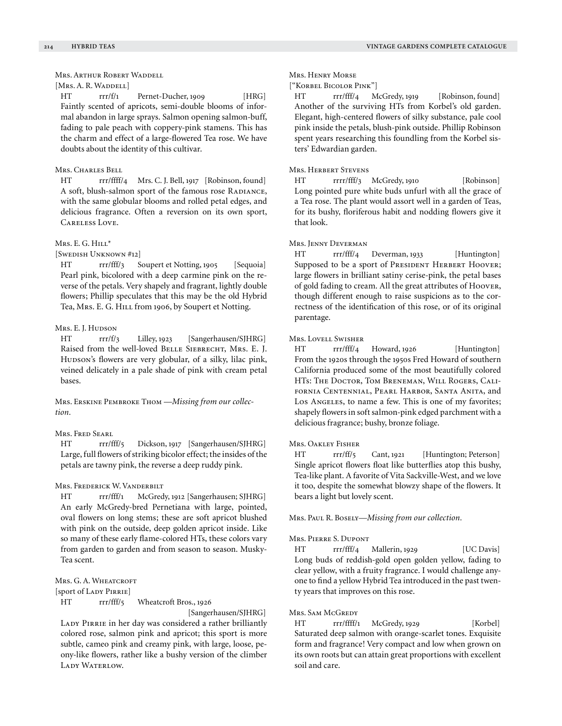## Mrs. Arthur Robert Waddell

# [Mrs. A. R. Waddell]

HT rrr/f/1 Pernet-Ducher, 1909 [HRG] Faintly scented of apricots, semi-double blooms of informal abandon in large sprays. Salmon opening salmon-buff, fading to pale peach with coppery-pink stamens. This has the charm and effect of a large-flowered Tea rose. We have doubts about the identity of this cultivar.

## Mrs. Charles Bell

HT rrr/ffff/4 Mrs. C. J. Bell, 1917 [Robinson, found] A soft, blush-salmon sport of the famous rose RADIANCE, with the same globular blooms and rolled petal edges, and delicious fragrance. Often a reversion on its own sport, Careless Love.

## Mrs. E. G. HILL\*

[Swedish Unknown #12]

HT rrr/fff/3 Soupert et Notting, 1905 [Sequoia] Pearl pink, bicolored with a deep carmine pink on the reverse of the petals. Very shapely and fragrant, lightly double flowers; Phillip speculates that this may be the old Hybrid Tea, Mrs. E. G. HILL from 1906, by Soupert et Notting.

## Mrs. E. J. Hudson

HT rrr/f/3 Lilley, 1923 [Sangerhausen/SJHRG] Raised from the well-loved BELLE SIEBRECHT, MRS. E. J. Hudson's flowers are very globular, of a silky, lilac pink, veined delicately in a pale shade of pink with cream petal bases.

Mrs. Erskine Pembroke Thom —*Missing from our collection.*

## Mrs. Fred Searl

HT rrr/fff/5 Dickson, 1917 [Sangerhausen/SJHRG] Large, full flowers of striking bicolor effect; the insides of the petals are tawny pink, the reverse a deep ruddy pink.

## Mrs. Frederick W. Vanderbilt

HT rrr/fff/1 McGredy, 1912 [Sangerhausen; SJHRG] An early McGredy-bred Pernetiana with large, pointed, oval flowers on long stems; these are soft apricot blushed with pink on the outside, deep golden apricot inside. Like so many of these early flame-colored HTs, these colors vary from garden to garden and from season to season. Musky-Tea scent.

## Mrs. G. A. WHEATCROFT

[sport of Lady Pirrie]

## HT rrr/fff/5 Wheatcroft Bros., 1926

 [Sangerhausen/SJHRG] LADY PIRRIE in her day was considered a rather brilliantly colored rose, salmon pink and apricot; this sport is more subtle, cameo pink and creamy pink, with large, loose, peony-like flowers, rather like a bushy version of the climber LADY WATERLOW.

#### Mrs. Henry Morse

#### ["Korbel Bicolor Pink"]

HT rrr/fff/4 McGredy, 1919 [Robinson, found] Another of the surviving HTs from Korbel's old garden. Elegant, high-centered flowers of silky substance, pale cool pink inside the petals, blush-pink outside. Phillip Robinson spent years researching this foundling from the Korbel sisters' Edwardian garden.

#### Mrs. Herbert Stevens

HT rrrr/fff/3 McGredy, 1910 [Robinson] Long pointed pure white buds unfurl with all the grace of a Tea rose. The plant would assort well in a garden of Teas, for its bushy, floriferous habit and nodding flowers give it that look.

# Mrs. Jenny Deverman

HT rrr/fff/4 Deverman, 1933 [Huntington] Supposed to be a sport of PRESIDENT HERBERT HOOVER; large flowers in brilliant satiny cerise-pink, the petal bases of gold fading to cream. All the great attributes of Hoover, though different enough to raise suspicions as to the correctness of the identification of this rose, or of its original parentage.

#### Mrs. Lovell Swisher

HT rrr/fff/4 Howard, 1926 [Huntington] From the 1920s through the 1950s Fred Howard of southern California produced some of the most beautifully colored HTs: The Doctor, Tom Breneman, Will Rogers, California Centennial, Pearl Harbor, Santa Anita, and Los Angeles, to name a few. This is one of my favorites; shapely flowers in soft salmon-pink edged parchment with a delicious fragrance; bushy, bronze foliage.

#### Mrs. Oakley Fisher

HT rrr/ff/5 Cant, 1921 [Huntington; Peterson] Single apricot flowers float like butterflies atop this bushy, Tea-like plant. A favorite of Vita Sackville-West, and we love it too, despite the somewhat blowzy shape of the flowers. It bears a light but lovely scent.

Mrs. Paul R. Bosely—*Missing from our collection.*

#### Mrs. Pierre S. Dupont

HT rrr/fff/4 Mallerin, 1929 [UC Davis] Long buds of reddish-gold open golden yellow, fading to clear yellow, with a fruity fragrance. I would challenge anyone to find a yellow Hybrid Tea introduced in the past twenty years that improves on this rose.

## Mrs. Sam McGredy

HT rrr/ffff/1 McGredy, 1929 [Korbel] Saturated deep salmon with orange-scarlet tones. Exquisite form and fragrance! Very compact and low when grown on its own roots but can attain great proportions with excellent soil and care.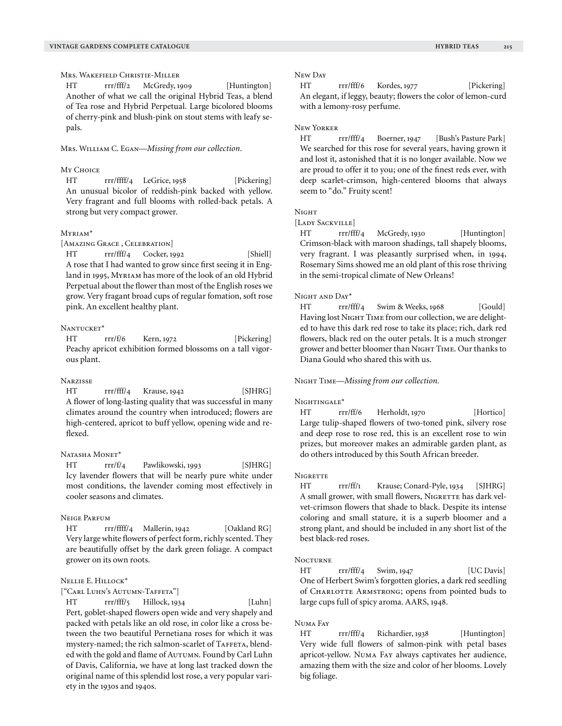# Mrs. Wakefield Christie-Miller

HT rrr/fff/2 McGredy, 1909 [Huntington] Another of what we call the original Hybrid Teas, a blend of Tea rose and Hybrid Perpetual. Large bicolored blooms of cherry-pink and blush-pink on stout stems with leafy sepals.

#### Mrs. William C. Egan—*Missing from our collection.*

#### My Choice

HT rrr/ffff/4 LeGrice, 1958 [Pickering] An unusual bicolor of reddish-pink backed with yellow. Very fragrant and full blooms with rolled-back petals. A strong but very compact grower.

## Myriam\*

[Amazing Grace, Celebration]

HT rrr/fff/4 Cocker, 1992 [Shiell] A rose that I had wanted to grow since first seeing it in England in 1995, Myriam has more of the look of an old Hybrid Perpetual about the flower than most of the English roses we grow. Very fragant broad cups of regular fomation, soft rose pink. An excellent healthy plant.

#### NANTUCKET<sup>\*</sup>

HT rrr/f/6 Kern, 1972 [Pickering] Peachy apricot exhibition formed blossoms on a tall vigorous plant.

#### **NARZISSE**

HT rrr/fff/4 Krause, 1942 [SJHRG] A flower of long-lasting quality that was successful in many climates around the country when introduced; flowers are high-centered, apricot to buff yellow, opening wide and reflexed.

#### NATASHA MONET\*

HT rrr/f/4 Pawlikowski, 1993 [SJHRG] Icy lavender flowers that will be nearly pure white under most conditions, the lavender coming most effectively in cooler seasons and climates.

#### Neige Parfum

HT rrr/ffff/4 Mallerin, 1942 [Oakland RG] Very large white flowers of perfect form, richly scented. They are beautifully offset by the dark green foliage. A compact grower on its own roots.

## Nellie E. Hillock\*

# ["Carl Luhn's Autumn-Taffeta"]

HT rrr/fff/5 Hillock, 1934 [Luhn] Pert, goblet-shaped flowers open wide and very shapely and packed with petals like an old rose, in color like a cross between the two beautiful Pernetiana roses for which it was mystery-named; the rich salmon-scarlet of TAFFETA, blended with the gold and flame of AUTUMN. Found by Carl Luhn of Davis, California, we have at long last tracked down the original name of this splendid lost rose, a very popular variety in the 1930s and 1940s.

## New Day

HT rrr/fff/6 Kordes, 1977 [Pickering] An elegant, if leggy, beauty; flowers the color of lemon-curd with a lemony-rosy perfume.

#### New Yorker

HT rrr/fff/4 Boerner, 1947 [Bush's Pasture Park] We searched for this rose for several years, having grown it and lost it, astonished that it is no longer available. Now we are proud to offer it to you; one of the finest reds ever, with deep scarlet-crimson, high-centered blooms that always seem to "do." Fruity scent!

## Nicur

[LADY SACKVILLE]

HT rrr/fff/4 McGredy, 1930 [Huntington] Crimson-black with maroon shadings, tall shapely blooms, very fragrant. I was pleasantly surprised when, in 1994, Rosemary Sims showed me an old plant of this rose thriving in the semi-tropical climate of New Orleans!

#### Night and Day\*

HT rrr/fff/4 Swim & Weeks, 1968 [Gould] Having lost NIGHT TIME from our collection, we are delighted to have this dark red rose to take its place; rich, dark red flowers, black red on the outer petals. It is a much stronger grower and better bloomer than NIGHT TIME. Our thanks to Diana Gould who shared this with us.

## Night Time—*Missing from our collection.*

#### NIGHTINGALE<sup>\*</sup>

HT rrr/ff/6 Herholdt, 1970 [Hortico] Large tulip-shaped flowers of two-toned pink, silvery rose and deep rose to rose red, this is an excellent rose to win prizes, but moreover makes an admirable garden plant, as do others introduced by this South African breeder.

#### **NIGRETTE**

HT rrr/ff/1 Krause; Conard-Pyle, 1934 [SJHRG] A small grower, with small flowers, NIGRETTE has dark velvet-crimson flowers that shade to black. Despite its intense coloring and small stature, it is a superb bloomer and a strong plant, and should be included in any short list of the best black-red roses.

#### **NOCTURNE**

HT rrr/fff/4 Swim, 1947 [UC Davis] One of Herbert Swim's forgotten glories, a dark red seedling of CHARLOTTE ARMSTRONG; opens from pointed buds to large cups full of spicy aroma. AARS, 1948.

## N<sub>IMA</sub> F<sub>AV</sub>

HT rrr/fff/4 Richardier, 1938 [Huntington] Very wide full flowers of salmon-pink with petal bases apricot-yellow. Numa Fay always captivates her audience, amazing them with the size and color of her blooms. Lovely big foliage.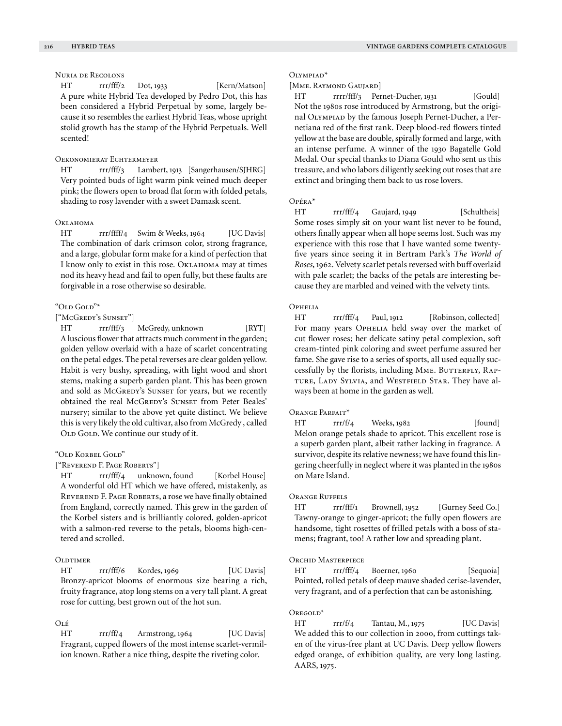# Nuria de Recolons

HT rrr/fff/2 Dot, 1933 [Kern/Matson] A pure white Hybrid Tea developed by Pedro Dot, this has been considered a Hybrid Perpetual by some, largely because it so resembles the earliest Hybrid Teas, whose upright stolid growth has the stamp of the Hybrid Perpetuals. Well scented!

#### Oekonomierat Echtermeyer

HT rrr/fff/3 Lambert, 1913 [Sangerhausen/SJHRG] Very pointed buds of light warm pink veined much deeper pink; the flowers open to broad flat form with folded petals, shading to rosy lavender with a sweet Damask scent.

## Oklahoma

HT rrr/ffff/4 Swim & Weeks, 1964 [UC Davis] The combination of dark crimson color, strong fragrance, and a large, globular form make for a kind of perfection that I know only to exist in this rose. Oklahoma may at times nod its heavy head and fail to open fully, but these faults are forgivable in a rose otherwise so desirable.

## "Old Gold"\*

## ["McGredy's Sunset"]

HT rrr/fff/3 McGredy, unknown [RYT] A luscious flower that attracts much comment in the garden; golden yellow overlaid with a haze of scarlet concentrating on the petal edges. The petal reverses are clear golden yellow. Habit is very bushy, spreading, with light wood and short stems, making a superb garden plant. This has been grown and sold as McGREDY's SUNSET for years, but we recently obtained the real McGREDY's SUNSET from Peter Beales' nursery; similar to the above yet quite distinct. We believe this is very likely the old cultivar, also from McGredy , called OLD GOLD. We continue our study of it.

## "Old Korbel Gold"

["Reverend F. Page Roberts"]

HT rrr/fff/4 unknown, found [Korbel House] A wonderful old HT which we have offered, mistakenly, as Reverend F. Page Roberts, a rose we have finally obtained from England, correctly named. This grew in the garden of the Korbel sisters and is brilliantly colored, golden-apricot with a salmon-red reverse to the petals, blooms high-centered and scrolled.

# **OLDTIMER**

HT rrr/fff/6 Kordes, 1969 [UC Davis] Bronzy-apricot blooms of enormous size bearing a rich, fruity fragrance, atop long stems on a very tall plant. A great rose for cutting, best grown out of the hot sun.

# $OI$   $\acute{E}$

HT rrr/ff/4 Armstrong, 1964 [UC Davis] Fragrant, cupped flowers of the most intense scarlet-vermilion known. Rather a nice thing, despite the riveting color.

#### Olympiad\*

# [Mme. Raymond Gaujard]

HT rrrr/fff/3 Pernet-Ducher, 1931 [Gould] Not the 1980s rose introduced by Armstrong, but the original Olympiad by the famous Joseph Pernet-Ducher, a Pernetiana red of the first rank. Deep blood-red flowers tinted yellow at the base are double, spirally formed and large, with an intense perfume. A winner of the 1930 Bagatelle Gold Medal. Our special thanks to Diana Gould who sent us this treasure, and who labors diligently seeking out roses that are extinct and bringing them back to us rose lovers.

## Opéra\*

HT rrr/fff/4 Gaujard, 1949 [Schultheis] Some roses simply sit on your want list never to be found, others finally appear when all hope seems lost. Such was my experience with this rose that I have wanted some twentyfive years since seeing it in Bertram Park's *The World of Roses*, 1962. Velvety scarlet petals reversed with buff overlaid with pale scarlet; the backs of the petals are interesting because they are marbled and veined with the velvety tints.

# **OPHELIA**

HT rrr/fff/4 Paul, 1912 [Robinson, collected] For many years OPHELIA held sway over the market of cut flower roses; her delicate satiny petal complexion, soft cream-tinted pink coloring and sweet perfume assured her fame. She gave rise to a series of sports, all used equally successfully by the florists, including MME. BUTTERFLY, RAPture, Lady Sylvia, and Westfield Star. They have always been at home in the garden as well.

## ORANGE PARFAIT\*

 $HT$   $rrr/f/4$  Weeks, 1982 [found] Melon orange petals shade to apricot. This excellent rose is a superb garden plant, albeit rather lacking in fragrance. A survivor, despite its relative newness; we have found this lingering cheerfully in neglect where it was planted in the 1980s on Mare Island.

# ORANGE RUFFELS

HT rrr/fff/1 Brownell, 1952 [Gurney Seed Co.] Tawny-orange to ginger-apricot; the fully open flowers are handsome, tight rosettes of frilled petals with a boss of stamens; fragrant, too! A rather low and spreading plant.

## Orchid Masterpiece

HT rrr/fff/4 Boerner, 1960 [Sequoia] Pointed, rolled petals of deep mauve shaded cerise-lavender, very fragrant, and of a perfection that can be astonishing.

#### Oregold\*

HT rrr/f/4 Tantau, M., 1975 [UC Davis] We added this to our collection in 2000, from cuttings taken of the virus-free plant at UC Davis. Deep yellow flowers edged orange, of exhibition quality, are very long lasting. AARS, 1975.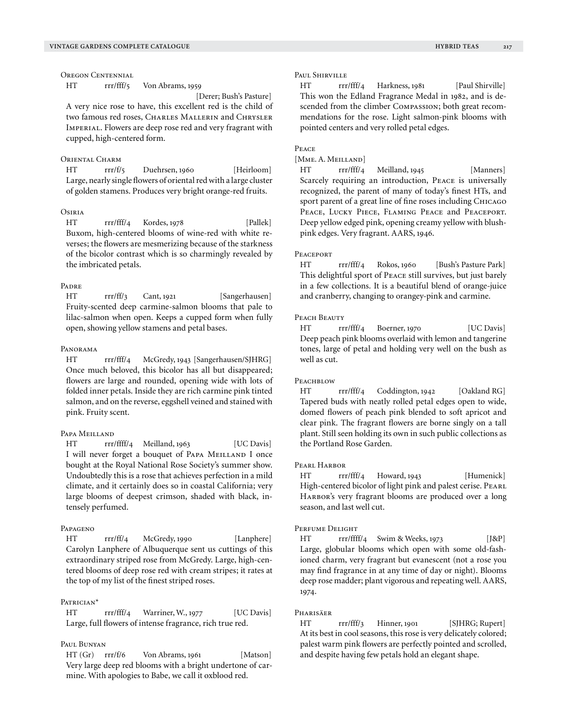Oregon Centennial

HT rrr/fff/5 Von Abrams, 1959

[Derer; Bush's Pasture]

A very nice rose to have, this excellent red is the child of two famous red roses, CHARLES MALLERIN and CHRYSLER Imperial. Flowers are deep rose red and very fragrant with cupped, high-centered form.

#### ORIENTAL CHARM

HT rrr/f/5 Duehrsen, 1960 [Heirloom] Large, nearly single flowers of oriental red with a large cluster of golden stamens. Produces very bright orange-red fruits.

# Osiria

HT rrr/fff/4 Kordes, 1978 [Pallek] Buxom, high-centered blooms of wine-red with white reverses; the flowers are mesmerizing because of the starkness of the bicolor contrast which is so charmingly revealed by the imbricated petals.

# **PADRE**

HT rrr/ff/3 Cant, 1921 [Sangerhausen] Fruity-scented deep carmine-salmon blooms that pale to lilac-salmon when open. Keeps a cupped form when fully open, showing yellow stamens and petal bases.

## Panorama

HT rrr/fff/4 McGredy, 1943 [Sangerhausen/SJHRG] Once much beloved, this bicolor has all but disappeared; flowers are large and rounded, opening wide with lots of folded inner petals. Inside they are rich carmine pink tinted salmon, and on the reverse, eggshell veined and stained with pink. Fruity scent.

## Papa Meilland

HT rrr/ffff/4 Meilland, 1963 [UC Davis] I will never forget a bouquet of PAPA MEILLAND I once bought at the Royal National Rose Society's summer show. Undoubtedly this is a rose that achieves perfection in a mild climate, and it certainly does so in coastal California; very large blooms of deepest crimson, shaded with black, intensely perfumed.

## Papageno

HT rrr/ff/4 McGredy, 1990 [Lanphere] Carolyn Lanphere of Albuquerque sent us cuttings of this extraordinary striped rose from McGredy. Large, high-centered blooms of deep rose red with cream stripes; it rates at the top of my list of the finest striped roses.

## PATRICIAN<sup>\*</sup>

HT rrr/fff/4 Warriner, W., 1977 [UC Davis] Large, full flowers of intense fragrance, rich true red.

# Paul Bunyan

HT (Gr) rrr/f/6 Von Abrams, 1961 [Matson] Very large deep red blooms with a bright undertone of carmine. With apologies to Babe, we call it oxblood red.

HT rrr/fff/4 Harkness, 1981 [Paul Shirville] This won the Edland Fragrance Medal in 1982, and is descended from the climber Compassion; both great recommendations for the rose. Light salmon-pink blooms with pointed centers and very rolled petal edges.

## Peace

[Mme. A. Meilland]

HT rrr/fff/4 Meilland, 1945 [Manners] Scarcely requiring an introduction, Peace is universally recognized, the parent of many of today's finest HTs, and sport parent of a great line of fine roses including CHICAGO PEACE, LUCKY PIECE, FLAMING PEACE and PEACEPORT. Deep yellow edged pink, opening creamy yellow with blushpink edges. Very fragrant. AARS, 1946.

#### **PEACEPORT**

HT rrr/fff/4 Rokos, 1960 [Bush's Pasture Park] This delightful sport of Peace still survives, but just barely in a few collections. It is a beautiful blend of orange-juice and cranberry, changing to orangey-pink and carmine.

## PEACH BEAUTY

HT rrr/fff/4 Boerner, 1970 [UC Davis] Deep peach pink blooms overlaid with lemon and tangerine tones, large of petal and holding very well on the bush as well as cut.

## PEACHBLOW

HT rrr/fff/4 Coddington, 1942 [Oakland RG] Tapered buds with neatly rolled petal edges open to wide, domed flowers of peach pink blended to soft apricot and clear pink. The fragrant flowers are borne singly on a tall plant. Still seen holding its own in such public collections as the Portland Rose Garden.

# PEARL HARBOR

HT rrr/fff/4 Howard, 1943 [Humenick] High-centered bicolor of light pink and palest cerise. PEARL HARBOR's very fragrant blooms are produced over a long season, and last well cut.

#### Perfume Delight

HT rrr/ffff/4 Swim & Weeks, 1973 [J&P] Large, globular blooms which open with some old-fashioned charm, very fragrant but evanescent (not a rose you may find fragrance in at any time of day or night). Blooms deep rose madder; plant vigorous and repeating well. AARS, 1974.

#### Pharisäer

HT rrr/fff/3 Hinner, 1901 [SJHRG; Rupert] At its best in cool seasons, this rose is very delicately colored; palest warm pink flowers are perfectly pointed and scrolled, and despite having few petals hold an elegant shape.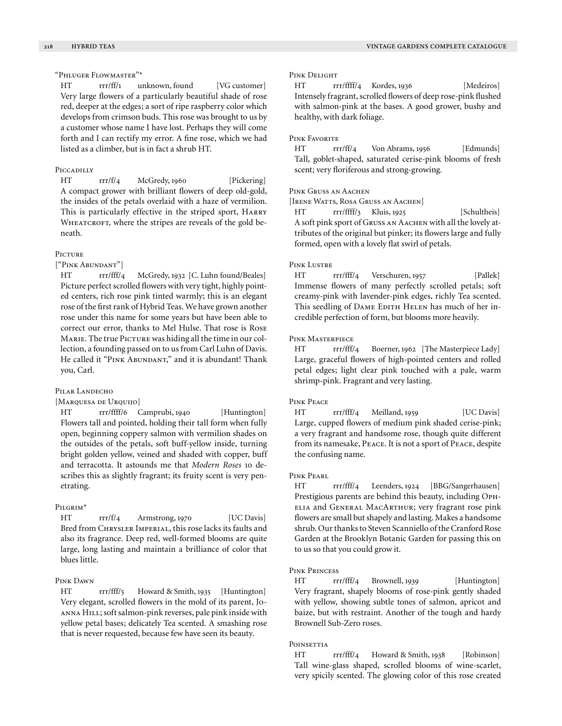# "Phluger Flowmaster"\*

HT rrr/ff/1 unknown, found [VG customer] Very large flowers of a particularly beautiful shade of rose red, deeper at the edges; a sort of ripe raspberry color which develops from crimson buds. This rose was brought to us by a customer whose name I have lost. Perhaps they will come forth and I can rectify my error. A fine rose, which we had listed as a climber, but is in fact a shrub HT.

## Piccadilly

HT rrr/f/4 McGredy, 1960 [Pickering] A compact grower with brilliant flowers of deep old-gold, the insides of the petals overlaid with a haze of vermilion. This is particularly effective in the striped sport, HARRY WHEATCROFT, where the stripes are reveals of the gold beneath.

# PICTURE

["Pink Abundant"]

HT rrr/fff/4 McGredy, 1932 [C. Luhn found/Beales] Picture perfect scrolled flowers with very tight, highly pointed centers, rich rose pink tinted warmly; this is an elegant rose of the first rank of Hybrid Teas. We have grown another rose under this name for some years but have been able to correct our error, thanks to Mel Hulse. That rose is Rose MARIE. The true PICTURE was hiding all the time in our collection, a founding passed on to us from Carl Luhn of Davis. He called it "PINK ABUNDANT," and it is abundant! Thank you, Carl.

# PILAR LANDECHO

[Marquesa de Urquijo]

HT rrr/ffff/6 Camprubi, 1940 [Huntington] Flowers tall and pointed, holding their tall form when fully open, beginning coppery salmon with vermilion shades on the outsides of the petals, soft buff-yellow inside, turning bright golden yellow, veined and shaded with copper, buff and terracotta. It astounds me that *Modern Roses* 10 describes this as slightly fragrant; its fruity scent is very penetrating.

## Pilgrim\*

HT rrr/f/4 Armstrong, 1970 [UC Davis] Bred from CHRYSLER IMPERIAL, this rose lacks its faults and also its fragrance. Deep red, well-formed blooms are quite large, long lasting and maintain a brilliance of color that blues little.

## Pink Dawn

HT rrr/fff/5 Howard & Smith, 1935 [Huntington] Very elegant, scrolled flowers in the mold of its parent, Joanna Hill; soft salmon-pink reverses, pale pink inside with yellow petal bases; delicately Tea scented. A smashing rose that is never requested, because few have seen its beauty.

## Pink Delight

HT rrr/ffff/4 Kordes, 1936 [Medeiros] Intensely fragrant, scrolled flowers of deep rose-pink flushed with salmon-pink at the bases. A good grower, bushy and healthy, with dark foliage.

## Pink Favorite

HT rrr/ff/4 Von Abrams, 1956 [Edmunds] Tall, goblet-shaped, saturated cerise-pink blooms of fresh scent; very floriferous and strong-growing.

## Pink Gruss an Aachen

[IRENE WATTS, ROSA GRUSS AN AACHEN]

HT rrr/ffff/3 Kluis, 1925 [Schultheis] A soft pink sport of Gruss an Aachen with all the lovely attributes of the original but pinker; its flowers large and fully formed, open with a lovely flat swirl of petals.

## Pink Lustre

HT rrr/fff/4 Verschuren, 1957 [Pallek] Immense flowers of many perfectly scrolled petals; soft creamy-pink with lavender-pink edges, richly Tea scented. This seedling of DAME EDITH HELEN has much of her incredible perfection of form, but blooms more heavily.

## Pink Masterpiece

HT rrr/fff/4 Boerner, 1962 [The Masterpiece Lady] Large, graceful flowers of high-pointed centers and rolled petal edges; light clear pink touched with a pale, warm shrimp-pink. Fragrant and very lasting.

## Pink Peace

HT rrr/fff/4 Meilland, 1959 [UC Davis] Large, cupped flowers of medium pink shaded cerise-pink; a very fragrant and handsome rose, though quite different from its namesake, Peace. It is not a sport of Peace, despite the confusing name.

## Pink Pearl

HT rrr/fff/4 Leenders, 1924 [BBG/Sangerhausen] Prestigious parents are behind this beauty, including Ophelia and General MacArthur; very fragrant rose pink flowers are small but shapely and lasting. Makes a handsome shrub. Our thanks to Steven Scanniello of the Cranford Rose Garden at the Brooklyn Botanic Garden for passing this on to us so that you could grow it.

## Pink Princess

HT rrr/fff/4 Brownell, 1939 [Huntington] Very fragrant, shapely blooms of rose-pink gently shaded with yellow, showing subtle tones of salmon, apricot and baize, but with restraint. Another of the tough and hardy Brownell Sub-Zero roses.

## POINSETTIA

HT rrr/fff/4 Howard & Smith, 1938 [Robinson] Tall wine-glass shaped, scrolled blooms of wine-scarlet, very spicily scented. The glowing color of this rose created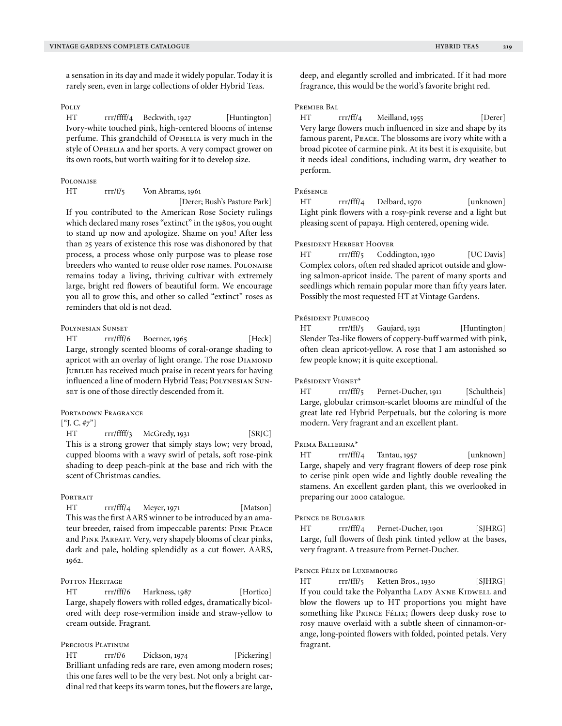a sensation in its day and made it widely popular. Today it is rarely seen, even in large collections of older Hybrid Teas.

# Polly

HT rrr/ffff/4 Beckwith, 1927 [Huntington] Ivory-white touched pink, high-centered blooms of intense perfume. This grandchild of OPHELIA is very much in the style of OPHELIA and her sports. A very compact grower on its own roots, but worth waiting for it to develop size.

## **POLONAISE**

HT rrr/f/5 Von Abrams, 1961

 [Derer; Bush's Pasture Park] If you contributed to the American Rose Society rulings which declared many roses "extinct" in the 1980s, you ought to stand up now and apologize. Shame on you! After less than 25 years of existence this rose was dishonored by that process, a process whose only purpose was to please rose breeders who wanted to reuse older rose names. POLONAISE remains today a living, thriving cultivar with extremely large, bright red flowers of beautiful form. We encourage you all to grow this, and other so called "extinct" roses as reminders that old is not dead.

## Polynesian Sunset

HT rrr/fff/6 Boerner, 1965 [Heck] Large, strongly scented blooms of coral-orange shading to apricot with an overlay of light orange. The rose DIAMOND JUBILEE has received much praise in recent years for having influenced a line of modern Hybrid Teas; Polynesian Sunset is one of those directly descended from it.

#### PORTADOWN FRAGRANCE

## $[$ "J. C. #7"]

HT rrr/ffff/3 McGredy, 1931 [SRJC] This is a strong grower that simply stays low; very broad, cupped blooms with a wavy swirl of petals, soft rose-pink shading to deep peach-pink at the base and rich with the scent of Christmas candies.

#### **PORTRAIT**

HT rrr/fff/4 Meyer, 1971 [Matson] This was the first AARS winner to be introduced by an amateur breeder, raised from impeccable parents: Pink Peace and Pink Parfait. Very, very shapely blooms of clear pinks, dark and pale, holding splendidly as a cut flower. AARS, 1962.

# POTTON HERITAGE

HT rrr/fff/6 Harkness, 1987 [Hortico] Large, shapely flowers with rolled edges, dramatically bicolored with deep rose-vermilion inside and straw-yellow to cream outside. Fragrant.

# Precious Platinum

HT rrr/f/6 Dickson, 1974 [Pickering] Brilliant unfading reds are rare, even among modern roses; this one fares well to be the very best. Not only a bright cardinal red that keeps its warm tones, but the flowers are large, deep, and elegantly scrolled and imbricated. If it had more fragrance, this would be the world's favorite bright red.

## Premier Bal

HT rrr/ff/4 Meilland, 1955 [Derer] Very large flowers much influenced in size and shape by its famous parent, Peace. The blossoms are ivory white with a broad picotee of carmine pink. At its best it is exquisite, but it needs ideal conditions, including warm, dry weather to perform.

## Présence

HT rrr/fff/4 Delbard, 1970 [unknown] Light pink flowers with a rosy-pink reverse and a light but pleasing scent of papaya. High centered, opening wide.

#### President Herbert Hoover

HT rrr/fff/5 Coddington, 1930 [UC Davis] Complex colors, often red shaded apricot outside and glowing salmon-apricot inside. The parent of many sports and seedlings which remain popular more than fifty years later. Possibly the most requested HT at Vintage Gardens.

## Président Plumecoo

HT rrr/fff/5 Gaujard, 1931 [Huntington] Slender Tea-like flowers of coppery-buff warmed with pink, often clean apricot-yellow. A rose that I am astonished so few people know; it is quite exceptional.

## Président Vignet\*

HT rrr/fff/5 Pernet-Ducher, 1911 [Schultheis] Large, globular crimson-scarlet blooms are mindful of the great late red Hybrid Perpetuals, but the coloring is more modern. Very fragrant and an excellent plant.

#### Prima Ballerina\*

HT rrr/fff/4 Tantau, 1957 [unknown] Large, shapely and very fragrant flowers of deep rose pink to cerise pink open wide and lightly double revealing the stamens. An excellent garden plant, this we overlooked in preparing our 2000 catalogue.

## Prince de Bulgarie

HT rrr/fff/4 Pernet-Ducher, 1901 [SJHRG] Large, full flowers of flesh pink tinted yellow at the bases, very fragrant. A treasure from Pernet-Ducher.

#### Prince Félix de Luxembourg

HT rrr/fff/5 Ketten Bros., 1930 [SJHRG] If you could take the Polyantha LADY ANNE KIDWELL and blow the flowers up to HT proportions you might have something like PRINCE FÉLIX; flowers deep dusky rose to rosy mauve overlaid with a subtle sheen of cinnamon-orange, long-pointed flowers with folded, pointed petals. Very fragrant.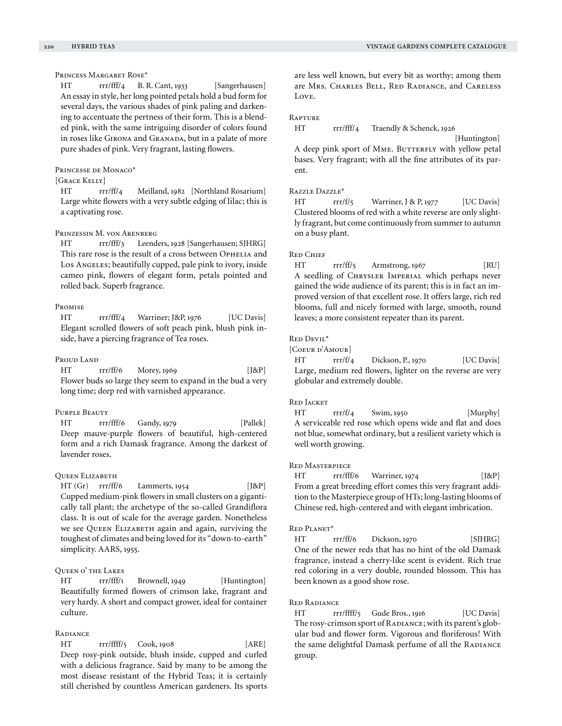## Princess Margaret Rose\*

HT rrr/fff/4 B. R. Cant, 1933 [Sangerhausen] An essay in style, her long pointed petals hold a bud form for several days, the various shades of pink paling and darkening to accentuate the pertness of their form. This is a blended pink, with the same intriguing disorder of colors found in roses like GIRONA and GRANADA, but in a palate of more pure shades of pink. Very fragrant, lasting flowers.

## Princesse de Monaco\*

# $[C_{\text{PACE}}$  Kelly]

HT rrr/ff/4 Meilland, 1982 [Northland Rosarium] Large white flowers with a very subtle edging of lilac; this is a captivating rose.

## Prinzessin M. von Arenberg

HT rrr/fff/3 Leenders, 1928 [Sangerhausen; SJHRG] This rare rose is the result of a cross between OPHELIA and Los Angeles; beautifully cupped, pale pink to ivory, inside cameo pink, flowers of elegant form, petals pointed and rolled back. Superb fragrance.

#### Promise

HT rrr/fff/4 Warriner; J&P, 1976 [UC Davis] Elegant scrolled flowers of soft peach pink, blush pink inside, have a piercing fragrance of Tea roses.

#### Proud Land

 $HT$  rrr/ff/6 Morey, 1969 [J&P] Flower buds so large they seem to expand in the bud a very long time; deep red with varnished appearance.

## Purple Beauty

HT rrr/fff/6 Gandy, 1979 [Pallek] Deep mauve-purple flowers of beautiful, high-centered form and a rich Damask fragrance. Among the darkest of lavender roses.

#### Queen Elizabeth

 $HT (Gr)$  rrr/ff/6 Lammerts, 1954 [J&P] Cupped medium-pink flowers in small clusters on a gigantically tall plant; the archetype of the so-called Grandiflora class. It is out of scale for the average garden. Nonetheless we see QUEEN ELIZABETH again and again, surviving the toughest of climates and being loved for its "down-to-earth" simplicity. AARS, 1955.

## Queen o' the Lakes

HT rrr/fff/1 Brownell, 1949 [Huntington] Beautifully formed flowers of crimson lake, fragrant and very hardy. A short and compact grower, ideal for container culture.

## **RADIANCE**

HT rrr/ffff/5 Cook, 1908 [ARE] Deep rosy-pink outside, blush inside, cupped and curled with a delicious fragrance. Said by many to be among the most disease resistant of the Hybrid Teas; it is certainly still cherished by countless American gardeners. Its sports are less well known, but every bit as worthy; among them are Mrs. Charles Bell, Red Radiance, and Careless Love.

#### **RAPTURE**

HT rrr/fff/4 Traendly & Schenck, 1926

 [Huntington] A deep pink sport of MME. BUTTERFLY with yellow petal bases. Very fragrant; with all the fine attributes of its parent.

## Razzle Dazzle\*

HT rrr/f/5 Warriner, J & P, 1977 [UC Davis] Clustered blooms of red with a white reverse are only slightly fragrant, but come continuously from summer to autumn on a busy plant.

#### Red Chief

HT rrr/ff/5 Armstrong, 1967 [RU] A seedling of Chrysler Imperial which perhaps never gained the wide audience of its parent; this is in fact an improved version of that excellent rose. It offers large, rich red blooms, full and nicely formed with large, smooth, round leaves; a more consistent repeater than its parent.

#### Red Devil\*

[COEUR D'AMOUR]

HT rrr/f/4 Dickson, P., 1970 [UC Davis] Large, medium red flowers, lighter on the reverse are very globular and extremely double.

## Red Jacket

HT rrr/f/4 Swim, 1950 [Murphy] A serviceable red rose which opens wide and flat and does not blue, somewhat ordinary, but a resilient variety which is well worth growing.

## Red Masterpiece

HT rrr/fff/6 Warriner, 1974 [J&P] From a great breeding effort comes this very fragrant addition to the Masterpiece group of HTs; long-lasting blooms of Chinese red, high-centered and with elegant imbrication.

#### Red Planet\*

HT rrr/ff/6 Dickson, 1970 [SJHRG] One of the newer reds that has no hint of the old Damask fragrance, instead a cherry-like scent is evident. Rich true red coloring in a very double, rounded blossom. This has been known as a good show rose.

#### Red Radiance

HT rrr/ffff/5 Gude Bros., 1916 [UC Davis] The rosy-crimson sport of RADIANCE; with its parent's globular bud and flower form. Vigorous and floriferous! With the same delightful Damask perfume of all the RADIANCE group.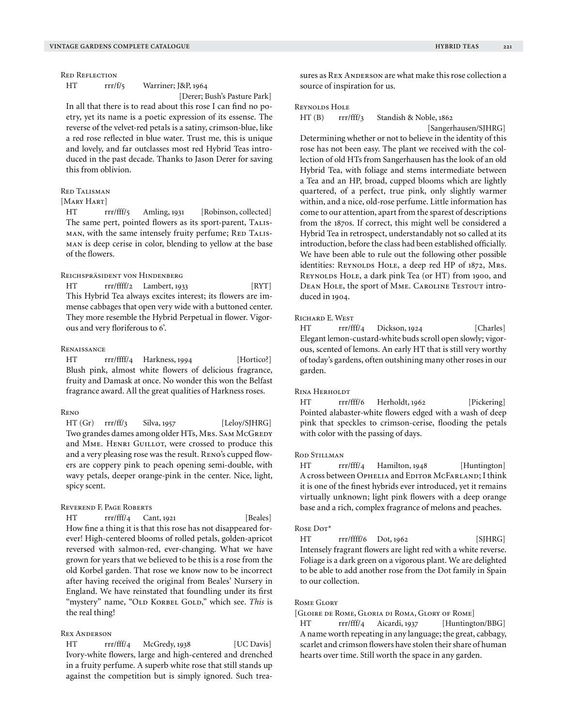Red Reflection

HT rrr/f/5 Warriner; J&P, 1964

[Derer; Bush's Pasture Park]

In all that there is to read about this rose I can find no poetry, yet its name is a poetic expression of its essense. The reverse of the velvet-red petals is a satiny, crimson-blue, like a red rose reflected in blue water. Trust me, this is unique and lovely, and far outclasses most red Hybrid Teas introduced in the past decade. Thanks to Jason Derer for saving this from oblivion.

## Red Talisman

[MARY HART]

HT rrr/fff/5 Amling, 1931 [Robinson, collected] The same pert, pointed flowers as its sport-parent, TALISman, with the same intensely fruity perfume; RED TALISman is deep cerise in color, blending to yellow at the base of the flowers.

#### Reichspräsident von Hindenberg

HT rrr/ffff/2 Lambert, 1933 [RYT] This Hybrid Tea always excites interest; its flowers are immense cabbages that open very wide with a buttoned center. They more resemble the Hybrid Perpetual in flower. Vigorous and very floriferous to 6'.

#### **RENAISSANCE**

HT rrr/ffff/4 Harkness, 1994 [Hortico?] Blush pink, almost white flowers of delicious fragrance, fruity and Damask at once. No wonder this won the Belfast fragrance award. All the great qualities of Harkness roses.

#### Reno

HT (Gr) rrr/ff/3 Silva, 1957 [Leloy/SJHRG] Two grandes dames among older HTs, Mrs. SAM McGREDY and MME. HENRI GUILLOT, were crossed to produce this and a very pleasing rose was the result. Reno's cupped flowers are coppery pink to peach opening semi-double, with wavy petals, deeper orange-pink in the center. Nice, light, spicy scent.

#### Reverend F. Page Roberts

HT rrr/fff/4 Cant, 1921 [Beales] How fine a thing it is that this rose has not disappeared forever! High-centered blooms of rolled petals, golden-apricot reversed with salmon-red, ever-changing. What we have grown for years that we believed to be this is a rose from the old Korbel garden. That rose we know now to be incorrect after having received the original from Beales' Nursery in England. We have reinstated that foundling under its first "mystery" name, "OLD KORBEL GOLD," which see. This is the real thing!

## Rex Anderson

HT rrr/fff/4 McGredy, 1938 [UC Davis] Ivory-white flowers, large and high-centered and drenched in a fruity perfume. A superb white rose that still stands up against the competition but is simply ignored. Such treasures as REX ANDERSON are what make this rose collection a source of inspiration for us.

#### Reynolds Hole

HT (B) rrr/fff/3 Standish & Noble, 1862

 [Sangerhausen/SJHRG] Determining whether or not to believe in the identity of this rose has not been easy. The plant we received with the collection of old HTs from Sangerhausen has the look of an old Hybrid Tea, with foliage and stems intermediate between a Tea and an HP, broad, cupped blooms which are lightly quartered, of a perfect, true pink, only slightly warmer within, and a nice, old-rose perfume. Little information has come to our attention, apart from the sparest of descriptions from the 1870s. If correct, this might well be considered a Hybrid Tea in retrospect, understandably not so called at its introduction, before the class had been established officially. We have been able to rule out the following other possible identities: REYNOLDS HOLE, a deep red HP of 1872, Mrs. REYNOLDS HOLE, a dark pink Tea (or HT) from 1900, and DEAN HOLE, the sport of MME. CAROLINE TESTOUT introduced in 1904.

## RICHARD E. WEST

HT rrr/fff/4 Dickson, 1924 [Charles] Elegant lemon-custard-white buds scroll open slowly; vigorous, scented of lemons. An early HT that is still very worthy of today's gardens, often outshining many other roses in our garden.

## Rina Herholdt

HT rrr/fff/6 Herholdt, 1962 [Pickering] Pointed alabaster-white flowers edged with a wash of deep pink that speckles to crimson-cerise, flooding the petals with color with the passing of days.

## Rod Stillman

HT rrr/fff/4 Hamilton, 1948 [Huntington] A cross between OPHELIA and EDITOR MCFARLAND; I think it is one of the finest hybrids ever introduced, yet it remains virtually unknown; light pink flowers with a deep orange base and a rich, complex fragrance of melons and peaches.

#### Rose Dot\*

HT rrr/ffff/6 Dot, 1962 [SJHRG] Intensely fragrant flowers are light red with a white reverse. Foliage is a dark green on a vigorous plant. We are delighted to be able to add another rose from the Dot family in Spain to our collection.

#### Rome Glory

[Gloire de Rome, Gloria di Roma, Glory of Rome]

HT rrr/fff/4 Aicardi, 1937 [Huntington/BBG] A name worth repeating in any language; the great, cabbagy, scarlet and crimson flowers have stolen their share of human hearts over time. Still worth the space in any garden.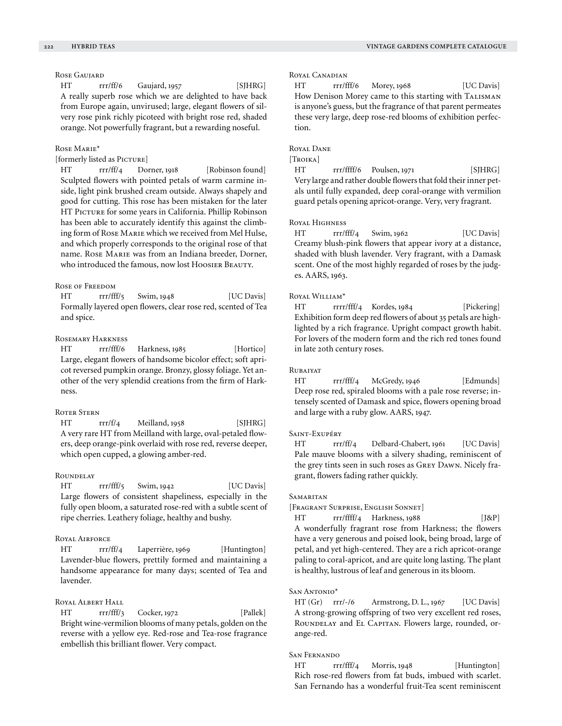Rose Gaujard

HT rrr/ff/6 Gaujard, 1957 [SJHRG] A really superb rose which we are delighted to have back from Europe again, unvirused; large, elegant flowers of silvery rose pink richly picoteed with bright rose red, shaded orange. Not powerfully fragrant, but a rewarding noseful.

#### Rose Marie\*

[formerly listed as PICTURE]

HT rrr/ff/4 Dorner, 1918 [Robinson found] Sculpted flowers with pointed petals of warm carmine inside, light pink brushed cream outside. Always shapely and good for cutting. This rose has been mistaken for the later HT PICTURE for some years in California. Phillip Robinson has been able to accurately identify this against the climbing form of Rose Marie which we received from Mel Hulse, and which properly corresponds to the original rose of that name. Rose Marie was from an Indiana breeder, Dorner, who introduced the famous, now lost Hoosier Beauty.

## Rose of Freedom

HT rrr/fff/5 Swim, 1948 [UC Davis] Formally layered open flowers, clear rose red, scented of Tea and spice.

# Rosemary Harkness

HT rrr/fff/6 Harkness, 1985 [Hortico] Large, elegant flowers of handsome bicolor effect; soft apricot reversed pumpkin orange. Bronzy, glossy foliage. Yet another of the very splendid creations from the firm of Harkness.

## Roter Stern

HT rrr/f/4 Meilland, 1958 [SJHRG] A very rare HT from Meilland with large, oval-petaled flowers, deep orange-pink overlaid with rose red, reverse deeper, which open cupped, a glowing amber-red.

#### **ROUNDELAY**

HT rrr/fff/5 Swim, 1942 [UC Davis] Large flowers of consistent shapeliness, especially in the fully open bloom, a saturated rose-red with a subtle scent of ripe cherries. Leathery foliage, healthy and bushy.

# Royal Airforce

HT rrr/ff/4 Laperrière, 1969 [Huntington] Lavender-blue flowers, prettily formed and maintaining a handsome appearance for many days; scented of Tea and lavender.

#### Royal Albert Hall

HT rrr/fff/3 Cocker, 1972 [Pallek] Bright wine-vermilion blooms of many petals, golden on the reverse with a yellow eye. Red-rose and Tea-rose fragrance embellish this brilliant flower. Very compact.

## Royal Canadian

HT rrr/fff/6 Morey, 1968 [UC Davis] How Denison Morey came to this starting with TALISMAN is anyone's guess, but the fragrance of that parent permeates these very large, deep rose-red blooms of exhibition perfection.

# Royal Dane

## [Troika]

HT rrr/ffff/6 Poulsen, 1971 [SIHRG] Very large and rather double flowers that fold their inner petals until fully expanded, deep coral-orange with vermilion guard petals opening apricot-orange. Very, very fragrant.

# Royal Highness

HT rrr/fff/4 Swim, 1962 [UC Davis] Creamy blush-pink flowers that appear ivory at a distance, shaded with blush lavender. Very fragrant, with a Damask scent. One of the most highly regarded of roses by the judges. AARS, 1963.

## ROVAL WILLIAM\*

HT rrrr/fff/4 Kordes, 1984 [Pickering] Exhibition form deep red flowers of about 35 petals are highlighted by a rich fragrance. Upright compact growth habit. For lovers of the modern form and the rich red tones found in late 20th century roses.

#### **RUBAIYAT**

HT rrr/fff/4 McGredy, 1946 [Edmunds] Deep rose red, spiraled blooms with a pale rose reverse; intensely scented of Damask and spice, flowers opening broad and large with a ruby glow. AARS, 1947.

## Saint-Exupéry

HT rrr/ff/4 Delbard-Chabert, 1961 [UC Davis] Pale mauve blooms with a silvery shading, reminiscent of the grey tints seen in such roses as Grey Dawn. Nicely fragrant, flowers fading rather quickly.

#### **SAMARITAN**

[Fragrant Surprise, English Sonnet]

HT rrr/ffff/4 Harkness, 1988 [J&P] A wonderfully fragrant rose from Harkness; the flowers have a very generous and poised look, being broad, large of petal, and yet high-centered. They are a rich apricot-orange paling to coral-apricot, and are quite long lasting. The plant is healthy, lustrous of leaf and generous in its bloom.

## San Antonio\*

HT (Gr) rrr/-/6 Armstrong, D. L., 1967 [UC Davis] A strong-growing offspring of two very excellent red roses, ROUNDELAY and EL CAPITAN. Flowers large, rounded, orange-red.

# San Fernando

HT rrr/fff/4 Morris, 1948 [Huntington] Rich rose-red flowers from fat buds, imbued with scarlet. San Fernando has a wonderful fruit-Tea scent reminiscent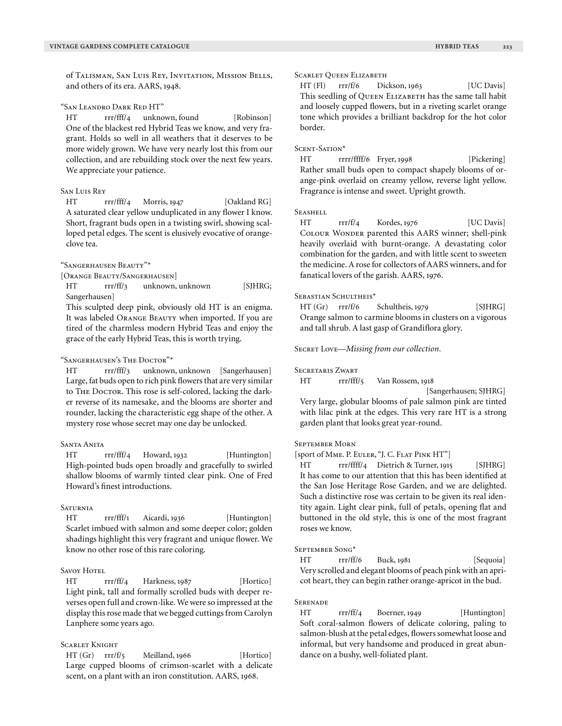of Talisman, San Luis Rey, Invitation, Mission Bells, and others of its era. AARS, 1948.

"San Leandro Dark Red HT"

HT rrr/fff/4 unknown, found [Robinson] One of the blackest red Hybrid Teas we know, and very fragrant. Holds so well in all weathers that it deserves to be more widely grown. We have very nearly lost this from our collection, and are rebuilding stock over the next few years. We appreciate your patience.

## San Luis Rey

HT rrr/fff/4 Morris, 1947 [Oakland RG] A saturated clear yellow unduplicated in any flower I know. Short, fragrant buds open in a twisting swirl, showing scalloped petal edges. The scent is elusively evocative of orangeclove tea.

#### "Sangerhausen Beauty"\*

[Orange Beauty/Sangerhausen]

HT rrr/ff/3 unknown, unknown [SIHRG; Sangerhausen]

This sculpted deep pink, obviously old HT is an enigma. It was labeled Orange Beauty when imported. If you are tired of the charmless modern Hybrid Teas and enjoy the grace of the early Hybrid Teas, this is worth trying.

#### "Sangerhausen's The Doctor"\*

HT rrr/fff/3 unknown, unknown [Sangerhausen] Large, fat buds open to rich pink flowers that are very similar to THE DOCTOR. This rose is self-colored, lacking the darker reverse of its namesake, and the blooms are shorter and rounder, lacking the characteristic egg shape of the other. A mystery rose whose secret may one day be unlocked.

# Santa Anita

HT rrr/fff/4 Howard, 1932 [Huntington] High-pointed buds open broadly and gracefully to swirled shallow blooms of warmly tinted clear pink. One of Fred Howard's finest introductions.

#### **SATURNIA**

HT rrr/fff/1 Aicardi, 1936 [Huntington] Scarlet imbued with salmon and some deeper color; golden shadings highlight this very fragrant and unique flower. We know no other rose of this rare coloring.

## SAVOY HOTEL

HT rrr/ff/4 Harkness, 1987 [Hortico] Light pink, tall and formally scrolled buds with deeper reverses open full and crown-like. We were so impressed at the display this rose made that we begged cuttings from Carolyn Lanphere some years ago.

# Scarlet Knight

HT (Gr) rrr/f/5 Meilland, 1966 [Hortico] Large cupped blooms of crimson-scarlet with a delicate scent, on a plant with an iron constitution. AARS, 1968.

HT (Fl) rrr/f/6 Dickson, 1963 [UC Davis] This seedling of QUEEN ELIZABETH has the same tall habit and loosely cupped flowers, but in a riveting scarlet orange tone which provides a brilliant backdrop for the hot color border.

## SCENT-SATION\*

HT rrrr/ffff/6 Fryer, 1998 [Pickering] Rather small buds open to compact shapely blooms of orange-pink overlaid on creamy yellow, reverse light yellow. Fragrance is intense and sweet. Upright growth.

#### **SEASHELL**

HT rrr/f/4 Kordes, 1976 [UC Davis] Colour Wonder parented this AARS winner; shell-pink heavily overlaid with burnt-orange. A devastating color combination for the garden, and with little scent to sweeten the medicine. A rose for collectors of AARS winners, and for fanatical lovers of the garish. AARS, 1976.

## SEBASTIAN SCHULTHEIS<sup>\*</sup>

HT (Gr) rrr/f/6 Schultheis, 1979 [SJHRG] Orange salmon to carmine blooms in clusters on a vigorous and tall shrub. A last gasp of Grandiflora glory.

SECRET LOVE—*Missing from our collection*.

#### Secretaris Zwart

HT rrr/fff/5 Van Rossem, 1918

 [Sangerhausen; SJHRG] Very large, globular blooms of pale salmon pink are tinted with lilac pink at the edges. This very rare HT is a strong garden plant that looks great year-round.

#### September Morn

[sport of Mme. P. Euler, "J. C. Flat Pink HT"]

HT rrr/ffff/4 Dietrich & Turner, 1915 [SJHRG] It has come to our attention that this has been identified at the San Jose Heritage Rose Garden, and we are delighted. Such a distinctive rose was certain to be given its real identity again. Light clear pink, full of petals, opening flat and buttoned in the old style, this is one of the most fragrant roses we know.

#### September Song\*

HT rrr/ff/6 Buck, 1981 [Sequoia] Very scrolled and elegant blooms of peach pink with an apricot heart, they can begin rather orange-apricot in the bud.

#### **SERENADE**

HT rrr/ff/4 Boerner, 1949 [Huntington] Soft coral-salmon flowers of delicate coloring, paling to salmon-blush at the petal edges, flowers somewhat loose and informal, but very handsome and produced in great abundance on a bushy, well-foliated plant.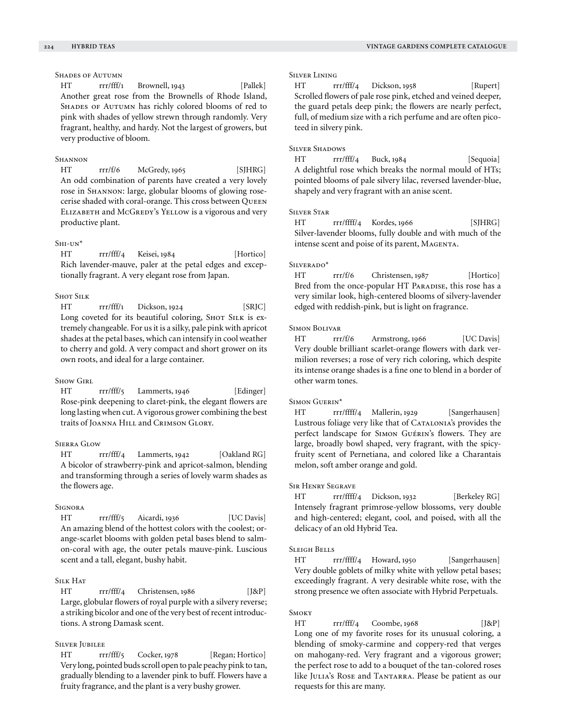# SHADES OF AUTUMN

HT rrr/fff/1 Brownell, 1943 [Pallek] Another great rose from the Brownells of Rhode Island, SHADES OF AUTUMN has richly colored blooms of red to pink with shades of yellow strewn through randomly. Very fragrant, healthy, and hardy. Not the largest of growers, but very productive of bloom.

## **SHANNON**

HT rrr/f/6 McGredy, 1965 [SJHRG] An odd combination of parents have created a very lovely rose in Shannon: large, globular blooms of glowing rosecerise shaded with coral-orange. This cross between Queen ELIZABETH and McGREDY's YELLOW is a vigorous and very productive plant.

## $S<sub>H1</sub>-UN*$

HT rrr/fff/4 Keisei, 1984 [Hortico] Rich lavender-mauve, paler at the petal edges and exceptionally fragrant. A very elegant rose from Japan.

# Shot Silk

 $HT$  rrr/fff/1 Dickson, 1924 [SRJC] Long coveted for its beautiful coloring, SHOT SILK is extremely changeable. For us it is a silky, pale pink with apricot shades at the petal bases, which can intensify in cool weather to cherry and gold. A very compact and short grower on its own roots, and ideal for a large container.

## Show Girl

HT rrr/fff/5 Lammerts, 1946 [Edinger] Rose-pink deepening to claret-pink, the elegant flowers are long lasting when cut. A vigorous grower combining the best traits of Joanna Hill and Crimson Glory.

## Sierra Glow

HT rrr/fff/4 Lammerts, 1942 [Oakland RG] A bicolor of strawberry-pink and apricot-salmon, blending and transforming through a series of lovely warm shades as the flowers age.

#### **SIGNORA**

HT rrr/fff/5 Aicardi, 1936 [UC Davis] An amazing blend of the hottest colors with the coolest; orange-scarlet blooms with golden petal bases blend to salmon-coral with age, the outer petals mauve-pink. Luscious scent and a tall, elegant, bushy habit.

## Silk Hat

HT rrr/fff/4 Christensen, 1986 [J&P] Large, globular flowers of royal purple with a silvery reverse; a striking bicolor and one of the very best of recent introductions. A strong Damask scent.

# Silver Jubilee

HT rrr/fff/5 Cocker, 1978 [Regan; Hortico] Very long, pointed buds scroll open to pale peachy pink to tan, gradually blending to a lavender pink to buff. Flowers have a fruity fragrance, and the plant is a very bushy grower.

## Silver Lining

HT rrr/fff/4 Dickson, 1958 [Rupert] Scrolled flowers of pale rose pink, etched and veined deeper, the guard petals deep pink; the flowers are nearly perfect, full, of medium size with a rich perfume and are often picoteed in silvery pink.

## Silver Shadows

HT rrr/fff/4 Buck, 1984 [Sequoia] A delightful rose which breaks the normal mould of HTs; pointed blooms of pale silvery lilac, reversed lavender-blue, shapely and very fragrant with an anise scent.

## Silver Star

HT rrr/ffff/4 Kordes, 1966 [SJHRG] Silver-lavender blooms, fully double and with much of the intense scent and poise of its parent, MAGENTA.

#### SILVERADO\*

HT rrr/f/6 Christensen, 1987 [Hortico] Bred from the once-popular HT PARADISE, this rose has a very similar look, high-centered blooms of silvery-lavender edged with reddish-pink, but is light on fragrance.

#### Simon Bolivar

HT rrr/f/6 Armstrong, 1966 [UC Davis] Very double brilliant scarlet-orange flowers with dark vermilion reverses; a rose of very rich coloring, which despite its intense orange shades is a fine one to blend in a border of other warm tones.

#### Simon Guerin\*

HT rrr/ffff/4 Mallerin, 1929 [Sangerhausen] Lustrous foliage very like that of CATALONIA's provides the perfect landscape for Simon Guérin's flowers. They are large, broadly bowl shaped, very fragrant, with the spicyfruity scent of Pernetiana, and colored like a Charantais melon, soft amber orange and gold.

## Sir Henry Segrave

HT rrr/ffff/4 Dickson, 1932 [Berkeley RG] Intensely fragrant primrose-yellow blossoms, very double and high-centered; elegant, cool, and poised, with all the delicacy of an old Hybrid Tea.

#### Sleigh Bells

HT rrr/ffff/4 Howard, 1950 [Sangerhausen] Very double goblets of milky white with yellow petal bases; exceedingly fragrant. A very desirable white rose, with the strong presence we often associate with Hybrid Perpetuals.

#### **SMOKY**

 $HT$  rrr/fff/4 Coombe, 1968 [J&P] Long one of my favorite roses for its unusual coloring, a blending of smoky-carmine and coppery-red that verges on mahogany-red. Very fragrant and a vigorous grower; the perfect rose to add to a bouquet of the tan-colored roses like JULIA's ROSE and TANTARRA. Please be patient as our requests for this are many.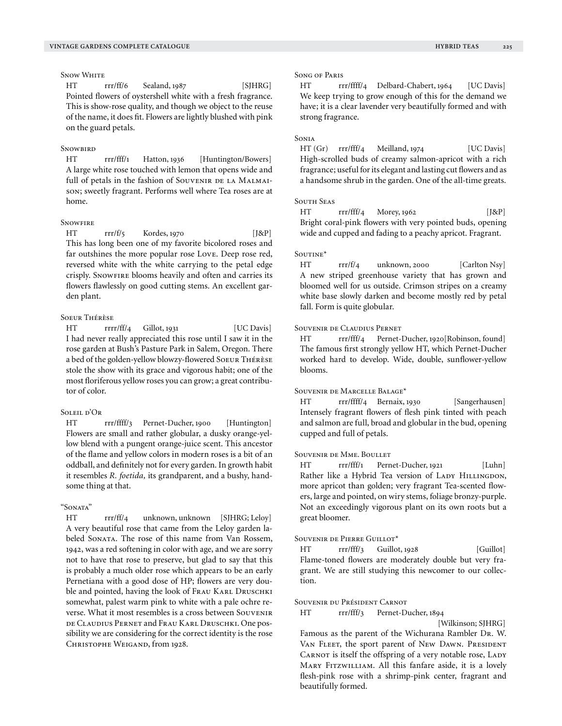**SNOW WHITE** 

HT rrr/ff/6 Sealand, 1987 [SJHRG] Pointed flowers of oystershell white with a fresh fragrance. This is show-rose quality, and though we object to the reuse of the name, it does fit. Flowers are lightly blushed with pink on the guard petals.

#### **SNOWBIRD**

HT rrr/fff/1 Hatton, 1936 [Huntington/Bowers] A large white rose touched with lemon that opens wide and full of petals in the fashion of SOUVENIR DE LA MALMAIson; sweetly fragrant. Performs well where Tea roses are at home.

## **SNOWFIRE**

 $HT \quad \text{rrr/f/5} \quad \text{Kordes, 1970} \quad [J&P]$ This has long been one of my favorite bicolored roses and far outshines the more popular rose Love. Deep rose red, reversed white with the white carrying to the petal edge crisply. SNOWFIRE blooms heavily and often and carries its flowers flawlessly on good cutting stems. An excellent garden plant.

## Soeur Thérèse

HT rrrr/ff/4 Gillot, 1931 [UC Davis] I had never really appreciated this rose until I saw it in the rose garden at Bush's Pasture Park in Salem, Oregon. There a bed of the golden-yellow blowzy-flowered Soeur Thérèse stole the show with its grace and vigorous habit; one of the most floriferous yellow roses you can grow; a great contributor of color.

## SOLEIL D'OR

HT rrr/ffff/3 Pernet-Ducher, 1900 [Huntington] Flowers are small and rather globular, a dusky orange-yellow blend with a pungent orange-juice scent. This ancestor of the flame and yellow colors in modern roses is a bit of an oddball, and definitely not for every garden. In growth habit it resembles *R. foetida,* its grandparent, and a bushy, handsome thing at that.

# "Sonata"

HT rrr/ff/4 unknown, unknown [SJHRG; Leloy] A very beautiful rose that came from the Leloy garden labeled SONATA. The rose of this name from Van Rossem, 1942, was a red softening in color with age, and we are sorry not to have that rose to preserve, but glad to say that this is probably a much older rose which appears to be an early Pernetiana with a good dose of HP; flowers are very double and pointed, having the look of FRAU KARL DRUSCHKI somewhat, palest warm pink to white with a pale ochre reverse. What it most resembles is a cross between Souvenir de Claudius Pernet and Frau Karl Druschki. One possibility we are considering for the correct identity is the rose CHRISTOPHE WEIGAND, from 1928.

#### Song of Paris

HT rrr/ffff/4 Delbard-Chabert, 1964 [UC Davis] We keep trying to grow enough of this for the demand we have; it is a clear lavender very beautifully formed and with strong fragrance.

#### **SONIA**

HT (Gr) rrr/fff/4 Meilland, 1974 [UC Davis] High-scrolled buds of creamy salmon-apricot with a rich fragrance; useful for its elegant and lasting cut flowers and as a handsome shrub in the garden. One of the all-time greats.

## SOUTH SEAS

HT rrr/fff/4 Morey, 1962 [J&P] Bright coral-pink flowers with very pointed buds, opening wide and cupped and fading to a peachy apricot. Fragrant.

#### SOUTINE<sup>\*</sup>

HT rrr/f/4 unknown, 2000 [Carlton Nsy] A new striped greenhouse variety that has grown and bloomed well for us outside. Crimson stripes on a creamy white base slowly darken and become mostly red by petal fall. Form is quite globular.

#### Souvenir de Claudius Pernet

HT rrr/fff/4 Pernet-Ducher, 1920[Robinson, found] The famous first strongly yellow HT, which Pernet-Ducher worked hard to develop. Wide, double, sunflower-yellow blooms.

#### Souvenir de Marcelle Balage\*

HT rrr/ffff/4 Bernaix, 1930 [Sangerhausen] Intensely fragrant flowers of flesh pink tinted with peach and salmon are full, broad and globular in the bud, opening cupped and full of petals.

#### Souvenir de Mme. Boullet

HT rrr/fff/1 Pernet-Ducher, 1921 [Luhn] Rather like a Hybrid Tea version of LADY HILLINGDON, more apricot than golden; very fragrant Tea-scented flowers, large and pointed, on wiry stems, foliage bronzy-purple. Not an exceedingly vigorous plant on its own roots but a great bloomer.

#### Souvenir de Pierre Guillot\*

HT rrr/fff/3 Guillot, 1928 [Guillot] Flame-toned flowers are moderately double but very fragrant. We are still studying this newcomer to our collection.

#### Souvenir du Président Carnot

HT rrr/fff/3 Pernet-Ducher, 1894

[Wilkinson; SJHRG]

Famous as the parent of the Wichurana Rambler Dr. W. VAN FLEET, the sport parent of New DAWN. PRESIDENT CARNOT is itself the offspring of a very notable rose, LADY MARY FITZWILLIAM. All this fanfare aside, it is a lovely flesh-pink rose with a shrimp-pink center, fragrant and beautifully formed.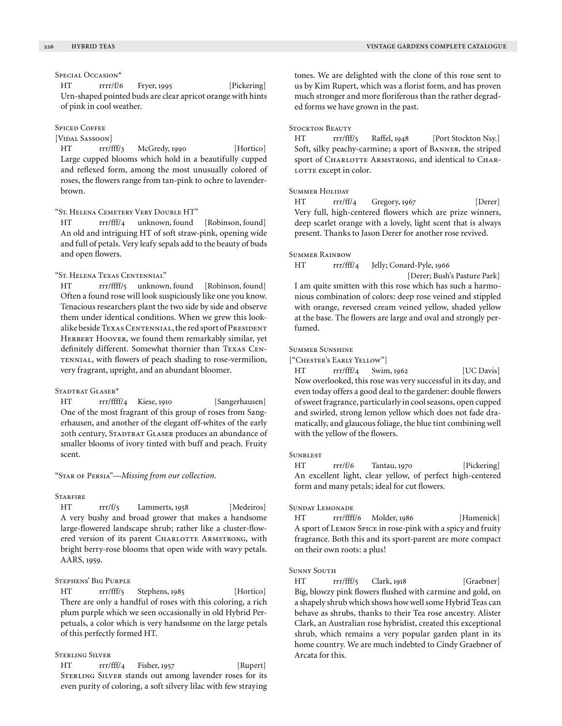## Special Occasion\*

HT rrrr/f/6 Fryer, 1995 [Pickering] Urn-shaped pointed buds are clear apricot orange with hints of pink in cool weather.

## SPICED COFFEE

[VIDAL SASSOON]

HT rrr/fff/3 McGredy, 1990 [Hortico] Large cupped blooms which hold in a beautifully cupped and reflexed form, among the most unusually colored of roses, the flowers range from tan-pink to ochre to lavenderbrown.

## "St. Helena Cemetery Very Double HT"

HT rrr/fff/4 unknown, found [Robinson, found] An old and intriguing HT of soft straw-pink, opening wide and full of petals. Very leafy sepals add to the beauty of buds and open flowers.

# "St. Helena Texas Centennial"

HT rrr/ffff/5 unknown, found [Robinson, found] Often a found rose will look suspiciously like one you know. Tenacious researchers plant the two side by side and observe them under identical conditions. When we grew this lookalike beside TEXAS CENTENNIAL, the red sport of PRESIDENT HERBERT HOOVER, we found them remarkably similar, yet definitely different. Somewhat thornier than Texas Centennial, with flowers of peach shading to rose-vermilion, very fragrant, upright, and an abundant bloomer.

#### STADTRAT GLASER\*

HT rrr/ffff/4 Kiese, 1910 [Sangerhausen] One of the most fragrant of this group of roses from Sangerhausen, and another of the elegant off-whites of the early 20th century, STADTRAT GLASER produces an abundance of smaller blooms of ivory tinted with buff and peach. Fruity scent.

"Star of Persia"—*Missing from our collection.*

#### **STARFIRE**

HT rrr/f/5 Lammerts, 1958 [Medeiros] A very bushy and broad grower that makes a handsome large-flowered landscape shrub; rather like a cluster-flowered version of its parent CHARLOTTE ARMSTRONG, with bright berry-rose blooms that open wide with wavy petals. AARS, 1959.

## Stephens' Big Purple

HT rrr/fff/5 Stephens, 1985 [Hortico] There are only a handful of roses with this coloring, a rich plum purple which we seen occasionally in old Hybrid Perpetuals, a color which is very handsome on the large petals of this perfectly formed HT.

## Sterling Silver

HT rrr/fff/4 Fisher, 1957 [Rupert] STERLING SILVER stands out among lavender roses for its even purity of coloring, a soft silvery lilac with few straying tones. We are delighted with the clone of this rose sent to us by Kim Rupert, which was a florist form, and has proven much stronger and more floriferous than the rather degraded forms we have grown in the past.

## STOCKTON BEAUTY

HT rrr/fff/5 Raffel, 1948 [Port Stockton Nsy.] Soft, silky peachy-carmine; a sport of Banner, the striped sport of CHARLOTTE ARMSTRONG, and identical to CHAR-LOTTE except in color.

#### SUMMER HOLIDAY

HT rrr/ff/4 Gregory, 1967 [Derer] Very full, high-centered flowers which are prize winners, deep scarlet orange with a lovely, light scent that is always present. Thanks to Jason Derer for another rose revived.

#### Summer Rainbow

HT rrr/fff/4 Jelly; Conard-Pyle, 1966

 [Derer; Bush's Pasture Park] I am quite smitten with this rose which has such a harmonious combination of colors: deep rose veined and stippled with orange, reversed cream veined yellow, shaded yellow at the base. The flowers are large and oval and strongly perfumed.

# Summer Sunshine

["Chester's Early Yellow"]

HT rrr/fff/4 Swim, 1962 [UC Davis] Now overlooked, this rose was very successful in its day, and even today offers a good deal to the gardener: double flowers of sweet fragrance, particularly in cool seasons, open cupped and swirled, strong lemon yellow which does not fade dramatically, and glaucous foliage, the blue tint combining well with the yellow of the flowers.

## **SUNBLEST**

HT rrr/f/6 Tantau, 1970 [Pickering] An excellent light, clear yellow, of perfect high-centered form and many petals; ideal for cut flowers.

#### Sunday Lemonade

HT rrr/ffff/6 Molder, 1986 [Humenick] A sport of Lemon Spice in rose-pink with a spicy and fruity fragrance. Both this and its sport-parent are more compact on their own roots: a plus!

#### Sunny South

HT rrr/fff/5 Clark, 1918 [Graebner] Big, blowzy pink flowers flushed with carmine and gold, on a shapely shrub which shows how well some Hybrid Teas can behave as shrubs, thanks to their Tea rose ancestry. Alister Clark, an Australian rose hybridist, created this exceptional shrub, which remains a very popular garden plant in its home country. We are much indebted to Cindy Graebner of Arcata for this.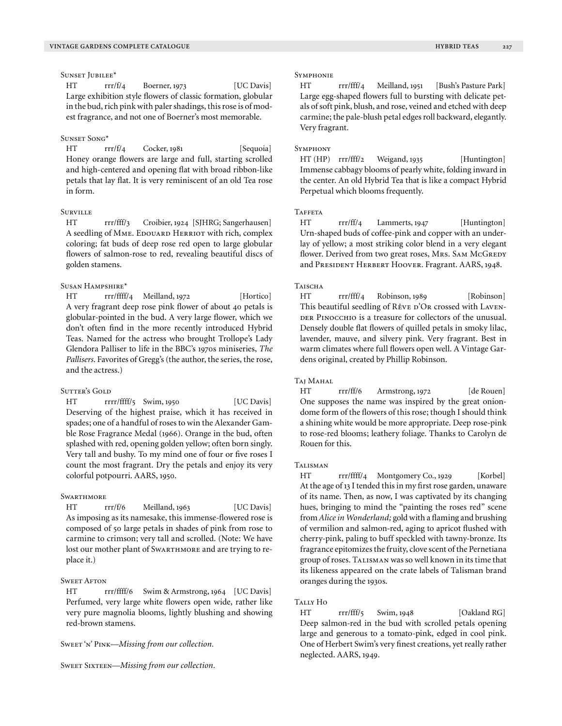## SUNSET JUBILEE\*

HT rrr/f/4 Boerner, 1973 [UC Davis] Large exhibition style flowers of classic formation, globular in the bud, rich pink with paler shadings, this rose is of modest fragrance, and not one of Boerner's most memorable.

#### Sunset Song\*

HT rrr/f/4 Cocker, 1981 [Sequoia] Honey orange flowers are large and full, starting scrolled and high-centered and opening flat with broad ribbon-like petals that lay flat. It is very reminiscent of an old Tea rose in form.

# **SURVILLE**

HT rrr/fff/3 Croibier, 1924 [SJHRG; Sangerhausen] A seedling of MME. EDOUARD HERRIOT with rich, complex coloring; fat buds of deep rose red open to large globular flowers of salmon-rose to red, revealing beautiful discs of golden stamens.

## Susan Hampshire\*

HT rrr/ffff/4 Meilland, 1972 [Hortico] A very fragrant deep rose pink flower of about 40 petals is globular-pointed in the bud. A very large flower, which we don't often find in the more recently introduced Hybrid Teas. Named for the actress who brought Trollope's Lady Glendora Palliser to life in the BBC's 1970s miniseries, *The Pallisers*. Favorites of Gregg's (the author, the series, the rose, and the actress.)

#### SUTTER'S GOLD

HT rrrr/ffff/5 Swim, 1950 [UC Davis] Deserving of the highest praise, which it has received in spades; one of a handful of roses to win the Alexander Gamble Rose Fragrance Medal (1966). Orange in the bud, often splashed with red, opening golden yellow; often born singly. Very tall and bushy. To my mind one of four or five roses I count the most fragrant. Dry the petals and enjoy its very colorful potpourri. AARS, 1950.

#### **SWARTHMORE**

HT rrr/f/6 Meilland, 1963 [UC Davis] As imposing as its namesake, this immense-flowered rose is composed of 50 large petals in shades of pink from rose to carmine to crimson; very tall and scrolled. (Note: We have lost our mother plant of SwarTHMORE and are trying to replace it.)

## **SWEET AFTON**

HT rrr/ffff/6 Swim & Armstrong, 1964 [UC Davis] Perfumed, very large white flowers open wide, rather like very pure magnolia blooms, lightly blushing and showing red-brown stamens.

Sweet 'n' Pink—*Missing from our collection.*

SWEET SIXTEEN-Missing from our collection.

#### **SYMPHONIE**

HT rrr/fff/4 Meilland, 1951 [Bush's Pasture Park] Large egg-shaped flowers full to bursting with delicate petals of soft pink, blush, and rose, veined and etched with deep carmine; the pale-blush petal edges roll backward, elegantly. Very fragrant.

#### **SYMPHONY**

HT (HP) rrr/fff/2 Weigand, 1935 [Huntington] Immense cabbagy blooms of pearly white, folding inward in the center. An old Hybrid Tea that is like a compact Hybrid Perpetual which blooms frequently.

## **TAFFETA**

HT rrr/ff/4 Lammerts, 1947 [Huntington] Urn-shaped buds of coffee-pink and copper with an underlay of yellow; a most striking color blend in a very elegant flower. Derived from two great roses, Mrs. SAM McGREDY and PRESIDENT HERBERT HOOVER. Fragrant. AARS, 1948.

#### **TAISCHA**

HT rrr/fff/4 Robinson, 1989 [Robinson] This beautiful seedling of Rêve D'Or crossed with LAVEN-DER PINOCCHIO is a treasure for collectors of the unusual. Densely double flat flowers of quilled petals in smoky lilac, lavender, mauve, and silvery pink. Very fragrant. Best in warm climates where full flowers open well. A Vintage Gardens original, created by Phillip Robinson.

#### Taj Mahal

HT rrr/ff/6 Armstrong, 1972 [de Rouen] One supposes the name was inspired by the great oniondome form of the flowers of this rose; though I should think a shining white would be more appropriate. Deep rose-pink to rose-red blooms; leathery foliage. Thanks to Carolyn de Rouen for this.

#### Talisman

HT rrr/ffff/4 Montgomery Co., 1929 [Korbel] At the age of 13 I tended this in my first rose garden, unaware of its name. Then, as now, I was captivated by its changing hues, bringing to mind the "painting the roses red" scene from *Alice in Wonderland;* gold with a flaming and brushing of vermilion and salmon-red, aging to apricot flushed with cherry-pink, paling to buff speckled with tawny-bronze. Its fragrance epitomizes the fruity, clove scent of the Pernetiana group of roses. Talisman was so well known in its time that its likeness appeared on the crate labels of Talisman brand oranges during the 1930s.

#### Tally Ho

HT rrr/fff/5 Swim, 1948 [Oakland RG] Deep salmon-red in the bud with scrolled petals opening large and generous to a tomato-pink, edged in cool pink. One of Herbert Swim's very finest creations, yet really rather neglected. AARS, 1949.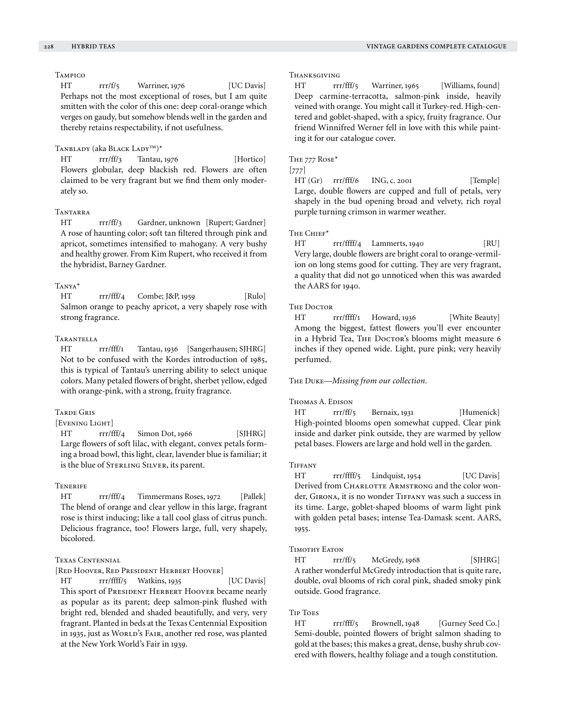# **TAMPICO**

HT rrr/f/5 Warriner, 1976 [UC Davis] Perhaps not the most exceptional of roses, but I am quite smitten with the color of this one: deep coral-orange which verges on gaudy, but somehow blends well in the garden and thereby retains respectability, if not usefulness.

# TANBLADY (aka BLACK LADY™)\*

HT rrr/ff/3 Tantau, 1976 [Hortico] Flowers globular, deep blackish red. Flowers are often claimed to be very fragrant but we find them only moderately so.

## Tantarra

HT rrr/ff/3 Gardner, unknown [Rupert; Gardner] A rose of haunting color; soft tan filtered through pink and apricot, sometimes intensified to mahogany. A very bushy and healthy grower. From Kim Rupert, who received it from the hybridist, Barney Gardner.

# Tanya\*

HT rrr/fff/4 Combe; J&P, 1959 [Rulo] Salmon orange to peachy apricot, a very shapely rose with strong fragrance.

## **TARANTELLA**

HT rrr/fff/1 Tantau, 1936 [Sangerhausen; SJHRG] Not to be confused with the Kordes introduction of 1985, this is typical of Tantau's unerring ability to select unique colors. Many petaled flowers of bright, sherbet yellow, edged with orange-pink, with a strong, fruity fragrance.

## Tarde Gris

# [Evening Light]

HT rrr/fff/4 Simon Dot, 1966 [SJHRG] Large flowers of soft lilac, with elegant, convex petals forming a broad bowl, this light, clear, lavender blue is familiar; it is the blue of Sterling Silver, its parent.

#### **TENERIFE**

HT rrr/fff/4 Timmermans Roses, 1972 [Pallek] The blend of orange and clear yellow in this large, fragrant rose is thirst inducing; like a tall cool glass of citrus punch. Delicious fragrance, too! Flowers large, full, very shapely, bicolored.

## Texas Centennial

[Red Hoover, Red President Herbert Hoover]

HT rrr/ffff/5 Watkins, 1935 [UC Davis] This sport of PRESIDENT HERBERT HOOVER became nearly as popular as its parent; deep salmon-pink flushed with bright red, blended and shaded beautifully, and very, very fragrant. Planted in beds at the Texas Centennial Exposition in 1935, just as WORLD's FAIR, another red rose, was planted at the New York World's Fair in 1939.

#### Thanksgiving

HT rrr/fff/5 Warriner, 1965 [Williams, found] Deep carmine-terracotta, salmon-pink inside, heavily veined with orange. You might call it Turkey-red. High-centered and goblet-shaped, with a spicy, fruity fragrance. Our friend Winnifred Werner fell in love with this while painting it for our catalogue cover.

#### The 777 Rose\*

## [777]

 $HT(Gr)$  rrr/fff/6 ING, c. 2001 [Temple] Large, double flowers are cupped and full of petals, very shapely in the bud opening broad and velvety, rich royal purple turning crimson in warmer weather.

## THE CHIEF\*

HT rrr/ffff/4 Lammerts, 1940 [RU] Very large, double flowers are bright coral to orange-vermilion on long stems good for cutting. They are very fragrant, a quality that did not go unnoticed when this was awarded the AARS for 1940.

#### **THE DOCTOR**

HT rrr/ffff/1 Howard, 1936 [White Beauty] Among the biggest, fattest flowers you'll ever encounter in a Hybrid Tea, THE DOCTOR's blooms might measure 6 inches if they opened wide. Light, pure pink; very heavily perfumed.

#### The Duke—*Missing from our collection.*

#### Thomas A. Edison

HT rrr/ff/5 Bernaix, 1931 [Humenick] High-pointed blooms open somewhat cupped. Clear pink inside and darker pink outside, they are warmed by yellow petal bases. Flowers are large and hold well in the garden.

#### **TIFFANY**

HT rrr/ffff/5 Lindquist, 1954 [UC Davis] Derived from CHARLOTTE ARMSTRONG and the color wonder, GIRONA, it is no wonder TIFFANY was such a success in its time. Large, goblet-shaped blooms of warm light pink with golden petal bases; intense Tea-Damask scent. AARS, 1955.

## Timothy Eaton

HT rrr/ff/5 McGredy, 1968 [SJHRG] A rather wonderful McGredy introduction that is quite rare, double, oval blooms of rich coral pink, shaded smoky pink outside. Good fragrance.

#### Tip Toes

HT rrr/fff/5 Brownell, 1948 [Gurney Seed Co.] Semi-double, pointed flowers of bright salmon shading to gold at the bases; this makes a great, dense, bushy shrub covered with flowers, healthy foliage and a tough constitution.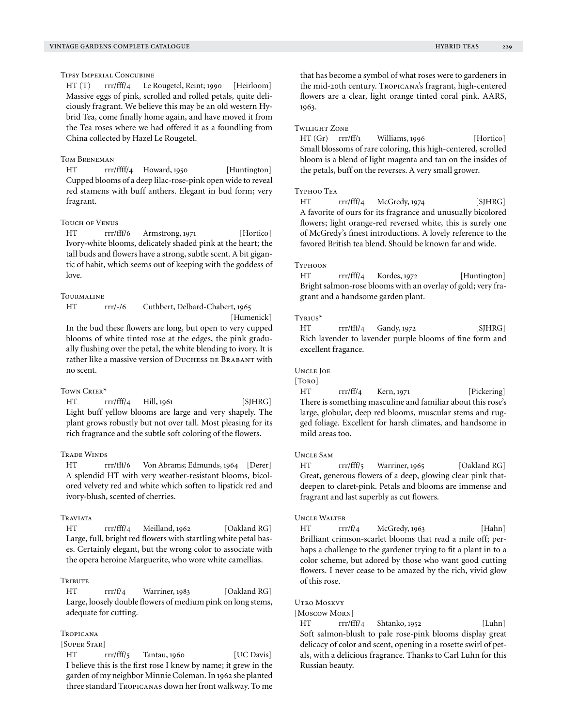Tipsy Imperial Concubine

HT (T) rrr/fff/4 Le Rougetel, Reint; 1990 [Heirloom] Massive eggs of pink, scrolled and rolled petals, quite deliciously fragrant. We believe this may be an old western Hybrid Tea, come finally home again, and have moved it from the Tea roses where we had offered it as a foundling from China collected by Hazel Le Rougetel.

## Tom Breneman

HT rrr/ffff/4 Howard, 1950 [Huntington] Cupped blooms of a deep lilac-rose-pink open wide to reveal red stamens with buff anthers. Elegant in bud form; very fragrant.

## Touch of Venus

HT rrr/fff/6 Armstrong, 1971 [Hortico] Ivory-white blooms, delicately shaded pink at the heart; the tall buds and flowers have a strong, subtle scent. A bit gigantic of habit, which seems out of keeping with the goddess of love.

#### **TOURMALINE**

HT rrr/-/6 Cuthbert, Delbard-Chabert, 1965

[Humenick] In the bud these flowers are long, but open to very cupped

blooms of white tinted rose at the edges, the pink gradually flushing over the petal, the white blending to ivory. It is rather like a massive version of DUCHESS DE BRABANT with no scent.

#### TOWN CRIER\*

HT rrr/fff/4 Hill, 1961 [SJHRG] Light buff yellow blooms are large and very shapely. The plant grows robustly but not over tall. Most pleasing for its rich fragrance and the subtle soft coloring of the flowers.

#### Trade Winds

HT rrr/fff/6 Von Abrams; Edmunds, 1964 [Derer] A splendid HT with very weather-resistant blooms, bicolored velvety red and white which soften to lipstick red and ivory-blush, scented of cherries.

#### **TRAVIATA**

HT rrr/fff/4 Meilland, 1962 [Oakland RG] Large, full, bright red flowers with startling white petal bases. Certainly elegant, but the wrong color to associate with the opera heroine Marguerite, who wore white camellias.

#### Tribute

HT rrr/f/4 Warriner, 1983 [Oakland RG] Large, loosely double flowers of medium pink on long stems, adequate for cutting.

## Tropicana

## [Super Star]

HT rrr/fff/5 Tantau, 1960 [UC Davis] I believe this is the first rose I knew by name; it grew in the garden of my neighbor Minnie Coleman. In 1962 she planted three standard Tropicanas down her front walkway. To me that has become a symbol of what roses were to gardeners in the mid-20th century. Tropicana's fragrant, high-centered flowers are a clear, light orange tinted coral pink. AARS, 1963.

#### Twilight Zone

HT (Gr) rrr/ff/1 Williams, 1996 [Hortico] Small blossoms of rare coloring, this high-centered, scrolled bloom is a blend of light magenta and tan on the insides of the petals, buff on the reverses. A very small grower.

#### Typhoo Tea

HT rrr/fff/4 McGredy, 1974 [SJHRG] A favorite of ours for its fragrance and unusually bicolored flowers; light orange-red reversed white, this is surely one of McGredy's finest introductions. A lovely reference to the favored British tea blend. Should be known far and wide.

#### Typhoon

HT rrr/fff/4 Kordes, 1972 [Huntington] Bright salmon-rose blooms with an overlay of gold; very fragrant and a handsome garden plant.

#### Tyrius\*

HT rrr/fff/4 Gandy, 1972 [SJHRG] Rich lavender to lavender purple blooms of fine form and excellent fragance.

## Uncle Joe

## [Toro]

HT rrr/ff/4 Kern, 1971 [Pickering] There is something masculine and familiar about this rose's large, globular, deep red blooms, muscular stems and rugged foliage. Excellent for harsh climates, and handsome in mild areas too.

# Uncle Sam

HT rrr/fff/5 Warriner, 1965 [Oakland RG] Great, generous flowers of a deep, glowing clear pink thatdeepen to claret-pink. Petals and blooms are immense and fragrant and last superbly as cut flowers.

#### Uncle Walter

HT rrr/f/4 McGredy, 1963 [Hahn] Brilliant crimson-scarlet blooms that read a mile off; perhaps a challenge to the gardener trying to fit a plant in to a color scheme, but adored by those who want good cutting flowers. I never cease to be amazed by the rich, vivid glow of this rose.

#### UTRO MOSKVY

[Moscow Morn]

HT rrr/fff/4 Shtanko, 1952 [Luhn] Soft salmon-blush to pale rose-pink blooms display great delicacy of color and scent, opening in a rosette swirl of petals, with a delicious fragrance. Thanks to Carl Luhn for this Russian beauty.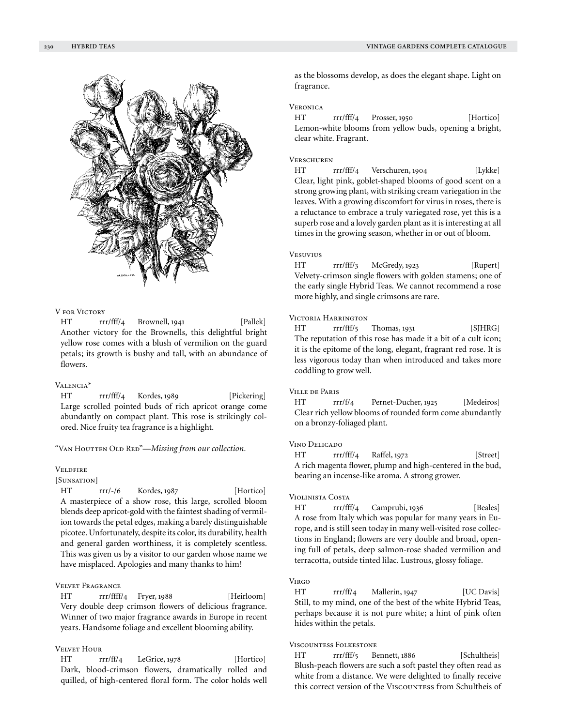

## V for Victory

HT rrr/fff/4 Brownell, 1941 [Pallek] Another victory for the Brownells, this delightful bright yellow rose comes with a blush of vermilion on the guard petals; its growth is bushy and tall, with an abundance of flowers.

#### Valencia\*

HT rrr/fff/4 Kordes, 1989 [Pickering] Large scrolled pointed buds of rich apricot orange come abundantly on compact plant. This rose is strikingly colored. Nice fruity tea fragrance is a highlight.

## "VAN HOUTTEN OLD RED"—*Missing from our collection*.

## **VELDFIRE**

## [Sunsation]

HT rrr/-/6 Kordes, 1987 [Hortico] A masterpiece of a show rose, this large, scrolled bloom blends deep apricot-gold with the faintest shading of vermilion towards the petal edges, making a barely distinguishable picotee. Unfortunately, despite its color, its durability, health and general garden worthiness, it is completely scentless. This was given us by a visitor to our garden whose name we have misplaced. Apologies and many thanks to him!

# Velvet Fragrance

HT rrr/ffff/4 Fryer, 1988 [Heirloom] Very double deep crimson flowers of delicious fragrance. Winner of two major fragrance awards in Europe in recent years. Handsome foliage and excellent blooming ability.

# Velvet Hour

HT rrr/ff/4 LeGrice, 1978 [Hortico] Dark, blood-crimson flowers, dramatically rolled and quilled, of high-centered floral form. The color holds well

as the blossoms develop, as does the elegant shape. Light on fragrance.

# **VERONICA**

HT rrr/fff/4 Prosser, 1950 [Hortico] Lemon-white blooms from yellow buds, opening a bright, clear white. Fragrant.

## **VERSCHUREN**

HT rrr/fff/4 Verschuren, 1904 [Lykke] Clear, light pink, goblet-shaped blooms of good scent on a strong growing plant, with striking cream variegation in the leaves. With a growing discomfort for virus in roses, there is a reluctance to embrace a truly variegated rose, yet this is a superb rose and a lovely garden plant as it is interesting at all times in the growing season, whether in or out of bloom.

## Vesuvius

HT rrr/fff/3 McGredy, 1923 [Rupert] Velvety-crimson single flowers with golden stamens; one of the early single Hybrid Teas. We cannot recommend a rose more highly, and single crimsons are rare.

# Victoria Harrington

HT rrr/fff/5 Thomas, 1931 [SJHRG] The reputation of this rose has made it a bit of a cult icon; it is the epitome of the long, elegant, fragrant red rose. It is less vigorous today than when introduced and takes more coddling to grow well.

## Ville de Paris

HT rrr/f/4 Pernet-Ducher, 1925 [Medeiros] Clear rich yellow blooms of rounded form come abundantly on a bronzy-foliaged plant.

#### Vino Delicado

HT rrr/fff/4 Raffel, 1972 [Street] A rich magenta flower, plump and high-centered in the bud, bearing an incense-like aroma. A strong grower.

#### Violinista Costa

HT rrr/fff/4 Camprubi, 1936 [Beales] A rose from Italy which was popular for many years in Europe, and is still seen today in many well-visited rose collections in England; flowers are very double and broad, opening full of petals, deep salmon-rose shaded vermilion and terracotta, outside tinted lilac. Lustrous, glossy foliage.

## **VIRGO**

HT rrr/ff/4 Mallerin, 1947 [UC Davis] Still, to my mind, one of the best of the white Hybrid Teas, perhaps because it is not pure white; a hint of pink often hides within the petals.

# Viscountess Folkestone

HT rrr/fff/5 Bennett, 1886 [Schultheis] Blush-peach flowers are such a soft pastel they often read as white from a distance. We were delighted to finally receive this correct version of the VISCOUNTESS from Schultheis of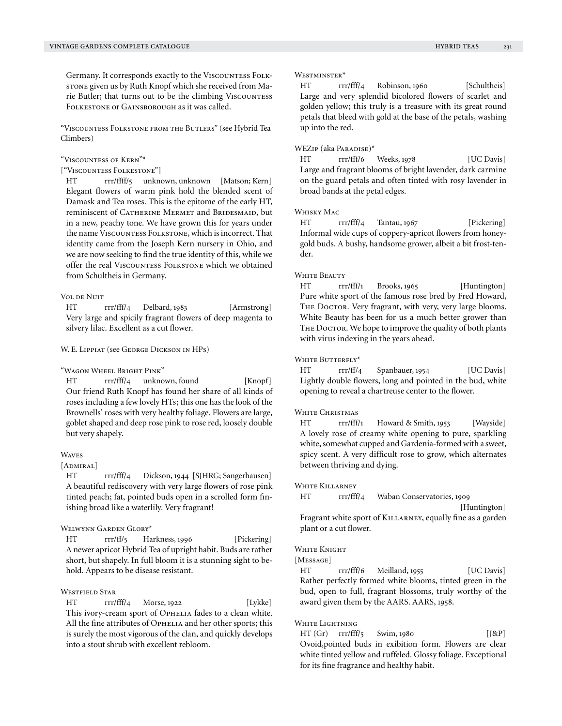Germany. It corresponds exactly to the VISCOUNTESS FOLKstone given us by Ruth Knopf which she received from Marie Butler; that turns out to be the climbing VISCOUNTESS FOLKESTONE OF GAINSBOROUGH as it was called.

"Viscountess Folkstone from the Butlers" (see Hybrid Tea Climbers)

#### "Viscountess of Kern"\*

["Viscountess Folkestone"]

HT rrr/ffff/5 unknown, unknown [Matson; Kern] Elegant flowers of warm pink hold the blended scent of Damask and Tea roses. This is the epitome of the early HT, reminiscent of CATHERINE MERMET and BRIDESMAID, but in a new, peachy tone. We have grown this for years under the name VISCOUNTESS FOLKSTONE, which is incorrect. That identity came from the Joseph Kern nursery in Ohio, and we are now seeking to find the true identity of this, while we offer the real VISCOUNTESS FOLKSTONE which we obtained from Schultheis in Germany.

#### VOL DE NUIT

HT rrr/fff/4 Delbard, 1983 [Armstrong] Very large and spicily fragrant flowers of deep magenta to silvery lilac. Excellent as a cut flower.

#### W. E. Lippiat (see George Dickson in HPs)

"Wagon Wheel Bright Pink"

HT rrr/fff/4 unknown, found [Knopf] Our friend Ruth Knopf has found her share of all kinds of roses including a few lovely HTs; this one has the look of the Brownells' roses with very healthy foliage. Flowers are large, goblet shaped and deep rose pink to rose red, loosely double but very shapely.

## **WAVES**

#### [ADMIRAL]

HT rrr/fff/4 Dickson, 1944 [SJHRG; Sangerhausen] A beautiful rediscovery with very large flowers of rose pink tinted peach; fat, pointed buds open in a scrolled form finishing broad like a waterlily. Very fragrant!

# Welwynn Garden Glory\*

HT rrr/ff/5 Harkness, 1996 [Pickering] A newer apricot Hybrid Tea of upright habit. Buds are rather short, but shapely. In full bloom it is a stunning sight to behold. Appears to be disease resistant.

#### WESTFIELD STAR

HT rrr/fff/4 Morse, 1922 [Lykke] This ivory-cream sport of Ophelia fades to a clean white. All the fine attributes of OPHELIA and her other sports; this is surely the most vigorous of the clan, and quickly develops into a stout shrub with excellent rebloom.

#### Westminster\*

HT rrr/fff/4 Robinson, 1960 [Schultheis] Large and very splendid bicolored flowers of scarlet and golden yellow; this truly is a treasure with its great round petals that bleed with gold at the base of the petals, washing up into the red.

## WEZip (aka Paradise)\*

HT rrr/fff/6 Weeks, 1978 [UC Davis] Large and fragrant blooms of bright lavender, dark carmine on the guard petals and often tinted with rosy lavender in broad bands at the petal edges.

## Whisky Mac

HT rrr/fff/4 Tantau, 1967 [Pickering] Informal wide cups of coppery-apricot flowers from honeygold buds. A bushy, handsome grower, albeit a bit frost-tender.

#### WHITE BEAUTY

HT rrr/fff/1 Brooks, 1965 [Huntington] Pure white sport of the famous rose bred by Fred Howard, THE DOCTOR. Very fragrant, with very, very large blooms. White Beauty has been for us a much better grower than THE DOCTOR. We hope to improve the quality of both plants with virus indexing in the years ahead.

#### WHITE BUTTERFLY\*

HT rrr/ff/4 Spanbauer, 1954 [UC Davis] Lightly double flowers, long and pointed in the bud, white opening to reveal a chartreuse center to the flower.

## WHITE CHRISTMAS

HT rrr/fff/1 Howard & Smith, 1953 [Wayside] A lovely rose of creamy white opening to pure, sparkling white, somewhat cupped and Gardenia-formed with a sweet, spicy scent. A very difficult rose to grow, which alternates between thriving and dying.

#### White Killarney

HT rrr/fff/4 Waban Conservatories, 1909

 [Huntington] Fragrant white sport of KILLARNEY, equally fine as a garden plant or a cut flower.

#### WHITE KNIGHT

[MESSAGE]

HT rrr/fff/6 Meilland, 1955 [UC Davis] Rather perfectly formed white blooms, tinted green in the bud, open to full, fragrant blossoms, truly worthy of the award given them by the AARS. AARS, 1958.

## White Lightning

HT (Gr) rrr/fff/5 Swim, 1980 [J&P] Ovoid,pointed buds in exibition form. Flowers are clear white tinted yellow and ruffeled. Glossy foliage. Exceptional for its fine fragrance and healthy habit.